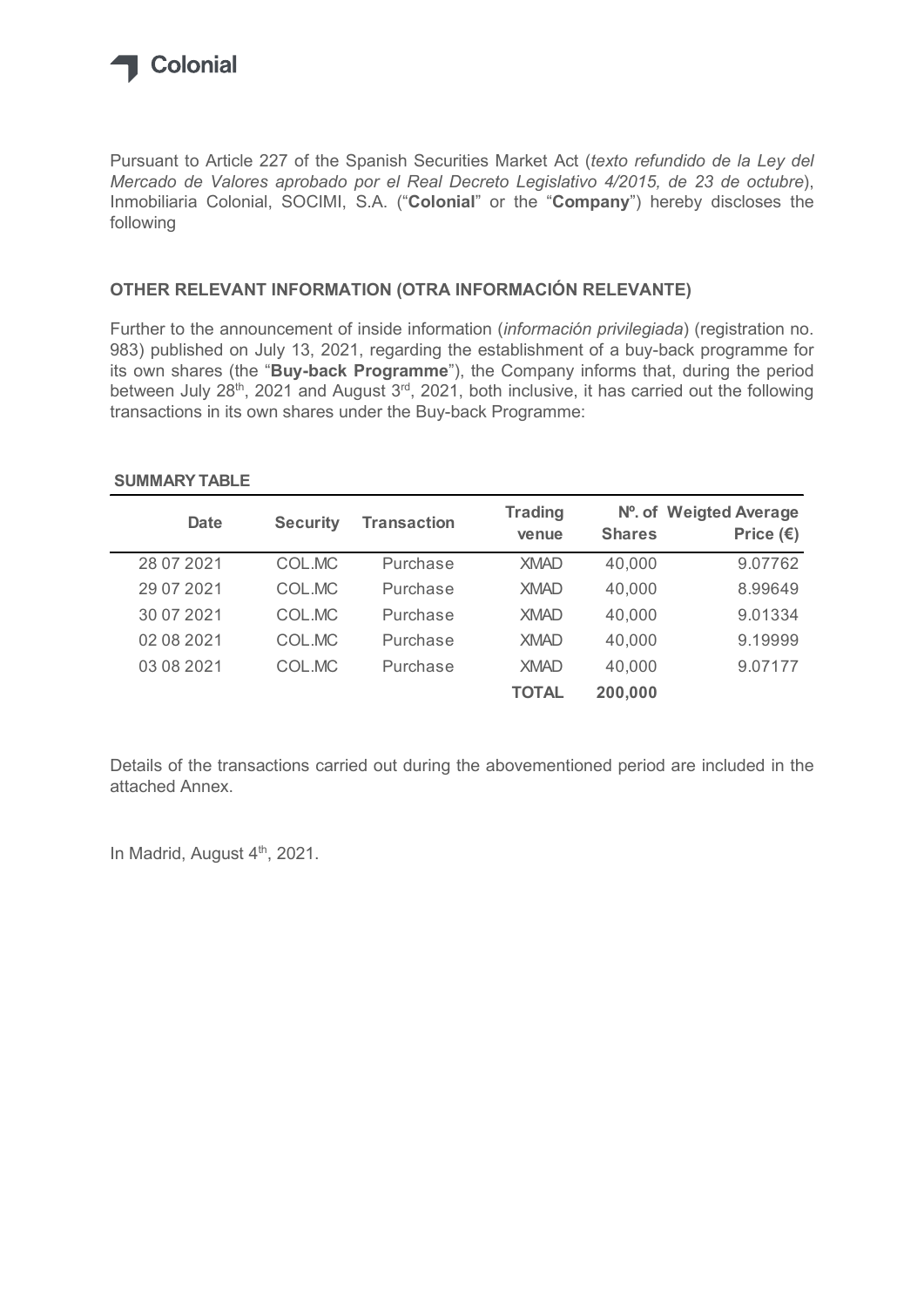

## OTHER RELEVANT INFORMATION (OTRA INFORMACIÓN RELEVANTE)

## SUMMARY TABLE

| Mercado de Valores aprobado por el Real Decreto Legislativo 4/2015, de 23 de octubre),<br>Inmobiliaria Colonial, SOCIMI, S.A. ("Colonial" or the "Company") hereby discloses the<br>following                                                                                                              |                 |                    |                         |               |                                              |
|------------------------------------------------------------------------------------------------------------------------------------------------------------------------------------------------------------------------------------------------------------------------------------------------------------|-----------------|--------------------|-------------------------|---------------|----------------------------------------------|
| OTHER RELEVANT INFORMATION (OTRA INFORMACIÓN RELEVANTE)                                                                                                                                                                                                                                                    |                 |                    |                         |               |                                              |
| Further to the announcement of inside information (información privilegiada) (registration no.<br>983) published on July 13, 2021, regarding the establishment of a buy-back programme for                                                                                                                 |                 |                    |                         |               |                                              |
| its own shares (the "Buy-back Programme"), the Company informs that, during the period<br>between July 28 <sup>th</sup> , 2021 and August 3 <sup>rd</sup> , 2021, both inclusive, it has carried out the following<br>transactions in its own shares under the Buy-back Programme:<br><b>SUMMARY TABLE</b> |                 |                    |                         |               |                                              |
| <b>Date</b>                                                                                                                                                                                                                                                                                                | <b>Security</b> | <b>Transaction</b> | <b>Trading</b><br>venue | <b>Shares</b> | Nº. of Weigted Average<br>Price $(\epsilon)$ |
| 28 07 2021                                                                                                                                                                                                                                                                                                 | COL.MC          | Purchase           | <b>XMAD</b>             | 40,000        | 9.07762                                      |
| 29 07 2021                                                                                                                                                                                                                                                                                                 | COL.MC          | Purchase           | <b>XMAD</b>             | 40,000        | 8.99649                                      |
| 30 07 2021                                                                                                                                                                                                                                                                                                 | COL.MC          | Purchase           | <b>XMAD</b>             | 40,000        | 9.01334                                      |
| 02 08 2021                                                                                                                                                                                                                                                                                                 | COL.MC          | Purchase           | <b>XMAD</b>             | 40,000        | 9.19999                                      |
| 03 08 2021                                                                                                                                                                                                                                                                                                 | COL.MC          | Purchase           | <b>XMAD</b>             | 40,000        | 9.07177                                      |

Details of the transactions carried out during the abovementioned period are included in the attached Annex.

In Madrid, August 4<sup>th</sup>, 2021.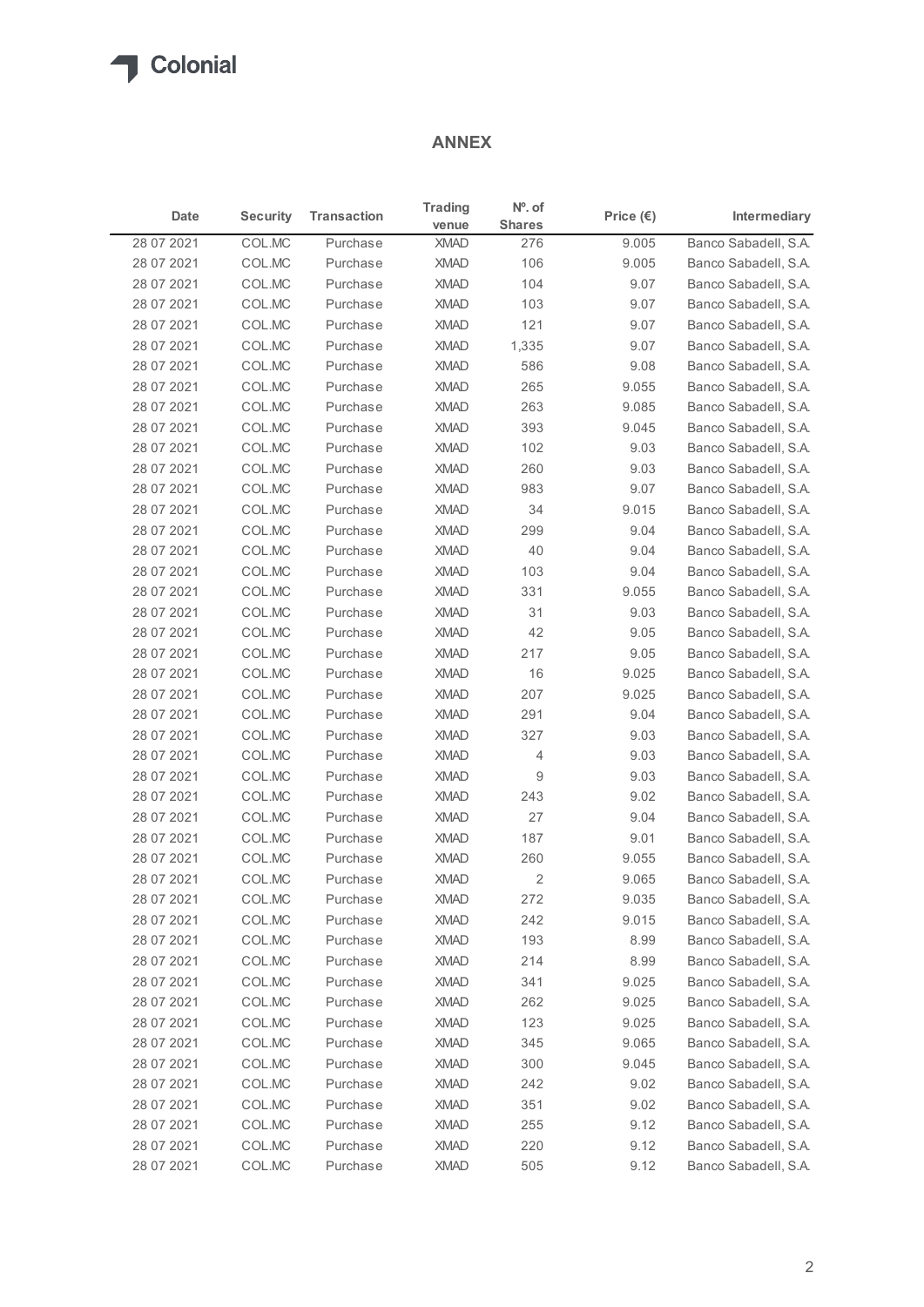## ANNEX

| Date<br>28 07 2021<br>28 07 2021<br>28 07 2021<br>28 07 2021<br>28 07 2021<br>28 07 2021<br>28 07 2021<br>28 07 2021<br>28 07 2021<br>28 07 2021<br>28 07 2021<br>28 07 2021<br>28 07 2021 | <b>Security</b><br>COL.MC<br>COL.MC<br>COL.MC<br>COL.MC<br>COL.MC<br>COL.MC<br>COL.MC<br>COL.MC<br>COL.MC<br>COL.MC | <b>Transaction</b><br>Purchase<br>Purchase<br>Purchase<br>Purchase<br>Purchase<br>Purchase<br>Purchase | <b>ANNEX</b><br><b>Trading</b><br>venue<br><b>XMAD</b><br><b>XMAD</b><br><b>XMAD</b><br><b>XMAD</b><br><b>XMAD</b> | $No$ . of<br><b>Shares</b><br>276<br>106<br>104 | Price $(\epsilon)$<br>9.005<br>9.005 | Intermediary<br>Banco Sabadell, S.A.         |
|--------------------------------------------------------------------------------------------------------------------------------------------------------------------------------------------|---------------------------------------------------------------------------------------------------------------------|--------------------------------------------------------------------------------------------------------|--------------------------------------------------------------------------------------------------------------------|-------------------------------------------------|--------------------------------------|----------------------------------------------|
|                                                                                                                                                                                            |                                                                                                                     |                                                                                                        |                                                                                                                    |                                                 |                                      |                                              |
|                                                                                                                                                                                            |                                                                                                                     |                                                                                                        |                                                                                                                    |                                                 |                                      |                                              |
|                                                                                                                                                                                            |                                                                                                                     |                                                                                                        |                                                                                                                    |                                                 |                                      |                                              |
|                                                                                                                                                                                            |                                                                                                                     |                                                                                                        |                                                                                                                    |                                                 |                                      | Banco Sabadell, S.A.                         |
|                                                                                                                                                                                            |                                                                                                                     |                                                                                                        |                                                                                                                    | 103                                             | 9.07<br>9.07                         | Banco Sabadell, S.A.<br>Banco Sabadell, S.A. |
|                                                                                                                                                                                            |                                                                                                                     |                                                                                                        |                                                                                                                    | 121                                             | 9.07                                 | Banco Sabadell, S.A.                         |
|                                                                                                                                                                                            |                                                                                                                     |                                                                                                        | <b>XMAD</b>                                                                                                        | 1,335                                           | 9.07                                 | Banco Sabadell, S.A.                         |
|                                                                                                                                                                                            |                                                                                                                     |                                                                                                        | <b>XMAD</b>                                                                                                        | 586                                             | 9.08                                 | Banco Sabadell, S.A.                         |
|                                                                                                                                                                                            |                                                                                                                     | Purchase                                                                                               | <b>XMAD</b>                                                                                                        | 265                                             | 9.055                                | Banco Sabadell, S.A.                         |
|                                                                                                                                                                                            |                                                                                                                     | Purchase                                                                                               | <b>XMAD</b>                                                                                                        | 263                                             | 9.085                                | Banco Sabadell, S.A.                         |
|                                                                                                                                                                                            |                                                                                                                     | Purchase                                                                                               | <b>XMAD</b>                                                                                                        | 393                                             | 9.045                                | Banco Sabadell, S.A.                         |
|                                                                                                                                                                                            | COL.MC                                                                                                              | Purchase                                                                                               | <b>XMAD</b>                                                                                                        | 102                                             | 9.03                                 | Banco Sabadell, S.A.                         |
|                                                                                                                                                                                            | COL.MC                                                                                                              | Purchase                                                                                               | <b>XMAD</b>                                                                                                        | 260                                             | 9.03                                 | Banco Sabadell, S.A.                         |
|                                                                                                                                                                                            | COL.MC                                                                                                              | Purchase                                                                                               | <b>XMAD</b>                                                                                                        | 983                                             | 9.07                                 | Banco Sabadell, S.A.                         |
| 28 07 2021                                                                                                                                                                                 | COLMC                                                                                                               | Purchase                                                                                               | XMAD                                                                                                               | 34                                              | 9.015                                | Banco Sabadell, S.A.                         |
| 28 07 2021                                                                                                                                                                                 | COL.MC                                                                                                              | Purchase                                                                                               | <b>XMAD</b>                                                                                                        | 299                                             | 9.04                                 | Banco Sabadell, S.A.                         |
| 28 07 2021                                                                                                                                                                                 | COL.MC                                                                                                              | Purchase                                                                                               | <b>XMAD</b>                                                                                                        | 40                                              | 9.04                                 | Banco Sabadell, S.A.                         |
| 28 07 2021                                                                                                                                                                                 | COL.MC<br>COL.MC                                                                                                    | Purchase                                                                                               | <b>XMAD</b><br><b>XMAD</b>                                                                                         | 103<br>331                                      | 9.04                                 | Banco Sabadell, S.A.<br>Banco Sabadell, S.A. |
| 28 07 2021<br>28 07 2021                                                                                                                                                                   | COL.MC                                                                                                              | Purchase<br>Purchase                                                                                   | <b>XMAD</b>                                                                                                        | 31                                              | 9.055<br>9.03                        | Banco Sabadell, S.A.                         |
| 28 07 2021                                                                                                                                                                                 | COL.MC                                                                                                              | Purchase                                                                                               | XMAD                                                                                                               | 42                                              | 9.05                                 | Banco Sabadell, S.A.                         |
| 28 07 2021                                                                                                                                                                                 | COL.MC                                                                                                              | Purchase                                                                                               | <b>XMAD</b>                                                                                                        | 217                                             | 9.05                                 | Banco Sabadell, S.A.                         |
| 28 07 2021                                                                                                                                                                                 | COL.MC                                                                                                              | Purchase                                                                                               | <b>XMAD</b>                                                                                                        | 16                                              | 9.025                                | Banco Sabadell, S.A.                         |
| 28 07 2021                                                                                                                                                                                 | COL.MC                                                                                                              | Purchase                                                                                               | <b>XMAD</b>                                                                                                        | 207                                             | 9.025                                | Banco Sabadell, S.A.                         |
| 28 07 2021                                                                                                                                                                                 | COL.MC                                                                                                              | Purchase                                                                                               | <b>XMAD</b>                                                                                                        | 291                                             | 9.04                                 | Banco Sabadell, S.A.                         |
| 28 07 2021                                                                                                                                                                                 | COL.MC                                                                                                              | Purchase                                                                                               | <b>XMAD</b>                                                                                                        | 327                                             | 9.03                                 | Banco Sabadell, S.A.                         |
| 28 07 2021                                                                                                                                                                                 | COL.MC                                                                                                              | Purchase                                                                                               | <b>XMAD</b>                                                                                                        | 4                                               | 9.03                                 | Banco Sabadell, S.A.                         |
| 28 07 2021                                                                                                                                                                                 | COL.MC                                                                                                              | Purchase                                                                                               | <b>XMAD</b>                                                                                                        | $\boldsymbol{9}$                                | 9.03                                 | Banco Sabadell, S.A.                         |
| 28 07 2021                                                                                                                                                                                 | COL.MC                                                                                                              | Purchase                                                                                               | <b>XMAD</b>                                                                                                        | 243                                             | 9.02                                 | Banco Sabadell, S.A.                         |
| 28 07 2021                                                                                                                                                                                 | COL.MC                                                                                                              | Purchase                                                                                               | <b>XMAD</b>                                                                                                        | 27                                              | 9.04                                 | Banco Sabadell, S.A.                         |
| 28 07 2021                                                                                                                                                                                 | COL.MC                                                                                                              | Purchase                                                                                               | XMAD                                                                                                               | 187                                             | 9.01                                 | Banco Sabadell, S.A.                         |
| 28 07 2021                                                                                                                                                                                 | COL.MC                                                                                                              | Purchase                                                                                               | <b>XMAD</b>                                                                                                        | 260                                             | 9.055                                | Banco Sabadell, S.A.                         |
| 28 07 2021                                                                                                                                                                                 | COL.MC                                                                                                              | Purchase                                                                                               | <b>XMAD</b>                                                                                                        | $\overline{2}$                                  | 9.065                                | Banco Sabadell, S.A.                         |
| 28 07 2021                                                                                                                                                                                 | COL.MC                                                                                                              | Purchase                                                                                               | <b>XMAD</b>                                                                                                        | 272                                             | 9.035                                | Banco Sabadell, S.A.                         |
| 28 07 2021                                                                                                                                                                                 | COL.MC                                                                                                              | Purchase                                                                                               | <b>XMAD</b>                                                                                                        | 242                                             | 9.015                                | Banco Sabadell, S.A.                         |
| 28 07 2021                                                                                                                                                                                 | COL.MC                                                                                                              | Purchase                                                                                               | <b>XMAD</b>                                                                                                        | 193                                             | 8.99                                 | Banco Sabadell, S.A.                         |
| 28 07 2021                                                                                                                                                                                 | COL.MC                                                                                                              | Purchase                                                                                               | <b>XMAD</b>                                                                                                        | 214                                             | 8.99                                 | Banco Sabadell, S.A.                         |
| 28 07 2021                                                                                                                                                                                 | COL.MC                                                                                                              | Purchase                                                                                               | <b>XMAD</b>                                                                                                        | 341                                             | 9.025                                | Banco Sabadell, S.A.                         |
| 28 07 2021                                                                                                                                                                                 | COL.MC                                                                                                              | Purchase                                                                                               | <b>XMAD</b>                                                                                                        | 262                                             | 9.025                                | Banco Sabadell, S.A.                         |
| 28 07 2021                                                                                                                                                                                 | COL.MC                                                                                                              | Purchase                                                                                               | <b>XMAD</b>                                                                                                        | 123                                             | 9.025                                | Banco Sabadell, S.A.                         |
| 28 07 2021                                                                                                                                                                                 | COL.MC                                                                                                              | Purchase                                                                                               | <b>XMAD</b>                                                                                                        | 345                                             | 9.065                                | Banco Sabadell, S.A.                         |
| 28 07 2021                                                                                                                                                                                 | COL.MC                                                                                                              | Purchase                                                                                               | <b>XMAD</b>                                                                                                        | 300<br>242                                      | 9.045<br>9.02                        | Banco Sabadell, S.A.                         |
| 28 07 2021<br>28 07 2021                                                                                                                                                                   | COL.MC<br>COL.MC                                                                                                    | Purchase<br>Purchase                                                                                   | <b>XMAD</b><br><b>XMAD</b>                                                                                         | 351                                             | 9.02                                 | Banco Sabadell, S.A.<br>Banco Sabadell, S.A. |
| 28 07 2021                                                                                                                                                                                 | COL.MC                                                                                                              | Purchase                                                                                               | <b>XMAD</b>                                                                                                        | 255                                             | 9.12                                 | Banco Sabadell, S.A.                         |
| 28 07 2021                                                                                                                                                                                 | COL.MC                                                                                                              | Purchase                                                                                               | <b>XMAD</b>                                                                                                        | 220                                             | 9.12                                 | Banco Sabadell, S.A.                         |
| 28 07 2021                                                                                                                                                                                 | COL.MC                                                                                                              | Purchase                                                                                               | <b>XMAD</b>                                                                                                        | 505                                             | 9.12                                 | Banco Sabadell, S.A.                         |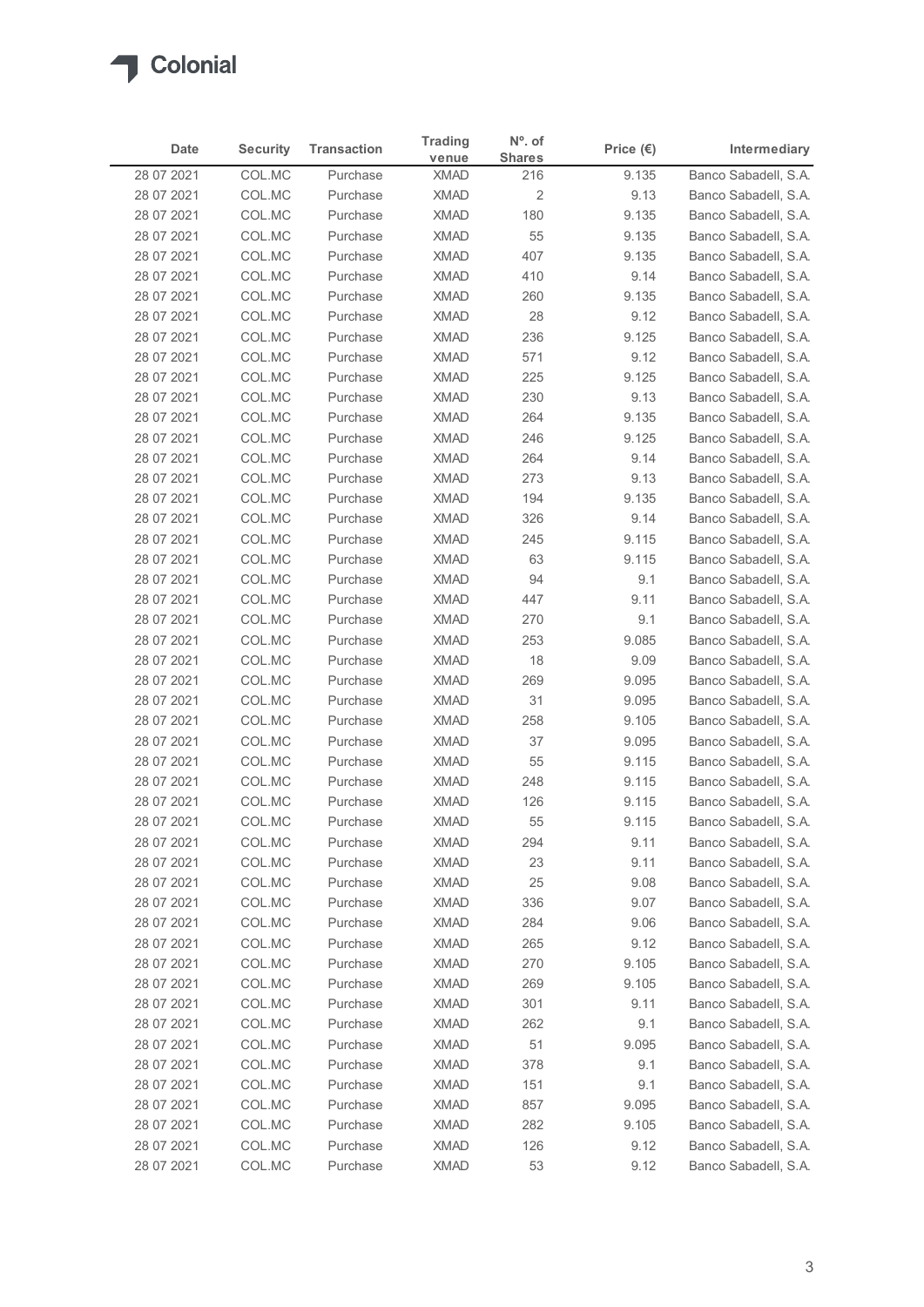

| Date<br>28 07 2021<br>28 07 2021<br>28 07 2021<br>28 07 2021<br>28 07 2021<br>28 07 2021<br>28 07 2021<br>28 07 2021<br>28 07 2021<br>28 07 2021<br>28 07 2021<br>28 07 2021<br>28 07 2021<br>28 07 2021<br>28 07 2021<br>28 07 2021 | <b>Security</b><br>COL.MC<br>COL.MC<br>COL.MC<br>COL.MC<br>COL.MC<br>COL.MC<br>COL.MC<br>COL.MC<br>COL.MC<br>COL.MC<br>COL.MC<br>COL.MC | <b>Transaction</b><br>Purchase<br>Purchase<br>Purchase<br>Purchase<br>Purchase<br>Purchase<br>Purchase<br>Purchase<br>Purchase | venue<br><b>XMAD</b><br><b>XMAD</b><br><b>XMAD</b><br><b>XMAD</b><br><b>XMAD</b><br><b>XMAD</b> | <b>Shares</b><br>216<br>$\overline{\mathbf{c}}$<br>180<br>55 | Price $(\epsilon)$<br>9.135<br>9.13<br>9.135 | Intermediary<br>Banco Sabadell, S.A.<br>Banco Sabadell, S.A. |
|--------------------------------------------------------------------------------------------------------------------------------------------------------------------------------------------------------------------------------------|-----------------------------------------------------------------------------------------------------------------------------------------|--------------------------------------------------------------------------------------------------------------------------------|-------------------------------------------------------------------------------------------------|--------------------------------------------------------------|----------------------------------------------|--------------------------------------------------------------|
|                                                                                                                                                                                                                                      |                                                                                                                                         |                                                                                                                                |                                                                                                 |                                                              |                                              |                                                              |
|                                                                                                                                                                                                                                      |                                                                                                                                         |                                                                                                                                |                                                                                                 |                                                              |                                              |                                                              |
|                                                                                                                                                                                                                                      |                                                                                                                                         |                                                                                                                                |                                                                                                 |                                                              |                                              | Banco Sabadell, S.A.                                         |
|                                                                                                                                                                                                                                      |                                                                                                                                         |                                                                                                                                |                                                                                                 |                                                              | 9.135                                        | Banco Sabadell, S.A.                                         |
|                                                                                                                                                                                                                                      |                                                                                                                                         |                                                                                                                                |                                                                                                 | 407                                                          | 9.135                                        | Banco Sabadell, S.A.                                         |
|                                                                                                                                                                                                                                      |                                                                                                                                         |                                                                                                                                |                                                                                                 | 410                                                          | 9.14                                         | Banco Sabadell, S.A.                                         |
|                                                                                                                                                                                                                                      |                                                                                                                                         |                                                                                                                                | <b>XMAD</b><br><b>XMAD</b>                                                                      | 260<br>28                                                    | 9.135                                        | Banco Sabadell, S.A.                                         |
|                                                                                                                                                                                                                                      |                                                                                                                                         |                                                                                                                                | <b>XMAD</b>                                                                                     | 236                                                          | 9.12<br>9.125                                | Banco Sabadell, S.A.<br>Banco Sabadell, S.A.                 |
|                                                                                                                                                                                                                                      |                                                                                                                                         | Purchase                                                                                                                       | <b>XMAD</b>                                                                                     | 571                                                          | 9.12                                         | Banco Sabadell, S.A.                                         |
|                                                                                                                                                                                                                                      |                                                                                                                                         | Purchase                                                                                                                       | <b>XMAD</b>                                                                                     | 225                                                          | 9.125                                        | Banco Sabadell, S.A.                                         |
|                                                                                                                                                                                                                                      |                                                                                                                                         | Purchase                                                                                                                       | <b>XMAD</b>                                                                                     | 230                                                          | 9.13                                         | Banco Sabadell, S.A.                                         |
|                                                                                                                                                                                                                                      | COL.MC                                                                                                                                  | Purchase                                                                                                                       | <b>XMAD</b>                                                                                     | 264                                                          | 9.135                                        | Banco Sabadell, S.A.                                         |
|                                                                                                                                                                                                                                      | COL.MC                                                                                                                                  | Purchase                                                                                                                       | XMAD                                                                                            | 246                                                          | 9.125                                        | Banco Sabadell, S.A.                                         |
|                                                                                                                                                                                                                                      | COL.MC<br>COL.MC                                                                                                                        | Purchase<br>Purchase                                                                                                           | <b>XMAD</b><br><b>XMAD</b>                                                                      | 264<br>273                                                   | 9.14<br>9.13                                 | Banco Sabadell, S.A.<br>Banco Sabadell, S.A.                 |
| 28 07 2021                                                                                                                                                                                                                           | COL.MC                                                                                                                                  | Purchase                                                                                                                       | XMAD                                                                                            | 194                                                          | 9.135                                        | Banco Sabadell, S.A.                                         |
| 28 07 2021                                                                                                                                                                                                                           | COL.MC                                                                                                                                  | Purchase                                                                                                                       | <b>XMAD</b>                                                                                     | 326                                                          | 9.14                                         | Banco Sabadell, S.A.                                         |
| 28 07 2021                                                                                                                                                                                                                           | COL.MC                                                                                                                                  | Purchase                                                                                                                       | <b>XMAD</b>                                                                                     | 245                                                          | 9.115                                        | Banco Sabadell, S.A.                                         |
| 28 07 2021                                                                                                                                                                                                                           | COL.MC                                                                                                                                  | Purchase                                                                                                                       | <b>XMAD</b>                                                                                     | 63                                                           | 9.115                                        | Banco Sabadell, S.A.                                         |
| 28 07 2021                                                                                                                                                                                                                           | COL.MC                                                                                                                                  | Purchase                                                                                                                       | <b>XMAD</b>                                                                                     | 94                                                           | 9.1                                          | Banco Sabadell, S.A.                                         |
| 28 07 2021                                                                                                                                                                                                                           | COL.MC                                                                                                                                  | Purchase                                                                                                                       | <b>XMAD</b>                                                                                     | 447                                                          | 9.11                                         | Banco Sabadell, S.A.                                         |
| 28 07 2021<br>28 07 2021                                                                                                                                                                                                             | COL.MC<br>COL.MC                                                                                                                        | Purchase<br>Purchase                                                                                                           | XMAD<br><b>XMAD</b>                                                                             | 270<br>253                                                   | 9.1<br>9.085                                 | Banco Sabadell, S.A.<br>Banco Sabadell, S.A.                 |
| 28 07 2021                                                                                                                                                                                                                           | COL.MC                                                                                                                                  | Purchase                                                                                                                       | <b>XMAD</b>                                                                                     | 18                                                           | 9.09                                         | Banco Sabadell, S.A.                                         |
| 28 07 2021                                                                                                                                                                                                                           | COL.MC                                                                                                                                  | Purchase                                                                                                                       | <b>XMAD</b>                                                                                     | 269                                                          | 9.095                                        | Banco Sabadell, S.A.                                         |
| 28 07 2021                                                                                                                                                                                                                           | COL.MC                                                                                                                                  | Purchase                                                                                                                       | <b>XMAD</b>                                                                                     | 31                                                           | 9.095                                        | Banco Sabadell, S.A.                                         |
| 28 07 2021                                                                                                                                                                                                                           | COL.MC                                                                                                                                  | Purchase                                                                                                                       | <b>XMAD</b>                                                                                     | 258                                                          | 9.105                                        | Banco Sabadell, S.A.                                         |
| 28 07 2021                                                                                                                                                                                                                           | COL.MC                                                                                                                                  | Purchase                                                                                                                       | <b>XMAD</b>                                                                                     | 37                                                           | 9.095                                        | Banco Sabadell, S.A.                                         |
| 28 07 2021                                                                                                                                                                                                                           | COL.MC                                                                                                                                  | Purchase                                                                                                                       | <b>XMAD</b>                                                                                     | 55                                                           | 9.115                                        | Banco Sabadell, S.A.                                         |
| 28 07 2021                                                                                                                                                                                                                           | COL.MC                                                                                                                                  | Purchase                                                                                                                       | <b>XMAD</b>                                                                                     | 248                                                          | 9.115                                        | Banco Sabadell, S.A.                                         |
| 28 07 2021                                                                                                                                                                                                                           | COL.MC                                                                                                                                  | Purchase<br>Purchase                                                                                                           | <b>XMAD</b><br><b>XMAD</b>                                                                      | 126<br>55                                                    | 9.115<br>9.115                               | Banco Sabadell, S.A.<br>Banco Sabadell, S.A.                 |
| 28 07 2021<br>28 07 2021                                                                                                                                                                                                             | COL.MC<br>COL.MC                                                                                                                        | Purchase                                                                                                                       | <b>XMAD</b>                                                                                     | 294                                                          | 9.11                                         | Banco Sabadell, S.A.                                         |
| 28 07 2021                                                                                                                                                                                                                           | COL.MC                                                                                                                                  | Purchase                                                                                                                       | <b>XMAD</b>                                                                                     | 23                                                           | 9.11                                         | Banco Sabadell, S.A.                                         |
| 28 07 2021                                                                                                                                                                                                                           | COL.MC                                                                                                                                  | Purchase                                                                                                                       | <b>XMAD</b>                                                                                     | 25                                                           | 9.08                                         | Banco Sabadell, S.A.                                         |
| 28 07 2021                                                                                                                                                                                                                           | COL.MC                                                                                                                                  | Purchase                                                                                                                       | <b>XMAD</b>                                                                                     | 336                                                          | 9.07                                         | Banco Sabadell, S.A.                                         |
| 28 07 2021                                                                                                                                                                                                                           | COL.MC                                                                                                                                  | Purchase                                                                                                                       | <b>XMAD</b>                                                                                     | 284                                                          | 9.06                                         | Banco Sabadell, S.A.                                         |
| 28 07 2021                                                                                                                                                                                                                           | COL.MC                                                                                                                                  | Purchase                                                                                                                       | <b>XMAD</b>                                                                                     | 265                                                          | 9.12                                         | Banco Sabadell, S.A.                                         |
| 28 07 2021                                                                                                                                                                                                                           | COL.MC                                                                                                                                  | Purchase                                                                                                                       | <b>XMAD</b>                                                                                     | 270                                                          | 9.105                                        | Banco Sabadell, S.A.                                         |
| 28 07 2021                                                                                                                                                                                                                           | COL.MC                                                                                                                                  | Purchase                                                                                                                       | <b>XMAD</b>                                                                                     | 269                                                          | 9.105                                        | Banco Sabadell, S.A.                                         |
| 28 07 2021<br>28 07 2021                                                                                                                                                                                                             | COL.MC<br>COL.MC                                                                                                                        | Purchase<br>Purchase                                                                                                           | <b>XMAD</b><br><b>XMAD</b>                                                                      | 301<br>262                                                   | 9.11<br>9.1                                  | Banco Sabadell, S.A.<br>Banco Sabadell, S.A.                 |
| 28 07 2021                                                                                                                                                                                                                           | COL.MC                                                                                                                                  | Purchase                                                                                                                       | <b>XMAD</b>                                                                                     | 51                                                           | 9.095                                        | Banco Sabadell, S.A.                                         |
| 28 07 2021                                                                                                                                                                                                                           | COL.MC                                                                                                                                  | Purchase                                                                                                                       | <b>XMAD</b>                                                                                     | 378                                                          | 9.1                                          | Banco Sabadell, S.A.                                         |
| 28 07 2021                                                                                                                                                                                                                           | COL.MC                                                                                                                                  | Purchase                                                                                                                       | XMAD                                                                                            | 151                                                          | 9.1                                          | Banco Sabadell, S.A.                                         |
| 28 07 2021                                                                                                                                                                                                                           | COL.MC                                                                                                                                  | Purchase                                                                                                                       | <b>XMAD</b>                                                                                     | 857                                                          | 9.095                                        | Banco Sabadell, S.A.                                         |
| 28 07 2021                                                                                                                                                                                                                           | COL.MC                                                                                                                                  | Purchase                                                                                                                       | <b>XMAD</b>                                                                                     | 282                                                          | 9.105                                        | Banco Sabadell, S.A.                                         |
| 28 07 2021<br>28 07 2021                                                                                                                                                                                                             | COL.MC<br>COL.MC                                                                                                                        | Purchase<br>Purchase                                                                                                           | <b>XMAD</b><br><b>XMAD</b>                                                                      | 126<br>53                                                    | 9.12<br>9.12                                 | Banco Sabadell, S.A.<br>Banco Sabadell, S.A.                 |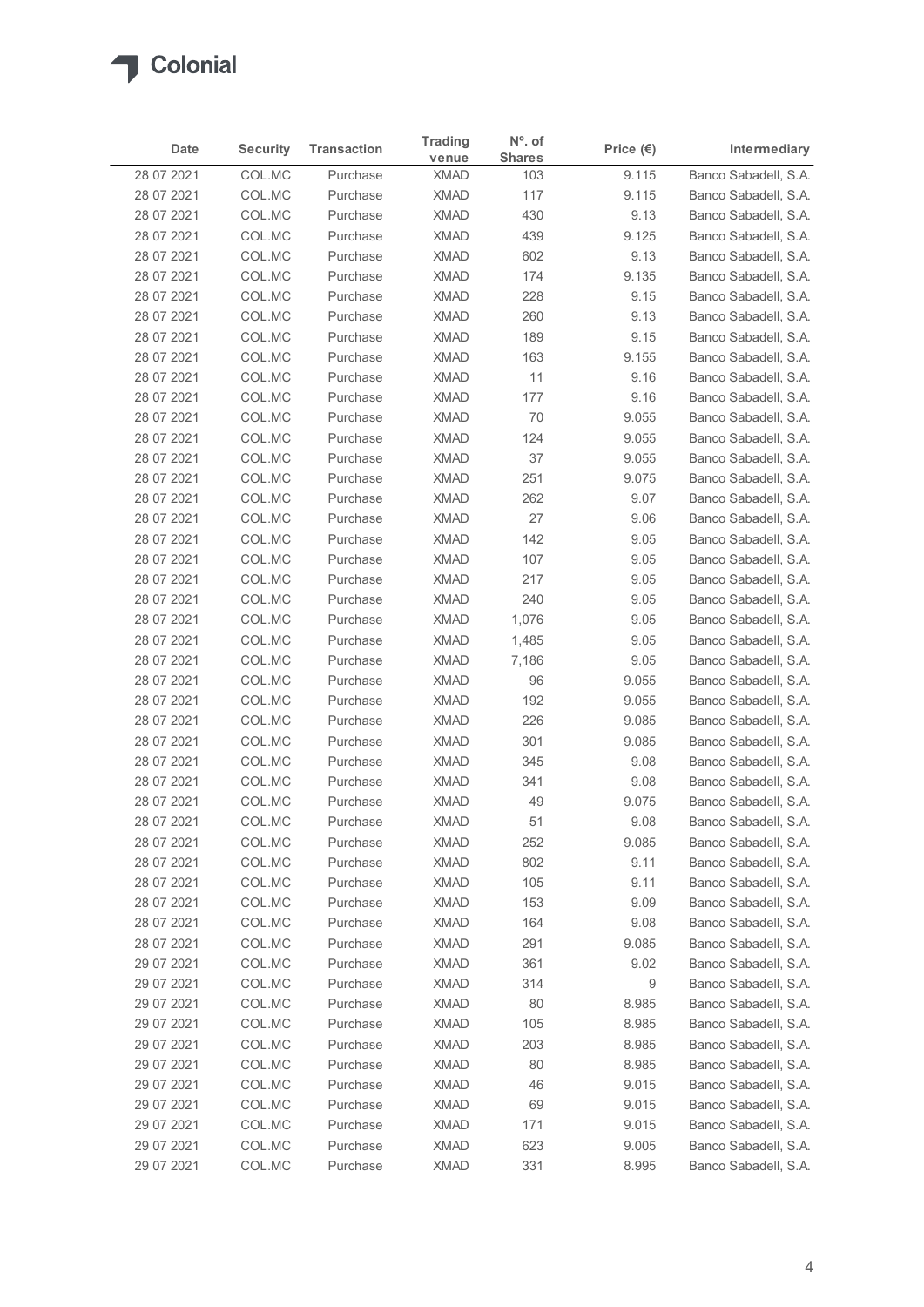

| Date                     | <b>Security</b>  | <b>Transaction</b>   | <b>Trading</b>             | $No$ . of            | Price $(\epsilon)$ | Intermediary                                 |
|--------------------------|------------------|----------------------|----------------------------|----------------------|--------------------|----------------------------------------------|
| 28 07 2021               | COL.MC           | Purchase             | venue<br><b>XMAD</b>       | <b>Shares</b><br>103 | 9.115              | Banco Sabadell, S.A.                         |
| 28 07 2021               | COL.MC           | Purchase             | <b>XMAD</b>                | 117                  | 9.115              | Banco Sabadell, S.A.                         |
| 28 07 2021               | COL.MC           | Purchase             | <b>XMAD</b>                | 430                  | 9.13               | Banco Sabadell, S.A.                         |
| 28 07 2021               | COL.MC           | Purchase             | <b>XMAD</b>                | 439                  | 9.125              | Banco Sabadell, S.A.                         |
| 28 07 2021               | COL.MC           | Purchase             | <b>XMAD</b>                | 602                  | 9.13               | Banco Sabadell, S.A.                         |
| 28 07 2021               | COL.MC           | Purchase             | <b>XMAD</b>                | 174                  | 9.135              | Banco Sabadell, S.A.                         |
| 28 07 2021<br>28 07 2021 | COL.MC<br>COL.MC | Purchase<br>Purchase | <b>XMAD</b><br><b>XMAD</b> | 228<br>260           | 9.15<br>9.13       | Banco Sabadell, S.A.<br>Banco Sabadell, S.A. |
| 28 07 2021               | COL.MC           | Purchase             | <b>XMAD</b>                | 189                  | 9.15               | Banco Sabadell, S.A.                         |
| 28 07 2021               | COL.MC           | Purchase             | <b>XMAD</b>                | 163                  | 9.155              | Banco Sabadell, S.A.                         |
| 28 07 2021               | COL.MC           | Purchase             | <b>XMAD</b>                | 11                   | 9.16               | Banco Sabadell, S.A.                         |
| 28 07 2021               | COL.MC           | Purchase             | <b>XMAD</b>                | 177                  | 9.16               | Banco Sabadell, S.A.                         |
| 28 07 2021<br>28 07 2021 | COL.MC<br>COL.MC | Purchase<br>Purchase | <b>XMAD</b><br>XMAD        | 70<br>124            | 9.055<br>9.055     | Banco Sabadell, S.A.<br>Banco Sabadell, S.A. |
| 28 07 2021               | COL.MC           | Purchase             | <b>XMAD</b>                | 37                   | 9.055              | Banco Sabadell, S.A.                         |
| 28 07 2021               | COL.MC           | Purchase             | <b>XMAD</b>                | 251                  | 9.075              | Banco Sabadell, S.A.                         |
| 28 07 2021               | COL.MC           | Purchase             | <b>XMAD</b>                | 262                  | 9.07               | Banco Sabadell, S.A.                         |
| 28 07 2021               | COL.MC           | Purchase             | <b>XMAD</b>                | 27                   | 9.06               | Banco Sabadell, S.A.                         |
| 28 07 2021               | COL.MC           | Purchase             | <b>XMAD</b>                | 142                  | 9.05               | Banco Sabadell, S.A.                         |
| 28 07 2021<br>28 07 2021 | COL.MC<br>COL.MC | Purchase<br>Purchase | <b>XMAD</b><br><b>XMAD</b> | 107<br>217           | 9.05<br>9.05       | Banco Sabadell, S.A.<br>Banco Sabadell, S.A. |
| 28 07 2021               | COL.MC           | Purchase             | <b>XMAD</b>                | 240                  | 9.05               | Banco Sabadell, S.A.                         |
| 28 07 2021               | COL.MC           | Purchase             | <b>XMAD</b>                | 1,076                | 9.05               | Banco Sabadell, S.A.                         |
| 28 07 2021               | COL.MC           | Purchase             | <b>XMAD</b>                | 1,485                | 9.05               | Banco Sabadell, S.A.                         |
| 28 07 2021               | COL.MC           | Purchase             | <b>XMAD</b>                | 7,186                | 9.05               | Banco Sabadell, S.A.                         |
| 28 07 2021               | COL.MC           | Purchase             | <b>XMAD</b>                | 96                   | 9.055              | Banco Sabadell, S.A.                         |
| 28 07 2021               | COL.MC           | Purchase<br>Purchase | <b>XMAD</b><br><b>XMAD</b> | 192<br>226           | 9.055<br>9.085     | Banco Sabadell, S.A.                         |
| 28 07 2021<br>28 07 2021 | COL.MC<br>COL.MC | Purchase             | <b>XMAD</b>                | 301                  | 9.085              | Banco Sabadell, S.A.<br>Banco Sabadell, S.A. |
| 28 07 2021               | COL.MC           | Purchase             | <b>XMAD</b>                | 345                  | 9.08               | Banco Sabadell, S.A.                         |
| 28 07 2021               | COL.MC           | Purchase             | <b>XMAD</b>                | 341                  | 9.08               | Banco Sabadell, S.A.                         |
| 28 07 2021               | COL.MC           | Purchase             | <b>XMAD</b>                | 49                   | 9.075              | Banco Sabadell, S.A.                         |
| 28 07 2021               | COL.MC           | Purchase             | XMAD                       | 51                   | 9.08               | Banco Sabadell, S.A.                         |
| 28 07 2021               | COL.MC           | Purchase             | <b>XMAD</b>                | 252                  | 9.085              | Banco Sabadell, S.A.                         |
| 28 07 2021               | COL.MC           | Purchase             | <b>XMAD</b>                | 802                  | 9.11               | Banco Sabadell, S.A.                         |
| 28 07 2021<br>28 07 2021 | COL.MC<br>COL.MC | Purchase<br>Purchase | <b>XMAD</b><br><b>XMAD</b> | 105<br>153           | 9.11<br>9.09       | Banco Sabadell, S.A.<br>Banco Sabadell, S.A. |
| 28 07 2021               | COL.MC           | Purchase             | <b>XMAD</b>                | 164                  | 9.08               | Banco Sabadell, S.A.                         |
| 28 07 2021               | COL.MC           | Purchase             | <b>XMAD</b>                | 291                  | 9.085              | Banco Sabadell, S.A.                         |
| 29 07 2021               | COL.MC           | Purchase             | <b>XMAD</b>                | 361                  | 9.02               | Banco Sabadell, S.A.                         |
| 29 07 2021               | COL.MC           | Purchase             | <b>XMAD</b>                | 314                  | 9                  | Banco Sabadell, S.A.                         |
| 29 07 2021               | COL.MC           | Purchase             | <b>XMAD</b>                | 80                   | 8.985              | Banco Sabadell, S.A.                         |
| 29 07 2021               | COL.MC           | Purchase             | <b>XMAD</b>                | 105                  | 8.985              | Banco Sabadell, S.A.                         |
| 29 07 2021               | COL.MC           | Purchase             | <b>XMAD</b>                | 203                  | 8.985              | Banco Sabadell, S.A.                         |
| 29 07 2021<br>29 07 2021 | COL.MC<br>COL.MC | Purchase<br>Purchase | <b>XMAD</b><br>XMAD        | 80<br>46             | 8.985<br>9.015     | Banco Sabadell, S.A.<br>Banco Sabadell, S.A. |
| 29 07 2021               | COL.MC           | Purchase             | <b>XMAD</b>                | 69                   | 9.015              | Banco Sabadell, S.A.                         |
| 29 07 2021               | COL.MC           | Purchase             | <b>XMAD</b>                | 171                  | 9.015              | Banco Sabadell, S.A.                         |
| 29 07 2021               | COL.MC           | Purchase             | <b>XMAD</b>                | 623                  | 9.005              | Banco Sabadell, S.A.                         |
|                          | COL.MC           | Purchase             | <b>XMAD</b>                | 331                  | 8.995              | Banco Sabadell, S.A.                         |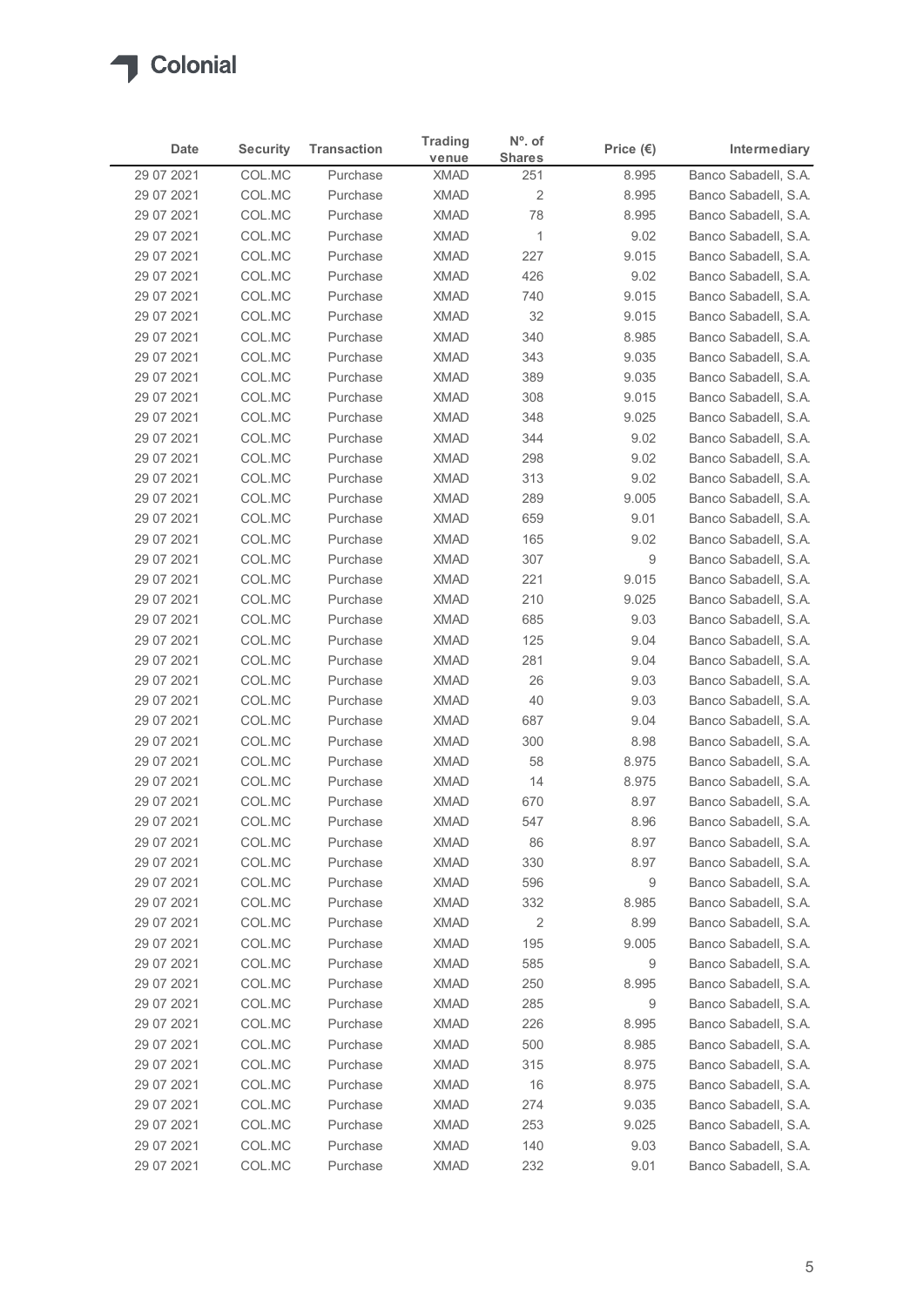

| <b>Trading</b><br><b>Security</b><br><b>Transaction</b><br>Intermediary<br>Date<br>Price $(\epsilon)$<br><b>Shares</b><br>venue<br>Banco Sabadell, S.A.<br>29 07 2021<br>COL.MC<br><b>XMAD</b><br>Purchase<br>251<br>8.995<br>$\overline{\mathbf{c}}$<br>29 07 2021<br>COL.MC<br><b>XMAD</b><br>8.995<br>Banco Sabadell, S.A.<br>Purchase<br>COL.MC<br><b>XMAD</b><br>78<br>Banco Sabadell, S.A.<br>29 07 2021<br>Purchase<br>8.995<br><b>XMAD</b><br>$\mathbf{1}$<br>29 07 2021<br>COL.MC<br>Purchase<br>9.02<br>Banco Sabadell, S.A.<br>COL.MC<br><b>XMAD</b><br>227<br>29 07 2021<br>Purchase<br>9.015<br>Banco Sabadell, S.A.<br>29 07 2021<br>COL.MC<br><b>XMAD</b><br>426<br>Banco Sabadell, S.A.<br>Purchase<br>9.02<br>29 07 2021<br>COL.MC<br><b>XMAD</b><br>Banco Sabadell, S.A.<br>Purchase<br>740<br>9.015<br>29 07 2021<br>COL.MC<br>Purchase<br><b>XMAD</b><br>32<br>9.015<br>Banco Sabadell, S.A.<br>COL.MC<br>340<br>29 07 2021<br><b>XMAD</b><br>8.985<br>Banco Sabadell, S.A.<br>Purchase<br>COL.MC<br><b>XMAD</b><br>343<br>29 07 2021<br>Purchase<br>9.035<br>Banco Sabadell, S.A.<br>COL.MC<br><b>XMAD</b><br>389<br>29 07 2021<br>Purchase<br>9.035<br>Banco Sabadell, S.A.<br>29 07 2021<br>COL.MC<br><b>XMAD</b><br>308<br>9.015<br>Banco Sabadell, S.A.<br>Purchase<br><b>XMAD</b><br>9.025<br>29 07 2021<br>COL.MC<br>Purchase<br>348<br>Banco Sabadell, S.A.<br>29 07 2021<br>COL.MC<br>XMAD<br>344<br>9.02<br>Banco Sabadell, S.A.<br>Purchase<br><b>XMAD</b><br>9.02<br>Banco Sabadell, S.A.<br>29 07 2021<br>COL.MC<br>Purchase<br>298<br>XMAD<br>313<br>9.02<br>29 07 2021<br>COL.MC<br>Purchase<br>Banco Sabadell, S.A.<br><b>XMAD</b><br>9.005<br>29 07 2021<br>COL.MC<br>Purchase<br>289<br>Banco Sabadell, S.A.<br>COL.MC<br><b>XMAD</b><br>29 07 2021<br>Purchase<br>659<br>9.01<br>Banco Sabadell, S.A.<br><b>XMAD</b><br>Banco Sabadell, S.A.<br>29 07 2021<br>COL.MC<br>Purchase<br>165<br>9.02<br>9<br>29 07 2021<br>COL.MC<br>Purchase<br><b>XMAD</b><br>307<br>Banco Sabadell, S.A.<br>9.015<br>29 07 2021<br>COL.MC<br><b>XMAD</b><br>221<br>Banco Sabadell, S.A.<br>Purchase<br>XMAD<br>210<br>9.025<br>Banco Sabadell, S.A.<br>29 07 2021<br>COL.MC<br>Purchase<br>29 07 2021<br>COL.MC<br>Purchase<br><b>XMAD</b><br>685<br>9.03<br>Banco Sabadell, S.A.<br>29 07 2021<br>COL.MC<br>Purchase<br><b>XMAD</b><br>125<br>9.04<br>Banco Sabadell, S.A.<br><b>XMAD</b><br>Banco Sabadell, S.A.<br>29 07 2021<br>COL.MC<br>Purchase<br>281<br>9.04<br>COL.MC<br>26<br>29 07 2021<br><b>XMAD</b><br>9.03<br>Banco Sabadell, S.A.<br>Purchase<br>40<br>29 07 2021<br>COL.MC<br><b>XMAD</b><br>9.03<br>Banco Sabadell, S.A.<br>Purchase<br><b>XMAD</b><br>29 07 2021<br>COL.MC<br>687<br>9.04<br>Banco Sabadell, S.A.<br>Purchase<br><b>XMAD</b><br>8.98<br>Banco Sabadell, S.A.<br>29 07 2021<br>COL.MC<br>Purchase<br>300<br>COL.MC<br><b>XMAD</b><br>29 07 2021<br>Purchase<br>58<br>8.975<br>Banco Sabadell, S.A.<br>29 07 2021<br>COL.MC<br>Purchase<br><b>XMAD</b><br>14<br>8.975<br>Banco Sabadell, S.A.<br>29 07 2021<br>COL.MC<br><b>XMAD</b><br>670<br>8.97<br>Banco Sabadell, S.A.<br>Purchase<br><b>XMAD</b><br>29 07 2021<br>COL.MC<br>Purchase<br>547<br>8.96<br>Banco Sabadell, S.A.<br><b>XMAD</b><br>86<br>29 07 2021<br>COL.MC<br>Purchase<br>8.97<br>Banco Sabadell, S.A.<br>29 07 2021<br>COL.MC<br>Purchase<br>XMAD<br>330<br>8.97<br>Banco Sabadell, S.A.<br>29 07 2021<br>COL.MC<br>Purchase<br><b>XMAD</b><br>596<br>9<br>Banco Sabadell, S.A.<br>29 07 2021<br>COL.MC<br>Purchase<br><b>XMAD</b><br>332<br>8.985<br>Banco Sabadell, S.A.<br>COL.MC<br>$\overline{2}$<br>8.99<br>29 07 2021<br><b>XMAD</b><br>Banco Sabadell, S.A.<br>Purchase<br>29 07 2021<br>COL.MC<br>XMAD<br>195<br>9.005<br>Banco Sabadell, S.A.<br>Purchase<br><b>XMAD</b><br>9<br>29 07 2021<br>COL.MC<br>Purchase<br>585<br>Banco Sabadell, S.A.<br>COL.MC<br><b>XMAD</b><br>250<br>Banco Sabadell, S.A.<br>29 07 2021<br>Purchase<br>8.995<br>29 07 2021<br>COL.MC<br>Purchase<br><b>XMAD</b><br>285<br>9<br>Banco Sabadell, S.A.<br>29 07 2021<br>COL.MC<br>Purchase<br><b>XMAD</b><br>226<br>8.995<br>Banco Sabadell, S.A. |
|---------------------------------------------------------------------------------------------------------------------------------------------------------------------------------------------------------------------------------------------------------------------------------------------------------------------------------------------------------------------------------------------------------------------------------------------------------------------------------------------------------------------------------------------------------------------------------------------------------------------------------------------------------------------------------------------------------------------------------------------------------------------------------------------------------------------------------------------------------------------------------------------------------------------------------------------------------------------------------------------------------------------------------------------------------------------------------------------------------------------------------------------------------------------------------------------------------------------------------------------------------------------------------------------------------------------------------------------------------------------------------------------------------------------------------------------------------------------------------------------------------------------------------------------------------------------------------------------------------------------------------------------------------------------------------------------------------------------------------------------------------------------------------------------------------------------------------------------------------------------------------------------------------------------------------------------------------------------------------------------------------------------------------------------------------------------------------------------------------------------------------------------------------------------------------------------------------------------------------------------------------------------------------------------------------------------------------------------------------------------------------------------------------------------------------------------------------------------------------------------------------------------------------------------------------------------------------------------------------------------------------------------------------------------------------------------------------------------------------------------------------------------------------------------------------------------------------------------------------------------------------------------------------------------------------------------------------------------------------------------------------------------------------------------------------------------------------------------------------------------------------------------------------------------------------------------------------------------------------------------------------------------------------------------------------------------------------------------------------------------------------------------------------------------------------------------------------------------------------------------------------------------------------------------------------------------------------------------------------------------------------------------------------------------------------------------------------------------------------------------------------------------------------------------------------------------------------------------------------------------------------------------------------------------------------------------------------------------------------------------------------------------------------------------------------------------------------------------------------------------------------------------------------------------|
|                                                                                                                                                                                                                                                                                                                                                                                                                                                                                                                                                                                                                                                                                                                                                                                                                                                                                                                                                                                                                                                                                                                                                                                                                                                                                                                                                                                                                                                                                                                                                                                                                                                                                                                                                                                                                                                                                                                                                                                                                                                                                                                                                                                                                                                                                                                                                                                                                                                                                                                                                                                                                                                                                                                                                                                                                                                                                                                                                                                                                                                                                                                                                                                                                                                                                                                                                                                                                                                                                                                                                                                                                                                                                                                                                                                                                                                                                                                                                                                                                                                                                                                                                                     |
|                                                                                                                                                                                                                                                                                                                                                                                                                                                                                                                                                                                                                                                                                                                                                                                                                                                                                                                                                                                                                                                                                                                                                                                                                                                                                                                                                                                                                                                                                                                                                                                                                                                                                                                                                                                                                                                                                                                                                                                                                                                                                                                                                                                                                                                                                                                                                                                                                                                                                                                                                                                                                                                                                                                                                                                                                                                                                                                                                                                                                                                                                                                                                                                                                                                                                                                                                                                                                                                                                                                                                                                                                                                                                                                                                                                                                                                                                                                                                                                                                                                                                                                                                                     |
|                                                                                                                                                                                                                                                                                                                                                                                                                                                                                                                                                                                                                                                                                                                                                                                                                                                                                                                                                                                                                                                                                                                                                                                                                                                                                                                                                                                                                                                                                                                                                                                                                                                                                                                                                                                                                                                                                                                                                                                                                                                                                                                                                                                                                                                                                                                                                                                                                                                                                                                                                                                                                                                                                                                                                                                                                                                                                                                                                                                                                                                                                                                                                                                                                                                                                                                                                                                                                                                                                                                                                                                                                                                                                                                                                                                                                                                                                                                                                                                                                                                                                                                                                                     |
|                                                                                                                                                                                                                                                                                                                                                                                                                                                                                                                                                                                                                                                                                                                                                                                                                                                                                                                                                                                                                                                                                                                                                                                                                                                                                                                                                                                                                                                                                                                                                                                                                                                                                                                                                                                                                                                                                                                                                                                                                                                                                                                                                                                                                                                                                                                                                                                                                                                                                                                                                                                                                                                                                                                                                                                                                                                                                                                                                                                                                                                                                                                                                                                                                                                                                                                                                                                                                                                                                                                                                                                                                                                                                                                                                                                                                                                                                                                                                                                                                                                                                                                                                                     |
|                                                                                                                                                                                                                                                                                                                                                                                                                                                                                                                                                                                                                                                                                                                                                                                                                                                                                                                                                                                                                                                                                                                                                                                                                                                                                                                                                                                                                                                                                                                                                                                                                                                                                                                                                                                                                                                                                                                                                                                                                                                                                                                                                                                                                                                                                                                                                                                                                                                                                                                                                                                                                                                                                                                                                                                                                                                                                                                                                                                                                                                                                                                                                                                                                                                                                                                                                                                                                                                                                                                                                                                                                                                                                                                                                                                                                                                                                                                                                                                                                                                                                                                                                                     |
|                                                                                                                                                                                                                                                                                                                                                                                                                                                                                                                                                                                                                                                                                                                                                                                                                                                                                                                                                                                                                                                                                                                                                                                                                                                                                                                                                                                                                                                                                                                                                                                                                                                                                                                                                                                                                                                                                                                                                                                                                                                                                                                                                                                                                                                                                                                                                                                                                                                                                                                                                                                                                                                                                                                                                                                                                                                                                                                                                                                                                                                                                                                                                                                                                                                                                                                                                                                                                                                                                                                                                                                                                                                                                                                                                                                                                                                                                                                                                                                                                                                                                                                                                                     |
|                                                                                                                                                                                                                                                                                                                                                                                                                                                                                                                                                                                                                                                                                                                                                                                                                                                                                                                                                                                                                                                                                                                                                                                                                                                                                                                                                                                                                                                                                                                                                                                                                                                                                                                                                                                                                                                                                                                                                                                                                                                                                                                                                                                                                                                                                                                                                                                                                                                                                                                                                                                                                                                                                                                                                                                                                                                                                                                                                                                                                                                                                                                                                                                                                                                                                                                                                                                                                                                                                                                                                                                                                                                                                                                                                                                                                                                                                                                                                                                                                                                                                                                                                                     |
|                                                                                                                                                                                                                                                                                                                                                                                                                                                                                                                                                                                                                                                                                                                                                                                                                                                                                                                                                                                                                                                                                                                                                                                                                                                                                                                                                                                                                                                                                                                                                                                                                                                                                                                                                                                                                                                                                                                                                                                                                                                                                                                                                                                                                                                                                                                                                                                                                                                                                                                                                                                                                                                                                                                                                                                                                                                                                                                                                                                                                                                                                                                                                                                                                                                                                                                                                                                                                                                                                                                                                                                                                                                                                                                                                                                                                                                                                                                                                                                                                                                                                                                                                                     |
|                                                                                                                                                                                                                                                                                                                                                                                                                                                                                                                                                                                                                                                                                                                                                                                                                                                                                                                                                                                                                                                                                                                                                                                                                                                                                                                                                                                                                                                                                                                                                                                                                                                                                                                                                                                                                                                                                                                                                                                                                                                                                                                                                                                                                                                                                                                                                                                                                                                                                                                                                                                                                                                                                                                                                                                                                                                                                                                                                                                                                                                                                                                                                                                                                                                                                                                                                                                                                                                                                                                                                                                                                                                                                                                                                                                                                                                                                                                                                                                                                                                                                                                                                                     |
|                                                                                                                                                                                                                                                                                                                                                                                                                                                                                                                                                                                                                                                                                                                                                                                                                                                                                                                                                                                                                                                                                                                                                                                                                                                                                                                                                                                                                                                                                                                                                                                                                                                                                                                                                                                                                                                                                                                                                                                                                                                                                                                                                                                                                                                                                                                                                                                                                                                                                                                                                                                                                                                                                                                                                                                                                                                                                                                                                                                                                                                                                                                                                                                                                                                                                                                                                                                                                                                                                                                                                                                                                                                                                                                                                                                                                                                                                                                                                                                                                                                                                                                                                                     |
|                                                                                                                                                                                                                                                                                                                                                                                                                                                                                                                                                                                                                                                                                                                                                                                                                                                                                                                                                                                                                                                                                                                                                                                                                                                                                                                                                                                                                                                                                                                                                                                                                                                                                                                                                                                                                                                                                                                                                                                                                                                                                                                                                                                                                                                                                                                                                                                                                                                                                                                                                                                                                                                                                                                                                                                                                                                                                                                                                                                                                                                                                                                                                                                                                                                                                                                                                                                                                                                                                                                                                                                                                                                                                                                                                                                                                                                                                                                                                                                                                                                                                                                                                                     |
|                                                                                                                                                                                                                                                                                                                                                                                                                                                                                                                                                                                                                                                                                                                                                                                                                                                                                                                                                                                                                                                                                                                                                                                                                                                                                                                                                                                                                                                                                                                                                                                                                                                                                                                                                                                                                                                                                                                                                                                                                                                                                                                                                                                                                                                                                                                                                                                                                                                                                                                                                                                                                                                                                                                                                                                                                                                                                                                                                                                                                                                                                                                                                                                                                                                                                                                                                                                                                                                                                                                                                                                                                                                                                                                                                                                                                                                                                                                                                                                                                                                                                                                                                                     |
|                                                                                                                                                                                                                                                                                                                                                                                                                                                                                                                                                                                                                                                                                                                                                                                                                                                                                                                                                                                                                                                                                                                                                                                                                                                                                                                                                                                                                                                                                                                                                                                                                                                                                                                                                                                                                                                                                                                                                                                                                                                                                                                                                                                                                                                                                                                                                                                                                                                                                                                                                                                                                                                                                                                                                                                                                                                                                                                                                                                                                                                                                                                                                                                                                                                                                                                                                                                                                                                                                                                                                                                                                                                                                                                                                                                                                                                                                                                                                                                                                                                                                                                                                                     |
|                                                                                                                                                                                                                                                                                                                                                                                                                                                                                                                                                                                                                                                                                                                                                                                                                                                                                                                                                                                                                                                                                                                                                                                                                                                                                                                                                                                                                                                                                                                                                                                                                                                                                                                                                                                                                                                                                                                                                                                                                                                                                                                                                                                                                                                                                                                                                                                                                                                                                                                                                                                                                                                                                                                                                                                                                                                                                                                                                                                                                                                                                                                                                                                                                                                                                                                                                                                                                                                                                                                                                                                                                                                                                                                                                                                                                                                                                                                                                                                                                                                                                                                                                                     |
|                                                                                                                                                                                                                                                                                                                                                                                                                                                                                                                                                                                                                                                                                                                                                                                                                                                                                                                                                                                                                                                                                                                                                                                                                                                                                                                                                                                                                                                                                                                                                                                                                                                                                                                                                                                                                                                                                                                                                                                                                                                                                                                                                                                                                                                                                                                                                                                                                                                                                                                                                                                                                                                                                                                                                                                                                                                                                                                                                                                                                                                                                                                                                                                                                                                                                                                                                                                                                                                                                                                                                                                                                                                                                                                                                                                                                                                                                                                                                                                                                                                                                                                                                                     |
|                                                                                                                                                                                                                                                                                                                                                                                                                                                                                                                                                                                                                                                                                                                                                                                                                                                                                                                                                                                                                                                                                                                                                                                                                                                                                                                                                                                                                                                                                                                                                                                                                                                                                                                                                                                                                                                                                                                                                                                                                                                                                                                                                                                                                                                                                                                                                                                                                                                                                                                                                                                                                                                                                                                                                                                                                                                                                                                                                                                                                                                                                                                                                                                                                                                                                                                                                                                                                                                                                                                                                                                                                                                                                                                                                                                                                                                                                                                                                                                                                                                                                                                                                                     |
|                                                                                                                                                                                                                                                                                                                                                                                                                                                                                                                                                                                                                                                                                                                                                                                                                                                                                                                                                                                                                                                                                                                                                                                                                                                                                                                                                                                                                                                                                                                                                                                                                                                                                                                                                                                                                                                                                                                                                                                                                                                                                                                                                                                                                                                                                                                                                                                                                                                                                                                                                                                                                                                                                                                                                                                                                                                                                                                                                                                                                                                                                                                                                                                                                                                                                                                                                                                                                                                                                                                                                                                                                                                                                                                                                                                                                                                                                                                                                                                                                                                                                                                                                                     |
|                                                                                                                                                                                                                                                                                                                                                                                                                                                                                                                                                                                                                                                                                                                                                                                                                                                                                                                                                                                                                                                                                                                                                                                                                                                                                                                                                                                                                                                                                                                                                                                                                                                                                                                                                                                                                                                                                                                                                                                                                                                                                                                                                                                                                                                                                                                                                                                                                                                                                                                                                                                                                                                                                                                                                                                                                                                                                                                                                                                                                                                                                                                                                                                                                                                                                                                                                                                                                                                                                                                                                                                                                                                                                                                                                                                                                                                                                                                                                                                                                                                                                                                                                                     |
|                                                                                                                                                                                                                                                                                                                                                                                                                                                                                                                                                                                                                                                                                                                                                                                                                                                                                                                                                                                                                                                                                                                                                                                                                                                                                                                                                                                                                                                                                                                                                                                                                                                                                                                                                                                                                                                                                                                                                                                                                                                                                                                                                                                                                                                                                                                                                                                                                                                                                                                                                                                                                                                                                                                                                                                                                                                                                                                                                                                                                                                                                                                                                                                                                                                                                                                                                                                                                                                                                                                                                                                                                                                                                                                                                                                                                                                                                                                                                                                                                                                                                                                                                                     |
|                                                                                                                                                                                                                                                                                                                                                                                                                                                                                                                                                                                                                                                                                                                                                                                                                                                                                                                                                                                                                                                                                                                                                                                                                                                                                                                                                                                                                                                                                                                                                                                                                                                                                                                                                                                                                                                                                                                                                                                                                                                                                                                                                                                                                                                                                                                                                                                                                                                                                                                                                                                                                                                                                                                                                                                                                                                                                                                                                                                                                                                                                                                                                                                                                                                                                                                                                                                                                                                                                                                                                                                                                                                                                                                                                                                                                                                                                                                                                                                                                                                                                                                                                                     |
|                                                                                                                                                                                                                                                                                                                                                                                                                                                                                                                                                                                                                                                                                                                                                                                                                                                                                                                                                                                                                                                                                                                                                                                                                                                                                                                                                                                                                                                                                                                                                                                                                                                                                                                                                                                                                                                                                                                                                                                                                                                                                                                                                                                                                                                                                                                                                                                                                                                                                                                                                                                                                                                                                                                                                                                                                                                                                                                                                                                                                                                                                                                                                                                                                                                                                                                                                                                                                                                                                                                                                                                                                                                                                                                                                                                                                                                                                                                                                                                                                                                                                                                                                                     |
|                                                                                                                                                                                                                                                                                                                                                                                                                                                                                                                                                                                                                                                                                                                                                                                                                                                                                                                                                                                                                                                                                                                                                                                                                                                                                                                                                                                                                                                                                                                                                                                                                                                                                                                                                                                                                                                                                                                                                                                                                                                                                                                                                                                                                                                                                                                                                                                                                                                                                                                                                                                                                                                                                                                                                                                                                                                                                                                                                                                                                                                                                                                                                                                                                                                                                                                                                                                                                                                                                                                                                                                                                                                                                                                                                                                                                                                                                                                                                                                                                                                                                                                                                                     |
|                                                                                                                                                                                                                                                                                                                                                                                                                                                                                                                                                                                                                                                                                                                                                                                                                                                                                                                                                                                                                                                                                                                                                                                                                                                                                                                                                                                                                                                                                                                                                                                                                                                                                                                                                                                                                                                                                                                                                                                                                                                                                                                                                                                                                                                                                                                                                                                                                                                                                                                                                                                                                                                                                                                                                                                                                                                                                                                                                                                                                                                                                                                                                                                                                                                                                                                                                                                                                                                                                                                                                                                                                                                                                                                                                                                                                                                                                                                                                                                                                                                                                                                                                                     |
|                                                                                                                                                                                                                                                                                                                                                                                                                                                                                                                                                                                                                                                                                                                                                                                                                                                                                                                                                                                                                                                                                                                                                                                                                                                                                                                                                                                                                                                                                                                                                                                                                                                                                                                                                                                                                                                                                                                                                                                                                                                                                                                                                                                                                                                                                                                                                                                                                                                                                                                                                                                                                                                                                                                                                                                                                                                                                                                                                                                                                                                                                                                                                                                                                                                                                                                                                                                                                                                                                                                                                                                                                                                                                                                                                                                                                                                                                                                                                                                                                                                                                                                                                                     |
|                                                                                                                                                                                                                                                                                                                                                                                                                                                                                                                                                                                                                                                                                                                                                                                                                                                                                                                                                                                                                                                                                                                                                                                                                                                                                                                                                                                                                                                                                                                                                                                                                                                                                                                                                                                                                                                                                                                                                                                                                                                                                                                                                                                                                                                                                                                                                                                                                                                                                                                                                                                                                                                                                                                                                                                                                                                                                                                                                                                                                                                                                                                                                                                                                                                                                                                                                                                                                                                                                                                                                                                                                                                                                                                                                                                                                                                                                                                                                                                                                                                                                                                                                                     |
|                                                                                                                                                                                                                                                                                                                                                                                                                                                                                                                                                                                                                                                                                                                                                                                                                                                                                                                                                                                                                                                                                                                                                                                                                                                                                                                                                                                                                                                                                                                                                                                                                                                                                                                                                                                                                                                                                                                                                                                                                                                                                                                                                                                                                                                                                                                                                                                                                                                                                                                                                                                                                                                                                                                                                                                                                                                                                                                                                                                                                                                                                                                                                                                                                                                                                                                                                                                                                                                                                                                                                                                                                                                                                                                                                                                                                                                                                                                                                                                                                                                                                                                                                                     |
|                                                                                                                                                                                                                                                                                                                                                                                                                                                                                                                                                                                                                                                                                                                                                                                                                                                                                                                                                                                                                                                                                                                                                                                                                                                                                                                                                                                                                                                                                                                                                                                                                                                                                                                                                                                                                                                                                                                                                                                                                                                                                                                                                                                                                                                                                                                                                                                                                                                                                                                                                                                                                                                                                                                                                                                                                                                                                                                                                                                                                                                                                                                                                                                                                                                                                                                                                                                                                                                                                                                                                                                                                                                                                                                                                                                                                                                                                                                                                                                                                                                                                                                                                                     |
|                                                                                                                                                                                                                                                                                                                                                                                                                                                                                                                                                                                                                                                                                                                                                                                                                                                                                                                                                                                                                                                                                                                                                                                                                                                                                                                                                                                                                                                                                                                                                                                                                                                                                                                                                                                                                                                                                                                                                                                                                                                                                                                                                                                                                                                                                                                                                                                                                                                                                                                                                                                                                                                                                                                                                                                                                                                                                                                                                                                                                                                                                                                                                                                                                                                                                                                                                                                                                                                                                                                                                                                                                                                                                                                                                                                                                                                                                                                                                                                                                                                                                                                                                                     |
|                                                                                                                                                                                                                                                                                                                                                                                                                                                                                                                                                                                                                                                                                                                                                                                                                                                                                                                                                                                                                                                                                                                                                                                                                                                                                                                                                                                                                                                                                                                                                                                                                                                                                                                                                                                                                                                                                                                                                                                                                                                                                                                                                                                                                                                                                                                                                                                                                                                                                                                                                                                                                                                                                                                                                                                                                                                                                                                                                                                                                                                                                                                                                                                                                                                                                                                                                                                                                                                                                                                                                                                                                                                                                                                                                                                                                                                                                                                                                                                                                                                                                                                                                                     |
|                                                                                                                                                                                                                                                                                                                                                                                                                                                                                                                                                                                                                                                                                                                                                                                                                                                                                                                                                                                                                                                                                                                                                                                                                                                                                                                                                                                                                                                                                                                                                                                                                                                                                                                                                                                                                                                                                                                                                                                                                                                                                                                                                                                                                                                                                                                                                                                                                                                                                                                                                                                                                                                                                                                                                                                                                                                                                                                                                                                                                                                                                                                                                                                                                                                                                                                                                                                                                                                                                                                                                                                                                                                                                                                                                                                                                                                                                                                                                                                                                                                                                                                                                                     |
|                                                                                                                                                                                                                                                                                                                                                                                                                                                                                                                                                                                                                                                                                                                                                                                                                                                                                                                                                                                                                                                                                                                                                                                                                                                                                                                                                                                                                                                                                                                                                                                                                                                                                                                                                                                                                                                                                                                                                                                                                                                                                                                                                                                                                                                                                                                                                                                                                                                                                                                                                                                                                                                                                                                                                                                                                                                                                                                                                                                                                                                                                                                                                                                                                                                                                                                                                                                                                                                                                                                                                                                                                                                                                                                                                                                                                                                                                                                                                                                                                                                                                                                                                                     |
|                                                                                                                                                                                                                                                                                                                                                                                                                                                                                                                                                                                                                                                                                                                                                                                                                                                                                                                                                                                                                                                                                                                                                                                                                                                                                                                                                                                                                                                                                                                                                                                                                                                                                                                                                                                                                                                                                                                                                                                                                                                                                                                                                                                                                                                                                                                                                                                                                                                                                                                                                                                                                                                                                                                                                                                                                                                                                                                                                                                                                                                                                                                                                                                                                                                                                                                                                                                                                                                                                                                                                                                                                                                                                                                                                                                                                                                                                                                                                                                                                                                                                                                                                                     |
|                                                                                                                                                                                                                                                                                                                                                                                                                                                                                                                                                                                                                                                                                                                                                                                                                                                                                                                                                                                                                                                                                                                                                                                                                                                                                                                                                                                                                                                                                                                                                                                                                                                                                                                                                                                                                                                                                                                                                                                                                                                                                                                                                                                                                                                                                                                                                                                                                                                                                                                                                                                                                                                                                                                                                                                                                                                                                                                                                                                                                                                                                                                                                                                                                                                                                                                                                                                                                                                                                                                                                                                                                                                                                                                                                                                                                                                                                                                                                                                                                                                                                                                                                                     |
|                                                                                                                                                                                                                                                                                                                                                                                                                                                                                                                                                                                                                                                                                                                                                                                                                                                                                                                                                                                                                                                                                                                                                                                                                                                                                                                                                                                                                                                                                                                                                                                                                                                                                                                                                                                                                                                                                                                                                                                                                                                                                                                                                                                                                                                                                                                                                                                                                                                                                                                                                                                                                                                                                                                                                                                                                                                                                                                                                                                                                                                                                                                                                                                                                                                                                                                                                                                                                                                                                                                                                                                                                                                                                                                                                                                                                                                                                                                                                                                                                                                                                                                                                                     |
|                                                                                                                                                                                                                                                                                                                                                                                                                                                                                                                                                                                                                                                                                                                                                                                                                                                                                                                                                                                                                                                                                                                                                                                                                                                                                                                                                                                                                                                                                                                                                                                                                                                                                                                                                                                                                                                                                                                                                                                                                                                                                                                                                                                                                                                                                                                                                                                                                                                                                                                                                                                                                                                                                                                                                                                                                                                                                                                                                                                                                                                                                                                                                                                                                                                                                                                                                                                                                                                                                                                                                                                                                                                                                                                                                                                                                                                                                                                                                                                                                                                                                                                                                                     |
|                                                                                                                                                                                                                                                                                                                                                                                                                                                                                                                                                                                                                                                                                                                                                                                                                                                                                                                                                                                                                                                                                                                                                                                                                                                                                                                                                                                                                                                                                                                                                                                                                                                                                                                                                                                                                                                                                                                                                                                                                                                                                                                                                                                                                                                                                                                                                                                                                                                                                                                                                                                                                                                                                                                                                                                                                                                                                                                                                                                                                                                                                                                                                                                                                                                                                                                                                                                                                                                                                                                                                                                                                                                                                                                                                                                                                                                                                                                                                                                                                                                                                                                                                                     |
|                                                                                                                                                                                                                                                                                                                                                                                                                                                                                                                                                                                                                                                                                                                                                                                                                                                                                                                                                                                                                                                                                                                                                                                                                                                                                                                                                                                                                                                                                                                                                                                                                                                                                                                                                                                                                                                                                                                                                                                                                                                                                                                                                                                                                                                                                                                                                                                                                                                                                                                                                                                                                                                                                                                                                                                                                                                                                                                                                                                                                                                                                                                                                                                                                                                                                                                                                                                                                                                                                                                                                                                                                                                                                                                                                                                                                                                                                                                                                                                                                                                                                                                                                                     |
|                                                                                                                                                                                                                                                                                                                                                                                                                                                                                                                                                                                                                                                                                                                                                                                                                                                                                                                                                                                                                                                                                                                                                                                                                                                                                                                                                                                                                                                                                                                                                                                                                                                                                                                                                                                                                                                                                                                                                                                                                                                                                                                                                                                                                                                                                                                                                                                                                                                                                                                                                                                                                                                                                                                                                                                                                                                                                                                                                                                                                                                                                                                                                                                                                                                                                                                                                                                                                                                                                                                                                                                                                                                                                                                                                                                                                                                                                                                                                                                                                                                                                                                                                                     |
| 500<br>29 07 2021<br>COL.MC<br><b>XMAD</b><br>8.985<br>Banco Sabadell, S.A.<br>Purchase                                                                                                                                                                                                                                                                                                                                                                                                                                                                                                                                                                                                                                                                                                                                                                                                                                                                                                                                                                                                                                                                                                                                                                                                                                                                                                                                                                                                                                                                                                                                                                                                                                                                                                                                                                                                                                                                                                                                                                                                                                                                                                                                                                                                                                                                                                                                                                                                                                                                                                                                                                                                                                                                                                                                                                                                                                                                                                                                                                                                                                                                                                                                                                                                                                                                                                                                                                                                                                                                                                                                                                                                                                                                                                                                                                                                                                                                                                                                                                                                                                                                             |
| XMAD<br>315<br>8.975<br>29 07 2021<br>COL.MC<br>Purchase<br>Banco Sabadell, S.A.                                                                                                                                                                                                                                                                                                                                                                                                                                                                                                                                                                                                                                                                                                                                                                                                                                                                                                                                                                                                                                                                                                                                                                                                                                                                                                                                                                                                                                                                                                                                                                                                                                                                                                                                                                                                                                                                                                                                                                                                                                                                                                                                                                                                                                                                                                                                                                                                                                                                                                                                                                                                                                                                                                                                                                                                                                                                                                                                                                                                                                                                                                                                                                                                                                                                                                                                                                                                                                                                                                                                                                                                                                                                                                                                                                                                                                                                                                                                                                                                                                                                                    |
| XMAD<br>16<br>29 07 2021<br>COL.MC<br>8.975<br>Banco Sabadell, S.A.<br>Purchase                                                                                                                                                                                                                                                                                                                                                                                                                                                                                                                                                                                                                                                                                                                                                                                                                                                                                                                                                                                                                                                                                                                                                                                                                                                                                                                                                                                                                                                                                                                                                                                                                                                                                                                                                                                                                                                                                                                                                                                                                                                                                                                                                                                                                                                                                                                                                                                                                                                                                                                                                                                                                                                                                                                                                                                                                                                                                                                                                                                                                                                                                                                                                                                                                                                                                                                                                                                                                                                                                                                                                                                                                                                                                                                                                                                                                                                                                                                                                                                                                                                                                     |
| 29 07 2021<br>COL.MC<br>Purchase<br><b>XMAD</b><br>274<br>9.035<br>Banco Sabadell, S.A.                                                                                                                                                                                                                                                                                                                                                                                                                                                                                                                                                                                                                                                                                                                                                                                                                                                                                                                                                                                                                                                                                                                                                                                                                                                                                                                                                                                                                                                                                                                                                                                                                                                                                                                                                                                                                                                                                                                                                                                                                                                                                                                                                                                                                                                                                                                                                                                                                                                                                                                                                                                                                                                                                                                                                                                                                                                                                                                                                                                                                                                                                                                                                                                                                                                                                                                                                                                                                                                                                                                                                                                                                                                                                                                                                                                                                                                                                                                                                                                                                                                                             |
| <b>XMAD</b><br>9.025<br>29 07 2021<br>COL.MC<br>Purchase<br>253<br>Banco Sabadell, S.A.                                                                                                                                                                                                                                                                                                                                                                                                                                                                                                                                                                                                                                                                                                                                                                                                                                                                                                                                                                                                                                                                                                                                                                                                                                                                                                                                                                                                                                                                                                                                                                                                                                                                                                                                                                                                                                                                                                                                                                                                                                                                                                                                                                                                                                                                                                                                                                                                                                                                                                                                                                                                                                                                                                                                                                                                                                                                                                                                                                                                                                                                                                                                                                                                                                                                                                                                                                                                                                                                                                                                                                                                                                                                                                                                                                                                                                                                                                                                                                                                                                                                             |
| 29 07 2021<br>COL.MC<br>Purchase<br><b>XMAD</b><br>140<br>9.03<br>Banco Sabadell, S.A.<br>29 07 2021<br>COL.MC<br><b>XMAD</b><br>232<br>9.01<br>Banco Sabadell, S.A.<br>Purchase                                                                                                                                                                                                                                                                                                                                                                                                                                                                                                                                                                                                                                                                                                                                                                                                                                                                                                                                                                                                                                                                                                                                                                                                                                                                                                                                                                                                                                                                                                                                                                                                                                                                                                                                                                                                                                                                                                                                                                                                                                                                                                                                                                                                                                                                                                                                                                                                                                                                                                                                                                                                                                                                                                                                                                                                                                                                                                                                                                                                                                                                                                                                                                                                                                                                                                                                                                                                                                                                                                                                                                                                                                                                                                                                                                                                                                                                                                                                                                                    |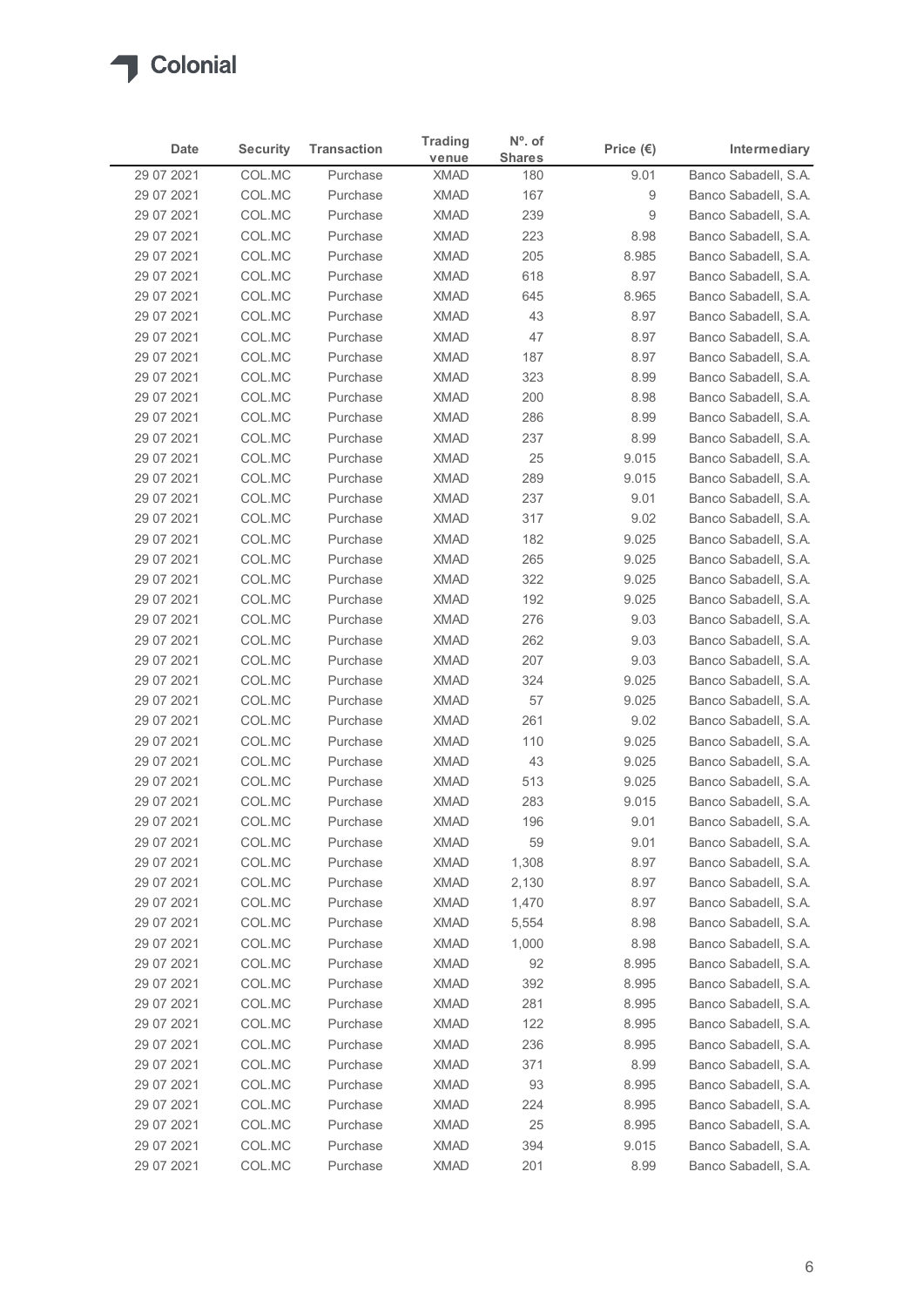

| Date                     | <b>Security</b>  | <b>Transaction</b>   | <b>Trading</b>             | $No$ . of            | Price $(\epsilon)$ | Intermediary                                 |
|--------------------------|------------------|----------------------|----------------------------|----------------------|--------------------|----------------------------------------------|
| 29 07 2021               | COL.MC           | Purchase             | venue<br><b>XMAD</b>       | <b>Shares</b><br>180 | 9.01               | Banco Sabadell, S.A.                         |
| 29 07 2021               | COL.MC           | Purchase             | <b>XMAD</b>                | 167                  | 9                  | Banco Sabadell, S.A.                         |
| 29 07 2021               | COL.MC           | Purchase             | <b>XMAD</b>                | 239                  | 9                  | Banco Sabadell, S.A.                         |
| 29 07 2021               | COL.MC           | Purchase             | <b>XMAD</b>                | 223                  | 8.98               | Banco Sabadell, S.A.                         |
| 29 07 2021               | COL.MC           | Purchase             | <b>XMAD</b>                | 205                  | 8.985              | Banco Sabadell, S.A.                         |
| 29 07 2021               | COL.MC           | Purchase             | <b>XMAD</b>                | 618                  | 8.97               | Banco Sabadell, S.A.                         |
| 29 07 2021<br>29 07 2021 | COL.MC           | Purchase<br>Purchase | <b>XMAD</b><br><b>XMAD</b> | 645<br>43            | 8.965              | Banco Sabadell, S.A.                         |
| 29 07 2021               | COL.MC<br>COL.MC | Purchase             | <b>XMAD</b>                | 47                   | 8.97<br>8.97       | Banco Sabadell, S.A.<br>Banco Sabadell, S.A. |
| 29 07 2021               | COL.MC           | Purchase             | <b>XMAD</b>                | 187                  | 8.97               | Banco Sabadell, S.A.                         |
| 29 07 2021               | COL.MC           | Purchase             | <b>XMAD</b>                | 323                  | 8.99               | Banco Sabadell, S.A.                         |
| 29 07 2021               | COL.MC           | Purchase             | <b>XMAD</b>                | 200                  | 8.98               | Banco Sabadell, S.A.                         |
| 29 07 2021               | COL.MC           | Purchase             | <b>XMAD</b>                | 286                  | 8.99               | Banco Sabadell, S.A.                         |
| 29 07 2021               | COL.MC           | Purchase             | XMAD                       | 237                  | 8.99               | Banco Sabadell, S.A.                         |
| 29 07 2021               | COL.MC           | Purchase             | <b>XMAD</b>                | 25                   | 9.015              | Banco Sabadell, S.A.                         |
| 29 07 2021<br>29 07 2021 | COL.MC<br>COL.MC | Purchase<br>Purchase | <b>XMAD</b><br>XMAD        | 289<br>237           | 9.015<br>9.01      | Banco Sabadell, S.A.<br>Banco Sabadell, S.A. |
| 29 07 2021               | COL.MC           | Purchase             | <b>XMAD</b>                | 317                  | 9.02               | Banco Sabadell, S.A.                         |
| 29 07 2021               | COL.MC           | Purchase             | <b>XMAD</b>                | 182                  | 9.025              | Banco Sabadell, S.A.                         |
| 29 07 2021               | COL.MC           | Purchase             | <b>XMAD</b>                | 265                  | 9.025              | Banco Sabadell, S.A.                         |
| 29 07 2021               | COL.MC           | Purchase             | <b>XMAD</b>                | 322                  | 9.025              | Banco Sabadell, S.A.                         |
| 29 07 2021               | COL.MC           | Purchase             | <b>XMAD</b>                | 192                  | 9.025              | Banco Sabadell, S.A.                         |
| 29 07 2021               | COL.MC           | Purchase             | XMAD                       | 276                  | 9.03               | Banco Sabadell, S.A.                         |
| 29 07 2021               | COL.MC           | Purchase             | <b>XMAD</b>                | 262                  | 9.03               | Banco Sabadell, S.A.                         |
| 29 07 2021<br>29 07 2021 | COL.MC<br>COL.MC | Purchase<br>Purchase | <b>XMAD</b><br><b>XMAD</b> | 207<br>324           | 9.03<br>9.025      | Banco Sabadell, S.A.<br>Banco Sabadell, S.A. |
| 29 07 2021               | COL.MC           | Purchase             | <b>XMAD</b>                | 57                   | 9.025              | Banco Sabadell, S.A.                         |
| 29 07 2021               | COL.MC           | Purchase             | XMAD                       | 261                  | 9.02               | Banco Sabadell, S.A.                         |
| 29 07 2021               | COL.MC           | Purchase             | <b>XMAD</b>                | 110                  | 9.025              | Banco Sabadell, S.A.                         |
| 29 07 2021               | COL.MC           | Purchase             | <b>XMAD</b>                | 43                   | 9.025              | Banco Sabadell, S.A.                         |
| 29 07 2021               | COL.MC           | Purchase             | <b>XMAD</b>                | 513                  | 9.025              | Banco Sabadell, S.A.                         |
| 29 07 2021               | COL.MC           | Purchase             | <b>XMAD</b>                | 283                  | 9.015              | Banco Sabadell, S.A.                         |
| 29 07 2021               | COL.MC           | Purchase             | <b>XMAD</b>                | 196                  | 9.01               | Banco Sabadell, S.A.                         |
| 29 07 2021               | COL.MC           | Purchase             | <b>XMAD</b>                | 59                   | 9.01               | Banco Sabadell, S.A.                         |
| 29 07 2021<br>29 07 2021 | COL.MC<br>COL.MC | Purchase<br>Purchase | XMAD<br><b>XMAD</b>        | 1,308<br>2,130       | 8.97<br>8.97       | Banco Sabadell, S.A.<br>Banco Sabadell, S.A. |
| 29 07 2021               | COL.MC           | Purchase             | <b>XMAD</b>                | 1,470                | 8.97               | Banco Sabadell, S.A.                         |
| 29 07 2021               | COL.MC           | Purchase             | <b>XMAD</b>                | 5,554                | 8.98               | Banco Sabadell, S.A.                         |
| 29 07 2021               | COL.MC           | Purchase             | <b>XMAD</b>                | 1,000                | 8.98               | Banco Sabadell, S.A.                         |
| 29 07 2021               | COL.MC           | Purchase             | <b>XMAD</b>                | 92                   | 8.995              | Banco Sabadell, S.A.                         |
| 29 07 2021               | COL.MC           | Purchase             | <b>XMAD</b>                | 392                  | 8.995              | Banco Sabadell, S.A.                         |
| 29 07 2021               | COL.MC           | Purchase             | <b>XMAD</b>                | 281                  | 8.995              | Banco Sabadell, S.A.                         |
| 29 07 2021               | COL.MC           | Purchase             | <b>XMAD</b>                | 122                  | 8.995              | Banco Sabadell, S.A.                         |
| 29 07 2021               | COL.MC<br>COL.MC | Purchase<br>Purchase | <b>XMAD</b><br><b>XMAD</b> | 236<br>371           | 8.995<br>8.99      | Banco Sabadell, S.A.<br>Banco Sabadell, S.A. |
| 29 07 2021<br>29 07 2021 | COL.MC           | Purchase             | XMAD                       | 93                   | 8.995              | Banco Sabadell, S.A.                         |
| 29 07 2021               | COL.MC           | Purchase             | <b>XMAD</b>                | 224                  | 8.995              | Banco Sabadell, S.A.                         |
| 29 07 2021               | COL.MC           | Purchase             | <b>XMAD</b>                | 25                   | 8.995              | Banco Sabadell, S.A.                         |
| 29 07 2021               | COL.MC           | Purchase             | <b>XMAD</b>                | 394                  | 9.015              | Banco Sabadell, S.A.                         |
|                          | COL.MC           | Purchase             | <b>XMAD</b>                | 201                  | 8.99               | Banco Sabadell, S.A.                         |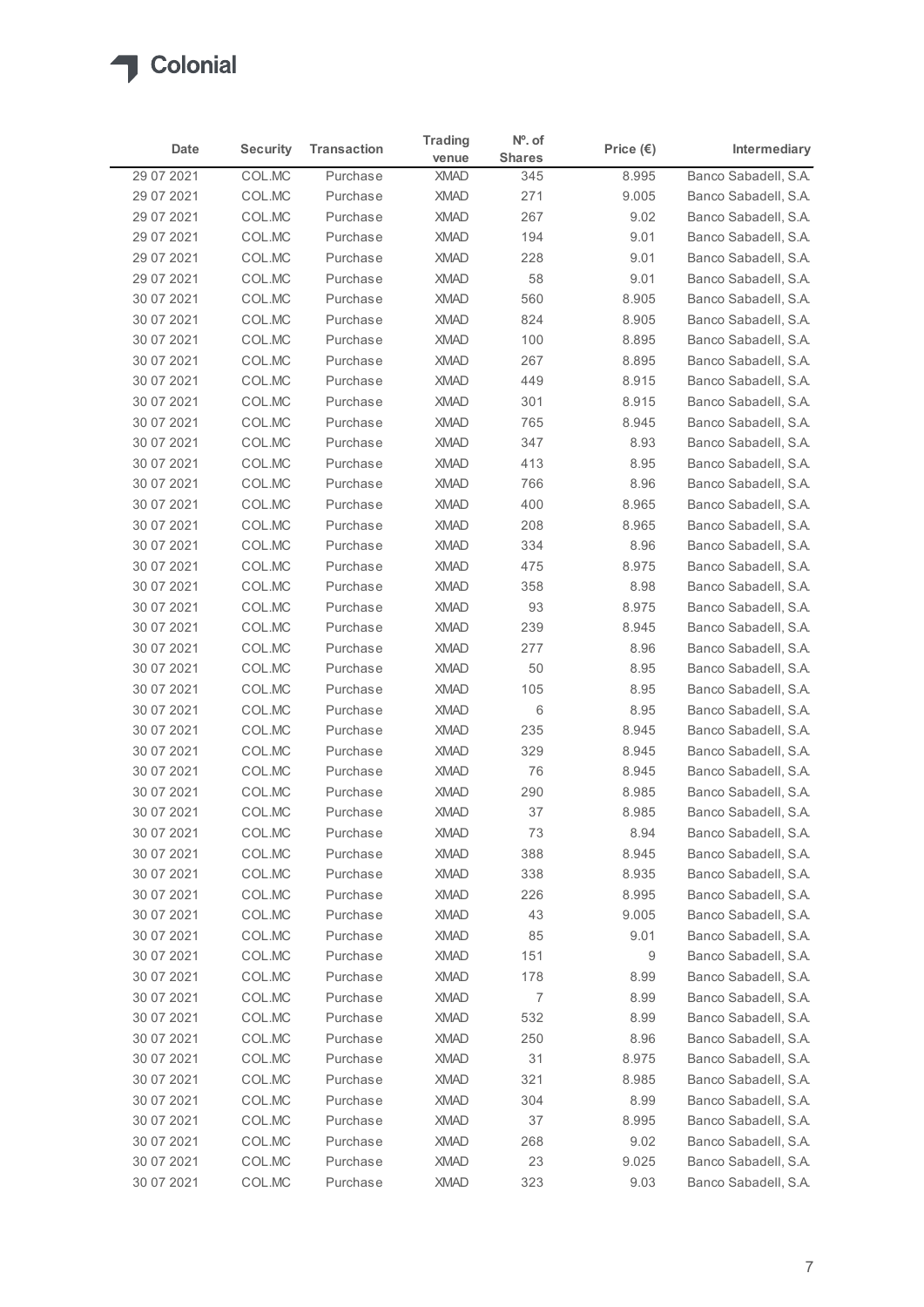

| <b>Security</b><br><b>Transaction</b><br>Intermediary<br>Date<br>Price $(\epsilon)$<br><b>Shares</b><br>venue<br>29 07 2021<br>COL.MC<br>8.995<br>Purchase<br><b>XMAD</b><br>345<br>COL.MC<br>271<br>9.005<br>29 07 2021<br>Purchase<br><b>XMAD</b><br>29 07 2021<br>COL.MC<br>Purchase<br><b>XMAD</b><br>267<br>9.02<br>COL.MC<br>194<br>29 07 2021<br>Purchase<br><b>XMAD</b><br>9.01<br>COL.MC<br>29 07 2021<br>Purchase<br><b>XMAD</b><br>228<br>9.01<br>29 07 2021<br>COL.MC<br>Purchase<br><b>XMAD</b><br>58<br>9.01<br>30 07 2021<br>COL.MC<br>Purchase<br><b>XMAD</b><br>560<br>8.905<br>30 07 2021<br>COL.MC<br><b>XMAD</b><br>824<br>8.905<br>Purchase<br>COL.MC<br>8.895<br>30 07 2021<br>Purchase<br><b>XMAD</b><br>100<br>COL.MC<br><b>XMAD</b><br>8.895<br>30 07 2021<br>Purchase<br>267<br>8.915<br>30 07 2021<br>COL.MC<br>Purchase<br><b>XMAD</b><br>449<br>8.915<br>30 07 2021<br>COL.MC<br>Purchase<br><b>XMAD</b><br>301<br>COL.MC<br><b>XMAD</b><br>765<br>8.945<br>30 07 2021<br>Purchase<br>COLMC<br>30 07 2021<br>Purchase<br><b>XMAD</b><br>347<br>8.93<br>COL.MC<br>413<br>30 07 2021<br>Purchase<br><b>XMAD</b><br>8.95<br>30 07 2021<br>COL.MC<br><b>XMAD</b><br>766<br>8.96<br>Purchase<br>400<br>8.965<br>30 07 2021<br>COL.MC<br>Purchase<br><b>XMAD</b><br>30 07 2021<br>COL.MC<br>Purchase<br><b>XMAD</b><br>208<br>8.965<br>COL.MC<br>334<br>8.96<br>30 07 2021<br>Purchase<br><b>XMAD</b><br>COL.MC<br>30 07 2021<br>Purchase<br><b>XMAD</b><br>475<br>8.975<br>8.98<br>30 07 2021<br>COL.MC<br>Purchase<br><b>XMAD</b><br>358<br>93<br>8.975<br>30 07 2021<br>COL.MC<br>Purchase<br><b>XMAD</b><br><b>XMAD</b><br>239<br>8.945<br>30 07 2021<br>COL.MC<br>Purchase<br>277<br>30 07 2021<br>COL.MC<br>Purchase<br><b>XMAD</b><br>8.96<br>50<br>30 07 2021<br>COL.MC<br>Purchase<br><b>XMAD</b><br>8.95<br>105<br>8.95<br>30 07 2021<br>COL.MC<br>Purchase<br><b>XMAD</b><br>6<br>8.95<br>30 07 2021<br>COL.MC<br>Purchase<br><b>XMAD</b><br>235<br>8.945<br>30 07 2021<br>COL.MC<br>Purchase<br><b>XMAD</b><br>329<br>30 07 2021<br>COL.MC<br>Purchase<br><b>XMAD</b><br>8.945<br>30 07 2021<br>COL.MC<br>Purchase<br><b>XMAD</b><br>76<br>8.945<br>290<br>30 07 2021<br>COL.MC<br>Purchase<br><b>XMAD</b><br>8.985<br>37<br>30 07 2021<br>COL.MC<br><b>XMAD</b><br>8.985<br>Purchase<br><b>XMAD</b><br>73<br>8.94<br>30 07 2021<br>COL.MC<br>Purchase<br>COL.MC<br>388<br>30 07 2021<br>Purchase<br><b>XMAD</b><br>8.945<br>30 07 2021<br>COL.MC<br>Purchase<br><b>XMAD</b><br>338<br>8.935<br>8.995<br>30 07 2021<br>COL.MC<br>Purchase<br><b>XMAD</b><br>226<br>30 07 2021<br>COL.MC<br><b>XMAD</b><br>43<br>9.005<br>Purchase<br>85<br>9.01<br>30 07 2021<br>COL.MC<br>Purchase<br><b>XMAD</b><br>COL.MC<br>9<br>30 07 2021<br>Purchase<br><b>XMAD</b><br>151<br>178<br>30 07 2021<br>COL.MC<br>Purchase<br><b>XMAD</b><br>8.99<br>$\boldsymbol{7}$<br>30 07 2021<br>COL.MC<br>Purchase<br><b>XMAD</b><br>8.99<br>532<br>COL.MC<br><b>XMAD</b><br>8.99<br>30 07 2021<br>Purchase<br>250<br>8.96<br>30 07 2021<br>COL.MC<br>Purchase<br><b>XMAD</b><br>COL.MC<br>31<br>30 07 2021<br>Purchase<br><b>XMAD</b><br>8.975<br>30 07 2021<br>COL.MC<br>Purchase<br><b>XMAD</b><br>321<br>8.985<br>304<br>8.99<br>30 07 2021<br>COL.MC<br>Purchase<br><b>XMAD</b><br>37<br>30 07 2021<br>COL.MC<br><b>XMAD</b><br>8.995<br>Purchase<br>COL.MC<br>9.02<br>30 07 2021<br>Purchase<br>XMAD<br>268<br>COLMC<br>9.025<br>30 07 2021<br>Purchase<br><b>XMAD</b><br>23 |  |                |           |  |
|------------------------------------------------------------------------------------------------------------------------------------------------------------------------------------------------------------------------------------------------------------------------------------------------------------------------------------------------------------------------------------------------------------------------------------------------------------------------------------------------------------------------------------------------------------------------------------------------------------------------------------------------------------------------------------------------------------------------------------------------------------------------------------------------------------------------------------------------------------------------------------------------------------------------------------------------------------------------------------------------------------------------------------------------------------------------------------------------------------------------------------------------------------------------------------------------------------------------------------------------------------------------------------------------------------------------------------------------------------------------------------------------------------------------------------------------------------------------------------------------------------------------------------------------------------------------------------------------------------------------------------------------------------------------------------------------------------------------------------------------------------------------------------------------------------------------------------------------------------------------------------------------------------------------------------------------------------------------------------------------------------------------------------------------------------------------------------------------------------------------------------------------------------------------------------------------------------------------------------------------------------------------------------------------------------------------------------------------------------------------------------------------------------------------------------------------------------------------------------------------------------------------------------------------------------------------------------------------------------------------------------------------------------------------------------------------------------------------------------------------------------------------------------------------------------------------------------------------------------------------------------------------------------------------------------------------------------------------------------------------------------------------------------------------------------------------------------------------------------------------------------------------------------------------------------------------------------------------------------------------------------------------------------------------------------------------------------------------------------------------------------------------------------------------------------------------------------------------------------------------|--|----------------|-----------|--|
| Banco Sabadell, S.A.<br>Banco Sabadell, S.A.<br>Banco Sabadell, S.A.<br>Banco Sabadell, S.A.<br>Banco Sabadell, S.A.<br>Banco Sabadell, S.A.<br>Banco Sabadell, S.A.<br>Banco Sabadell, S.A.<br>Banco Sabadell, S.A.<br>Banco Sabadell, S.A.<br>Banco Sabadell, S.A.<br>Banco Sabadell, S.A.<br>Banco Sabadell, S.A.<br>Banco Sabadell, S.A.<br>Banco Sabadell, S.A.<br>Banco Sabadell, S.A.<br>Banco Sabadell, S.A.<br>Banco Sabadell, S.A.<br>Banco Sabadell, S.A.<br>Banco Sabadell, S.A.<br>Banco Sabadell, S.A.<br>Banco Sabadell, S.A.<br>Banco Sabadell, S.A.<br>Banco Sabadell, S.A.<br>Banco Sabadell, S.A.<br>Banco Sabadell, S.A.<br>Banco Sabadell, S.A.<br>Banco Sabadell, S.A.<br>Banco Sabadell, S.A.<br>Banco Sabadell, S.A.<br>Banco Sabadell, S.A.<br>Banco Sabadell, S.A.<br>Banco Sabadell, S.A.<br>Banco Sabadell, S.A.<br>Banco Sabadell, S.A.<br>Banco Sabadell, S.A.<br>Banco Sabadell, S.A.<br>Banco Sabadell, S.A.<br>Banco Sabadell, S.A.<br>Banco Sabadell, S.A.<br>Banco Sabadell, S.A.<br>Banco Sabadell, S.A.<br>Banco Sabadell, S.A.<br>Banco Sabadell, S.A.<br>Banco Sabadell, S.A.<br>Banco Sabadell, S.A.<br>Banco Sabadell, S.A.<br>Banco Sabadell, S.A.<br>Banco Sabadell, S.A.<br>Banco Sabadell, S.A.                                                                                                                                                                                                                                                                                                                                                                                                                                                                                                                                                                                                                                                                                                                                                                                                                                                                                                                                                                                                                                                                                                                                                                                                                                                                                                                                                                                                                                                                                                                                                                                                                                                                                                                                                                                                                                                                                                                                                                                                                                                                                                                                                                                                                                                   |  | <b>Trading</b> | $No$ . of |  |
|                                                                                                                                                                                                                                                                                                                                                                                                                                                                                                                                                                                                                                                                                                                                                                                                                                                                                                                                                                                                                                                                                                                                                                                                                                                                                                                                                                                                                                                                                                                                                                                                                                                                                                                                                                                                                                                                                                                                                                                                                                                                                                                                                                                                                                                                                                                                                                                                                                                                                                                                                                                                                                                                                                                                                                                                                                                                                                                                                                                                                                                                                                                                                                                                                                                                                                                                                                                                                                                                                                |  |                |           |  |
|                                                                                                                                                                                                                                                                                                                                                                                                                                                                                                                                                                                                                                                                                                                                                                                                                                                                                                                                                                                                                                                                                                                                                                                                                                                                                                                                                                                                                                                                                                                                                                                                                                                                                                                                                                                                                                                                                                                                                                                                                                                                                                                                                                                                                                                                                                                                                                                                                                                                                                                                                                                                                                                                                                                                                                                                                                                                                                                                                                                                                                                                                                                                                                                                                                                                                                                                                                                                                                                                                                |  |                |           |  |
|                                                                                                                                                                                                                                                                                                                                                                                                                                                                                                                                                                                                                                                                                                                                                                                                                                                                                                                                                                                                                                                                                                                                                                                                                                                                                                                                                                                                                                                                                                                                                                                                                                                                                                                                                                                                                                                                                                                                                                                                                                                                                                                                                                                                                                                                                                                                                                                                                                                                                                                                                                                                                                                                                                                                                                                                                                                                                                                                                                                                                                                                                                                                                                                                                                                                                                                                                                                                                                                                                                |  |                |           |  |
|                                                                                                                                                                                                                                                                                                                                                                                                                                                                                                                                                                                                                                                                                                                                                                                                                                                                                                                                                                                                                                                                                                                                                                                                                                                                                                                                                                                                                                                                                                                                                                                                                                                                                                                                                                                                                                                                                                                                                                                                                                                                                                                                                                                                                                                                                                                                                                                                                                                                                                                                                                                                                                                                                                                                                                                                                                                                                                                                                                                                                                                                                                                                                                                                                                                                                                                                                                                                                                                                                                |  |                |           |  |
|                                                                                                                                                                                                                                                                                                                                                                                                                                                                                                                                                                                                                                                                                                                                                                                                                                                                                                                                                                                                                                                                                                                                                                                                                                                                                                                                                                                                                                                                                                                                                                                                                                                                                                                                                                                                                                                                                                                                                                                                                                                                                                                                                                                                                                                                                                                                                                                                                                                                                                                                                                                                                                                                                                                                                                                                                                                                                                                                                                                                                                                                                                                                                                                                                                                                                                                                                                                                                                                                                                |  |                |           |  |
|                                                                                                                                                                                                                                                                                                                                                                                                                                                                                                                                                                                                                                                                                                                                                                                                                                                                                                                                                                                                                                                                                                                                                                                                                                                                                                                                                                                                                                                                                                                                                                                                                                                                                                                                                                                                                                                                                                                                                                                                                                                                                                                                                                                                                                                                                                                                                                                                                                                                                                                                                                                                                                                                                                                                                                                                                                                                                                                                                                                                                                                                                                                                                                                                                                                                                                                                                                                                                                                                                                |  |                |           |  |
|                                                                                                                                                                                                                                                                                                                                                                                                                                                                                                                                                                                                                                                                                                                                                                                                                                                                                                                                                                                                                                                                                                                                                                                                                                                                                                                                                                                                                                                                                                                                                                                                                                                                                                                                                                                                                                                                                                                                                                                                                                                                                                                                                                                                                                                                                                                                                                                                                                                                                                                                                                                                                                                                                                                                                                                                                                                                                                                                                                                                                                                                                                                                                                                                                                                                                                                                                                                                                                                                                                |  |                |           |  |
|                                                                                                                                                                                                                                                                                                                                                                                                                                                                                                                                                                                                                                                                                                                                                                                                                                                                                                                                                                                                                                                                                                                                                                                                                                                                                                                                                                                                                                                                                                                                                                                                                                                                                                                                                                                                                                                                                                                                                                                                                                                                                                                                                                                                                                                                                                                                                                                                                                                                                                                                                                                                                                                                                                                                                                                                                                                                                                                                                                                                                                                                                                                                                                                                                                                                                                                                                                                                                                                                                                |  |                |           |  |
|                                                                                                                                                                                                                                                                                                                                                                                                                                                                                                                                                                                                                                                                                                                                                                                                                                                                                                                                                                                                                                                                                                                                                                                                                                                                                                                                                                                                                                                                                                                                                                                                                                                                                                                                                                                                                                                                                                                                                                                                                                                                                                                                                                                                                                                                                                                                                                                                                                                                                                                                                                                                                                                                                                                                                                                                                                                                                                                                                                                                                                                                                                                                                                                                                                                                                                                                                                                                                                                                                                |  |                |           |  |
|                                                                                                                                                                                                                                                                                                                                                                                                                                                                                                                                                                                                                                                                                                                                                                                                                                                                                                                                                                                                                                                                                                                                                                                                                                                                                                                                                                                                                                                                                                                                                                                                                                                                                                                                                                                                                                                                                                                                                                                                                                                                                                                                                                                                                                                                                                                                                                                                                                                                                                                                                                                                                                                                                                                                                                                                                                                                                                                                                                                                                                                                                                                                                                                                                                                                                                                                                                                                                                                                                                |  |                |           |  |
|                                                                                                                                                                                                                                                                                                                                                                                                                                                                                                                                                                                                                                                                                                                                                                                                                                                                                                                                                                                                                                                                                                                                                                                                                                                                                                                                                                                                                                                                                                                                                                                                                                                                                                                                                                                                                                                                                                                                                                                                                                                                                                                                                                                                                                                                                                                                                                                                                                                                                                                                                                                                                                                                                                                                                                                                                                                                                                                                                                                                                                                                                                                                                                                                                                                                                                                                                                                                                                                                                                |  |                |           |  |
|                                                                                                                                                                                                                                                                                                                                                                                                                                                                                                                                                                                                                                                                                                                                                                                                                                                                                                                                                                                                                                                                                                                                                                                                                                                                                                                                                                                                                                                                                                                                                                                                                                                                                                                                                                                                                                                                                                                                                                                                                                                                                                                                                                                                                                                                                                                                                                                                                                                                                                                                                                                                                                                                                                                                                                                                                                                                                                                                                                                                                                                                                                                                                                                                                                                                                                                                                                                                                                                                                                |  |                |           |  |
|                                                                                                                                                                                                                                                                                                                                                                                                                                                                                                                                                                                                                                                                                                                                                                                                                                                                                                                                                                                                                                                                                                                                                                                                                                                                                                                                                                                                                                                                                                                                                                                                                                                                                                                                                                                                                                                                                                                                                                                                                                                                                                                                                                                                                                                                                                                                                                                                                                                                                                                                                                                                                                                                                                                                                                                                                                                                                                                                                                                                                                                                                                                                                                                                                                                                                                                                                                                                                                                                                                |  |                |           |  |
|                                                                                                                                                                                                                                                                                                                                                                                                                                                                                                                                                                                                                                                                                                                                                                                                                                                                                                                                                                                                                                                                                                                                                                                                                                                                                                                                                                                                                                                                                                                                                                                                                                                                                                                                                                                                                                                                                                                                                                                                                                                                                                                                                                                                                                                                                                                                                                                                                                                                                                                                                                                                                                                                                                                                                                                                                                                                                                                                                                                                                                                                                                                                                                                                                                                                                                                                                                                                                                                                                                |  |                |           |  |
|                                                                                                                                                                                                                                                                                                                                                                                                                                                                                                                                                                                                                                                                                                                                                                                                                                                                                                                                                                                                                                                                                                                                                                                                                                                                                                                                                                                                                                                                                                                                                                                                                                                                                                                                                                                                                                                                                                                                                                                                                                                                                                                                                                                                                                                                                                                                                                                                                                                                                                                                                                                                                                                                                                                                                                                                                                                                                                                                                                                                                                                                                                                                                                                                                                                                                                                                                                                                                                                                                                |  |                |           |  |
|                                                                                                                                                                                                                                                                                                                                                                                                                                                                                                                                                                                                                                                                                                                                                                                                                                                                                                                                                                                                                                                                                                                                                                                                                                                                                                                                                                                                                                                                                                                                                                                                                                                                                                                                                                                                                                                                                                                                                                                                                                                                                                                                                                                                                                                                                                                                                                                                                                                                                                                                                                                                                                                                                                                                                                                                                                                                                                                                                                                                                                                                                                                                                                                                                                                                                                                                                                                                                                                                                                |  |                |           |  |
|                                                                                                                                                                                                                                                                                                                                                                                                                                                                                                                                                                                                                                                                                                                                                                                                                                                                                                                                                                                                                                                                                                                                                                                                                                                                                                                                                                                                                                                                                                                                                                                                                                                                                                                                                                                                                                                                                                                                                                                                                                                                                                                                                                                                                                                                                                                                                                                                                                                                                                                                                                                                                                                                                                                                                                                                                                                                                                                                                                                                                                                                                                                                                                                                                                                                                                                                                                                                                                                                                                |  |                |           |  |
|                                                                                                                                                                                                                                                                                                                                                                                                                                                                                                                                                                                                                                                                                                                                                                                                                                                                                                                                                                                                                                                                                                                                                                                                                                                                                                                                                                                                                                                                                                                                                                                                                                                                                                                                                                                                                                                                                                                                                                                                                                                                                                                                                                                                                                                                                                                                                                                                                                                                                                                                                                                                                                                                                                                                                                                                                                                                                                                                                                                                                                                                                                                                                                                                                                                                                                                                                                                                                                                                                                |  |                |           |  |
|                                                                                                                                                                                                                                                                                                                                                                                                                                                                                                                                                                                                                                                                                                                                                                                                                                                                                                                                                                                                                                                                                                                                                                                                                                                                                                                                                                                                                                                                                                                                                                                                                                                                                                                                                                                                                                                                                                                                                                                                                                                                                                                                                                                                                                                                                                                                                                                                                                                                                                                                                                                                                                                                                                                                                                                                                                                                                                                                                                                                                                                                                                                                                                                                                                                                                                                                                                                                                                                                                                |  |                |           |  |
|                                                                                                                                                                                                                                                                                                                                                                                                                                                                                                                                                                                                                                                                                                                                                                                                                                                                                                                                                                                                                                                                                                                                                                                                                                                                                                                                                                                                                                                                                                                                                                                                                                                                                                                                                                                                                                                                                                                                                                                                                                                                                                                                                                                                                                                                                                                                                                                                                                                                                                                                                                                                                                                                                                                                                                                                                                                                                                                                                                                                                                                                                                                                                                                                                                                                                                                                                                                                                                                                                                |  |                |           |  |
|                                                                                                                                                                                                                                                                                                                                                                                                                                                                                                                                                                                                                                                                                                                                                                                                                                                                                                                                                                                                                                                                                                                                                                                                                                                                                                                                                                                                                                                                                                                                                                                                                                                                                                                                                                                                                                                                                                                                                                                                                                                                                                                                                                                                                                                                                                                                                                                                                                                                                                                                                                                                                                                                                                                                                                                                                                                                                                                                                                                                                                                                                                                                                                                                                                                                                                                                                                                                                                                                                                |  |                |           |  |
|                                                                                                                                                                                                                                                                                                                                                                                                                                                                                                                                                                                                                                                                                                                                                                                                                                                                                                                                                                                                                                                                                                                                                                                                                                                                                                                                                                                                                                                                                                                                                                                                                                                                                                                                                                                                                                                                                                                                                                                                                                                                                                                                                                                                                                                                                                                                                                                                                                                                                                                                                                                                                                                                                                                                                                                                                                                                                                                                                                                                                                                                                                                                                                                                                                                                                                                                                                                                                                                                                                |  |                |           |  |
|                                                                                                                                                                                                                                                                                                                                                                                                                                                                                                                                                                                                                                                                                                                                                                                                                                                                                                                                                                                                                                                                                                                                                                                                                                                                                                                                                                                                                                                                                                                                                                                                                                                                                                                                                                                                                                                                                                                                                                                                                                                                                                                                                                                                                                                                                                                                                                                                                                                                                                                                                                                                                                                                                                                                                                                                                                                                                                                                                                                                                                                                                                                                                                                                                                                                                                                                                                                                                                                                                                |  |                |           |  |
|                                                                                                                                                                                                                                                                                                                                                                                                                                                                                                                                                                                                                                                                                                                                                                                                                                                                                                                                                                                                                                                                                                                                                                                                                                                                                                                                                                                                                                                                                                                                                                                                                                                                                                                                                                                                                                                                                                                                                                                                                                                                                                                                                                                                                                                                                                                                                                                                                                                                                                                                                                                                                                                                                                                                                                                                                                                                                                                                                                                                                                                                                                                                                                                                                                                                                                                                                                                                                                                                                                |  |                |           |  |
|                                                                                                                                                                                                                                                                                                                                                                                                                                                                                                                                                                                                                                                                                                                                                                                                                                                                                                                                                                                                                                                                                                                                                                                                                                                                                                                                                                                                                                                                                                                                                                                                                                                                                                                                                                                                                                                                                                                                                                                                                                                                                                                                                                                                                                                                                                                                                                                                                                                                                                                                                                                                                                                                                                                                                                                                                                                                                                                                                                                                                                                                                                                                                                                                                                                                                                                                                                                                                                                                                                |  |                |           |  |
|                                                                                                                                                                                                                                                                                                                                                                                                                                                                                                                                                                                                                                                                                                                                                                                                                                                                                                                                                                                                                                                                                                                                                                                                                                                                                                                                                                                                                                                                                                                                                                                                                                                                                                                                                                                                                                                                                                                                                                                                                                                                                                                                                                                                                                                                                                                                                                                                                                                                                                                                                                                                                                                                                                                                                                                                                                                                                                                                                                                                                                                                                                                                                                                                                                                                                                                                                                                                                                                                                                |  |                |           |  |
|                                                                                                                                                                                                                                                                                                                                                                                                                                                                                                                                                                                                                                                                                                                                                                                                                                                                                                                                                                                                                                                                                                                                                                                                                                                                                                                                                                                                                                                                                                                                                                                                                                                                                                                                                                                                                                                                                                                                                                                                                                                                                                                                                                                                                                                                                                                                                                                                                                                                                                                                                                                                                                                                                                                                                                                                                                                                                                                                                                                                                                                                                                                                                                                                                                                                                                                                                                                                                                                                                                |  |                |           |  |
|                                                                                                                                                                                                                                                                                                                                                                                                                                                                                                                                                                                                                                                                                                                                                                                                                                                                                                                                                                                                                                                                                                                                                                                                                                                                                                                                                                                                                                                                                                                                                                                                                                                                                                                                                                                                                                                                                                                                                                                                                                                                                                                                                                                                                                                                                                                                                                                                                                                                                                                                                                                                                                                                                                                                                                                                                                                                                                                                                                                                                                                                                                                                                                                                                                                                                                                                                                                                                                                                                                |  |                |           |  |
|                                                                                                                                                                                                                                                                                                                                                                                                                                                                                                                                                                                                                                                                                                                                                                                                                                                                                                                                                                                                                                                                                                                                                                                                                                                                                                                                                                                                                                                                                                                                                                                                                                                                                                                                                                                                                                                                                                                                                                                                                                                                                                                                                                                                                                                                                                                                                                                                                                                                                                                                                                                                                                                                                                                                                                                                                                                                                                                                                                                                                                                                                                                                                                                                                                                                                                                                                                                                                                                                                                |  |                |           |  |
|                                                                                                                                                                                                                                                                                                                                                                                                                                                                                                                                                                                                                                                                                                                                                                                                                                                                                                                                                                                                                                                                                                                                                                                                                                                                                                                                                                                                                                                                                                                                                                                                                                                                                                                                                                                                                                                                                                                                                                                                                                                                                                                                                                                                                                                                                                                                                                                                                                                                                                                                                                                                                                                                                                                                                                                                                                                                                                                                                                                                                                                                                                                                                                                                                                                                                                                                                                                                                                                                                                |  |                |           |  |
|                                                                                                                                                                                                                                                                                                                                                                                                                                                                                                                                                                                                                                                                                                                                                                                                                                                                                                                                                                                                                                                                                                                                                                                                                                                                                                                                                                                                                                                                                                                                                                                                                                                                                                                                                                                                                                                                                                                                                                                                                                                                                                                                                                                                                                                                                                                                                                                                                                                                                                                                                                                                                                                                                                                                                                                                                                                                                                                                                                                                                                                                                                                                                                                                                                                                                                                                                                                                                                                                                                |  |                |           |  |
|                                                                                                                                                                                                                                                                                                                                                                                                                                                                                                                                                                                                                                                                                                                                                                                                                                                                                                                                                                                                                                                                                                                                                                                                                                                                                                                                                                                                                                                                                                                                                                                                                                                                                                                                                                                                                                                                                                                                                                                                                                                                                                                                                                                                                                                                                                                                                                                                                                                                                                                                                                                                                                                                                                                                                                                                                                                                                                                                                                                                                                                                                                                                                                                                                                                                                                                                                                                                                                                                                                |  |                |           |  |
|                                                                                                                                                                                                                                                                                                                                                                                                                                                                                                                                                                                                                                                                                                                                                                                                                                                                                                                                                                                                                                                                                                                                                                                                                                                                                                                                                                                                                                                                                                                                                                                                                                                                                                                                                                                                                                                                                                                                                                                                                                                                                                                                                                                                                                                                                                                                                                                                                                                                                                                                                                                                                                                                                                                                                                                                                                                                                                                                                                                                                                                                                                                                                                                                                                                                                                                                                                                                                                                                                                |  |                |           |  |
|                                                                                                                                                                                                                                                                                                                                                                                                                                                                                                                                                                                                                                                                                                                                                                                                                                                                                                                                                                                                                                                                                                                                                                                                                                                                                                                                                                                                                                                                                                                                                                                                                                                                                                                                                                                                                                                                                                                                                                                                                                                                                                                                                                                                                                                                                                                                                                                                                                                                                                                                                                                                                                                                                                                                                                                                                                                                                                                                                                                                                                                                                                                                                                                                                                                                                                                                                                                                                                                                                                |  |                |           |  |
|                                                                                                                                                                                                                                                                                                                                                                                                                                                                                                                                                                                                                                                                                                                                                                                                                                                                                                                                                                                                                                                                                                                                                                                                                                                                                                                                                                                                                                                                                                                                                                                                                                                                                                                                                                                                                                                                                                                                                                                                                                                                                                                                                                                                                                                                                                                                                                                                                                                                                                                                                                                                                                                                                                                                                                                                                                                                                                                                                                                                                                                                                                                                                                                                                                                                                                                                                                                                                                                                                                |  |                |           |  |
|                                                                                                                                                                                                                                                                                                                                                                                                                                                                                                                                                                                                                                                                                                                                                                                                                                                                                                                                                                                                                                                                                                                                                                                                                                                                                                                                                                                                                                                                                                                                                                                                                                                                                                                                                                                                                                                                                                                                                                                                                                                                                                                                                                                                                                                                                                                                                                                                                                                                                                                                                                                                                                                                                                                                                                                                                                                                                                                                                                                                                                                                                                                                                                                                                                                                                                                                                                                                                                                                                                |  |                |           |  |
|                                                                                                                                                                                                                                                                                                                                                                                                                                                                                                                                                                                                                                                                                                                                                                                                                                                                                                                                                                                                                                                                                                                                                                                                                                                                                                                                                                                                                                                                                                                                                                                                                                                                                                                                                                                                                                                                                                                                                                                                                                                                                                                                                                                                                                                                                                                                                                                                                                                                                                                                                                                                                                                                                                                                                                                                                                                                                                                                                                                                                                                                                                                                                                                                                                                                                                                                                                                                                                                                                                |  |                |           |  |
|                                                                                                                                                                                                                                                                                                                                                                                                                                                                                                                                                                                                                                                                                                                                                                                                                                                                                                                                                                                                                                                                                                                                                                                                                                                                                                                                                                                                                                                                                                                                                                                                                                                                                                                                                                                                                                                                                                                                                                                                                                                                                                                                                                                                                                                                                                                                                                                                                                                                                                                                                                                                                                                                                                                                                                                                                                                                                                                                                                                                                                                                                                                                                                                                                                                                                                                                                                                                                                                                                                |  |                |           |  |
|                                                                                                                                                                                                                                                                                                                                                                                                                                                                                                                                                                                                                                                                                                                                                                                                                                                                                                                                                                                                                                                                                                                                                                                                                                                                                                                                                                                                                                                                                                                                                                                                                                                                                                                                                                                                                                                                                                                                                                                                                                                                                                                                                                                                                                                                                                                                                                                                                                                                                                                                                                                                                                                                                                                                                                                                                                                                                                                                                                                                                                                                                                                                                                                                                                                                                                                                                                                                                                                                                                |  |                |           |  |
|                                                                                                                                                                                                                                                                                                                                                                                                                                                                                                                                                                                                                                                                                                                                                                                                                                                                                                                                                                                                                                                                                                                                                                                                                                                                                                                                                                                                                                                                                                                                                                                                                                                                                                                                                                                                                                                                                                                                                                                                                                                                                                                                                                                                                                                                                                                                                                                                                                                                                                                                                                                                                                                                                                                                                                                                                                                                                                                                                                                                                                                                                                                                                                                                                                                                                                                                                                                                                                                                                                |  |                |           |  |
|                                                                                                                                                                                                                                                                                                                                                                                                                                                                                                                                                                                                                                                                                                                                                                                                                                                                                                                                                                                                                                                                                                                                                                                                                                                                                                                                                                                                                                                                                                                                                                                                                                                                                                                                                                                                                                                                                                                                                                                                                                                                                                                                                                                                                                                                                                                                                                                                                                                                                                                                                                                                                                                                                                                                                                                                                                                                                                                                                                                                                                                                                                                                                                                                                                                                                                                                                                                                                                                                                                |  |                |           |  |
|                                                                                                                                                                                                                                                                                                                                                                                                                                                                                                                                                                                                                                                                                                                                                                                                                                                                                                                                                                                                                                                                                                                                                                                                                                                                                                                                                                                                                                                                                                                                                                                                                                                                                                                                                                                                                                                                                                                                                                                                                                                                                                                                                                                                                                                                                                                                                                                                                                                                                                                                                                                                                                                                                                                                                                                                                                                                                                                                                                                                                                                                                                                                                                                                                                                                                                                                                                                                                                                                                                |  |                |           |  |
|                                                                                                                                                                                                                                                                                                                                                                                                                                                                                                                                                                                                                                                                                                                                                                                                                                                                                                                                                                                                                                                                                                                                                                                                                                                                                                                                                                                                                                                                                                                                                                                                                                                                                                                                                                                                                                                                                                                                                                                                                                                                                                                                                                                                                                                                                                                                                                                                                                                                                                                                                                                                                                                                                                                                                                                                                                                                                                                                                                                                                                                                                                                                                                                                                                                                                                                                                                                                                                                                                                |  |                |           |  |
|                                                                                                                                                                                                                                                                                                                                                                                                                                                                                                                                                                                                                                                                                                                                                                                                                                                                                                                                                                                                                                                                                                                                                                                                                                                                                                                                                                                                                                                                                                                                                                                                                                                                                                                                                                                                                                                                                                                                                                                                                                                                                                                                                                                                                                                                                                                                                                                                                                                                                                                                                                                                                                                                                                                                                                                                                                                                                                                                                                                                                                                                                                                                                                                                                                                                                                                                                                                                                                                                                                |  |                |           |  |
|                                                                                                                                                                                                                                                                                                                                                                                                                                                                                                                                                                                                                                                                                                                                                                                                                                                                                                                                                                                                                                                                                                                                                                                                                                                                                                                                                                                                                                                                                                                                                                                                                                                                                                                                                                                                                                                                                                                                                                                                                                                                                                                                                                                                                                                                                                                                                                                                                                                                                                                                                                                                                                                                                                                                                                                                                                                                                                                                                                                                                                                                                                                                                                                                                                                                                                                                                                                                                                                                                                |  |                |           |  |
|                                                                                                                                                                                                                                                                                                                                                                                                                                                                                                                                                                                                                                                                                                                                                                                                                                                                                                                                                                                                                                                                                                                                                                                                                                                                                                                                                                                                                                                                                                                                                                                                                                                                                                                                                                                                                                                                                                                                                                                                                                                                                                                                                                                                                                                                                                                                                                                                                                                                                                                                                                                                                                                                                                                                                                                                                                                                                                                                                                                                                                                                                                                                                                                                                                                                                                                                                                                                                                                                                                |  |                |           |  |
| 30 07 2021<br>COLMC<br><b>XMAD</b><br>323<br>9.03<br>Purchase                                                                                                                                                                                                                                                                                                                                                                                                                                                                                                                                                                                                                                                                                                                                                                                                                                                                                                                                                                                                                                                                                                                                                                                                                                                                                                                                                                                                                                                                                                                                                                                                                                                                                                                                                                                                                                                                                                                                                                                                                                                                                                                                                                                                                                                                                                                                                                                                                                                                                                                                                                                                                                                                                                                                                                                                                                                                                                                                                                                                                                                                                                                                                                                                                                                                                                                                                                                                                                  |  |                |           |  |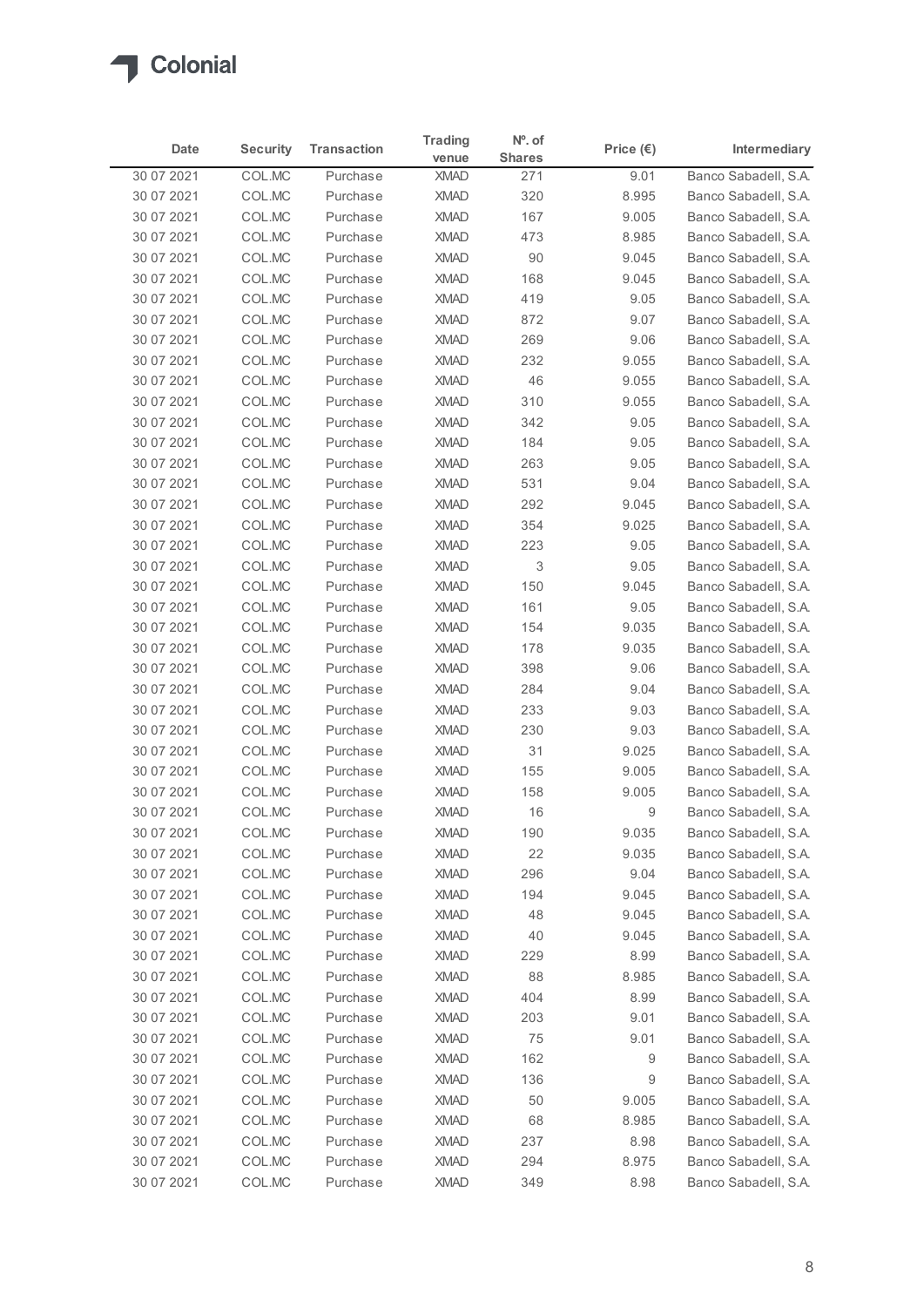

| Date                     | <b>Security</b>  | <b>Transaction</b>   | <b>Trading</b><br>venue    | $No$ . of<br><b>Shares</b> | Price $(\epsilon)$ | Intermediary                                 |
|--------------------------|------------------|----------------------|----------------------------|----------------------------|--------------------|----------------------------------------------|
| 30 07 2021               | COL.MC           | Purchase             | <b>XMAD</b>                | 271                        | 9.01               | Banco Sabadell, S.A.                         |
| 30 07 2021               | COL.MC           | Purchase             | <b>XMAD</b>                | 320                        | 8.995              | Banco Sabadell, S.A.                         |
| 30 07 2021               | COL.MC           | Purchase             | <b>XMAD</b>                | 167                        | 9.005              | Banco Sabadell, S.A.                         |
| 30 07 2021               | COL.MC           | Purchase             | <b>XMAD</b>                | 473                        | 8.985              | Banco Sabadell, S.A.                         |
| 30 07 2021               | COL.MC           | Purchase             | <b>XMAD</b>                | 90                         | 9.045              | Banco Sabadell, S.A.                         |
| 30 07 2021               | COL.MC           | Purchase             | <b>XMAD</b>                | 168                        | 9.045              | Banco Sabadell, S.A.                         |
| 30 07 2021               | COL.MC           | Purchase             | <b>XMAD</b>                | 419                        | 9.05               | Banco Sabadell, S.A.                         |
| 30 07 2021               | COL.MC           | Purchase             | <b>XMAD</b>                | 872                        | 9.07               | Banco Sabadell, S.A.                         |
| 30 07 2021               | COL.MC           | Purchase             | <b>XMAD</b>                | 269                        | 9.06               | Banco Sabadell, S.A.                         |
| 30 07 2021               | COL.MC           | Purchase             | <b>XMAD</b>                | 232                        | 9.055              | Banco Sabadell, S.A.                         |
| 30 07 2021               | COL.MC           | Purchase             | <b>XMAD</b>                | 46                         | 9.055              | Banco Sabadell, S.A.                         |
| 30 07 2021               | COL.MC           | Purchase             | <b>XMAD</b>                | 310                        | 9.055              | Banco Sabadell, S.A.                         |
| 30 07 2021               | COL.MC<br>COLMC  | Purchase             | <b>XMAD</b><br><b>XMAD</b> | 342                        | 9.05               | Banco Sabadell, S.A.<br>Banco Sabadell, S.A. |
| 30 07 2021<br>30 07 2021 | COL.MC           | Purchase<br>Purchase | <b>XMAD</b>                | 184<br>263                 | 9.05<br>9.05       | Banco Sabadell, S.A.                         |
| 30 07 2021               | COL.MC           | Purchase             | <b>XMAD</b>                | 531                        | 9.04               | Banco Sabadell, S.A.                         |
| 30 07 2021               | COL.MC           | Purchase             | <b>XMAD</b>                | 292                        | 9.045              | Banco Sabadell, S.A.                         |
| 30 07 2021               | COL.MC           | Purchase             | <b>XMAD</b>                | 354                        | 9.025              | Banco Sabadell, S.A.                         |
| 30 07 2021               | COL.MC           | Purchase             | <b>XMAD</b>                | 223                        | 9.05               | Banco Sabadell, S.A.                         |
| 30 07 2021               | COL.MC           | Purchase             | <b>XMAD</b>                | 3                          | 9.05               | Banco Sabadell, S.A.                         |
| 30 07 2021               | COL.MC           | Purchase             | <b>XMAD</b>                | 150                        | 9.045              | Banco Sabadell, S.A.                         |
| 30 07 2021               | COL.MC           | Purchase             | <b>XMAD</b>                | 161                        | 9.05               | Banco Sabadell, S.A.                         |
| 30 07 2021               | COL.MC           | Purchase             | <b>XMAD</b>                | 154                        | 9.035              | Banco Sabadell, S.A.                         |
| 30 07 2021               | COL.MC           | Purchase             | <b>XMAD</b>                | 178                        | 9.035              | Banco Sabadell, S.A.                         |
| 30 07 2021               | COL.MC           | Purchase             | <b>XMAD</b>                | 398                        | 9.06               | Banco Sabadell, S.A.                         |
| 30 07 2021               | COL.MC           | Purchase             | <b>XMAD</b>                | 284                        | 9.04               | Banco Sabadell, S.A.                         |
| 30 07 2021               | COL.MC           | Purchase             | <b>XMAD</b>                | 233                        | 9.03               | Banco Sabadell, S.A.                         |
| 30 07 2021               | COL.MC           | Purchase             | XMAD                       | 230                        | 9.03               | Banco Sabadell, S.A.                         |
| 30 07 2021               | COL.MC           | Purchase             | <b>XMAD</b>                | 31                         | 9.025              | Banco Sabadell, S.A.                         |
| 30 07 2021               | COL.MC           | Purchase             | <b>XMAD</b>                | 155                        | 9.005              | Banco Sabadell, S.A.                         |
| 30 07 2021               | COL.MC           | Purchase             | <b>XMAD</b>                | 158                        | 9.005              | Banco Sabadell, S.A.                         |
| 30 07 2021               | COL.MC           | Purchase             | <b>XMAD</b>                | 16                         | 9                  | Banco Sabadell, S.A.                         |
| 30 07 2021               | COL.MC           | Purchase             | <b>XMAD</b>                | 190                        | 9.035              | Banco Sabadell, S.A.                         |
| 30 07 2021               | COL.MC           | Purchase             | <b>XMAD</b>                | 22                         | 9.035              | Banco Sabadell, S.A.                         |
| 30 07 2021               | COL.MC           | Purchase             | <b>XMAD</b>                | 296                        | 9.04               | Banco Sabadell, S.A.                         |
| 30 07 2021               | COL.MC           | Purchase             | <b>XMAD</b>                | 194                        | 9.045              | Banco Sabadell, S.A.                         |
| 30 07 2021               | COL.MC           | Purchase             | <b>XMAD</b>                | 48                         | 9.045              | Banco Sabadell, S.A.                         |
| 30 07 2021               | COL.MC           | Purchase             | <b>XMAD</b>                | 40                         | 9.045              | Banco Sabadell, S.A.                         |
| 30 07 2021               | COL.MC           | Purchase             | <b>XMAD</b>                | 229                        | 8.99               | Banco Sabadell, S.A.                         |
| 30 07 2021               | COL.MC           | Purchase             | <b>XMAD</b>                | 88                         | 8.985              | Banco Sabadell, S.A.                         |
| 30 07 2021               | COL.MC           | Purchase             | <b>XMAD</b>                | 404                        | 8.99               | Banco Sabadell, S.A.                         |
| 30 07 2021               | COL.MC           | Purchase             | <b>XMAD</b>                | 203                        | 9.01               | Banco Sabadell, S.A.                         |
| 30 07 2021               | COL.MC<br>COL.MC | Purchase<br>Purchase | <b>XMAD</b><br><b>XMAD</b> | 75<br>162                  | 9.01<br>9          | Banco Sabadell, S.A.<br>Banco Sabadell, S.A. |
| 30 07 2021<br>30 07 2021 | COL.MC           | Purchase             | <b>XMAD</b>                | 136                        | 9                  | Banco Sabadell, S.A.                         |
| 30 07 2021               | COL.MC           | Purchase             | <b>XMAD</b>                | 50                         | 9.005              | Banco Sabadell, S.A.                         |
| 30 07 2021               | COL.MC           | Purchase             | <b>XMAD</b>                | 68                         | 8.985              | Banco Sabadell, S.A.                         |
| 30 07 2021               | COL.MC           | Purchase             | XMAD                       | 237                        | 8.98               | Banco Sabadell, S.A.                         |
|                          | COLMC            | Purchase             | <b>XMAD</b>                | 294                        | 8.975              | Banco Sabadell, S.A.                         |
| 30 07 2021               |                  |                      |                            |                            |                    |                                              |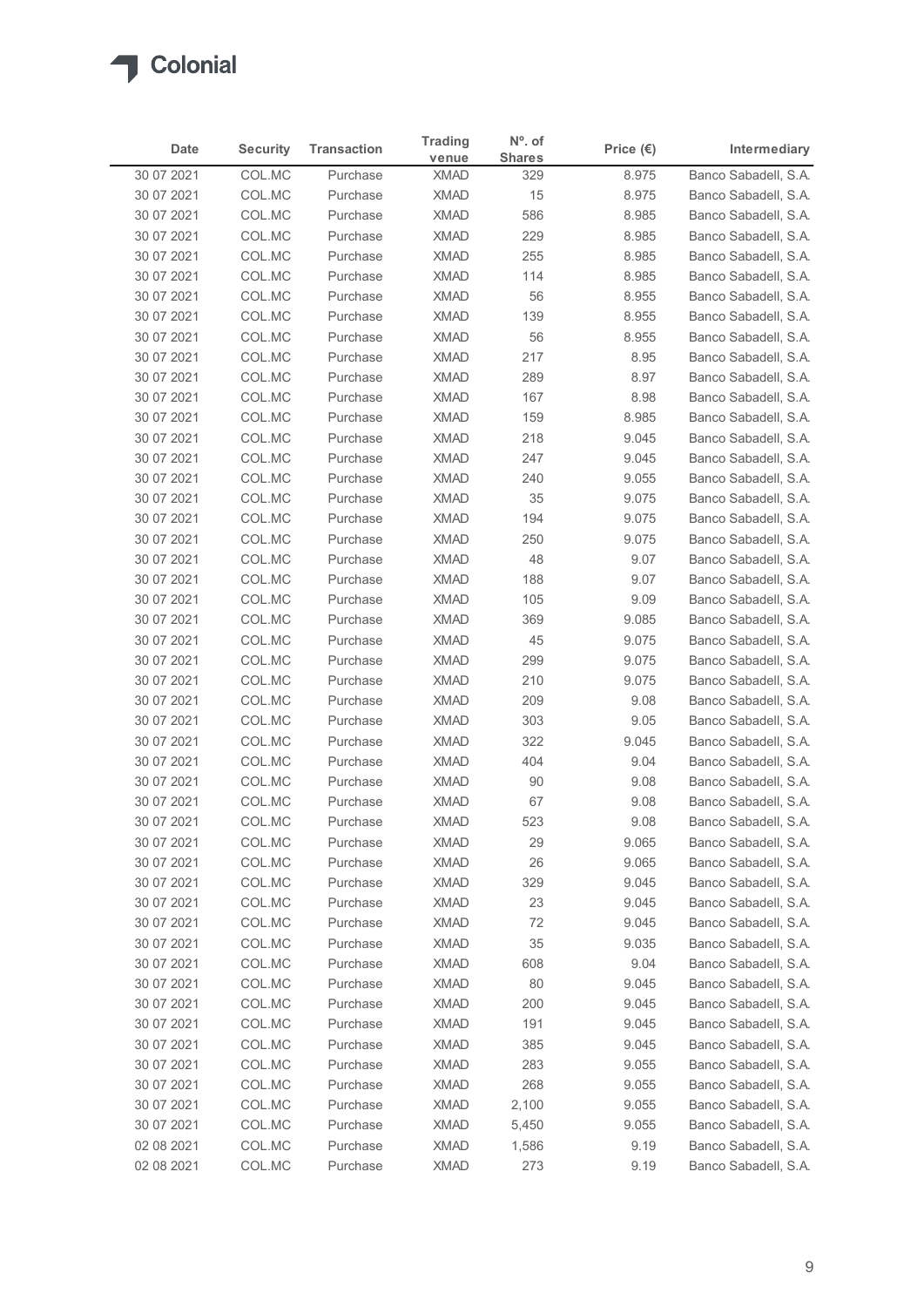

| Date                     | <b>Security</b>  | <b>Transaction</b>   | <b>Trading</b>             | $No$ . of            | Price $(\epsilon)$ | Intermediary                                 |
|--------------------------|------------------|----------------------|----------------------------|----------------------|--------------------|----------------------------------------------|
| 30 07 2021               | COL.MC           | Purchase             | venue<br><b>XMAD</b>       | <b>Shares</b><br>329 | 8.975              | Banco Sabadell, S.A.                         |
| 30 07 2021               | COL.MC           | Purchase             | <b>XMAD</b>                | 15                   | 8.975              | Banco Sabadell, S.A.                         |
| 30 07 2021               | COL.MC           | Purchase             | <b>XMAD</b>                | 586                  | 8.985              | Banco Sabadell, S.A.                         |
| 30 07 2021               | COL.MC           | Purchase             | <b>XMAD</b>                | 229                  | 8.985              | Banco Sabadell, S.A.                         |
| 30 07 2021               | COL.MC           | Purchase             | <b>XMAD</b>                | 255                  | 8.985              | Banco Sabadell, S.A.                         |
| 30 07 2021               | COL.MC           | Purchase             | <b>XMAD</b>                | 114                  | 8.985              | Banco Sabadell, S.A.                         |
| 30 07 2021               | COL.MC           | Purchase<br>Purchase | <b>XMAD</b><br><b>XMAD</b> | 56<br>139            | 8.955              | Banco Sabadell, S.A.                         |
| 30 07 2021<br>30 07 2021 | COL.MC<br>COL.MC | Purchase             | <b>XMAD</b>                | 56                   | 8.955<br>8.955     | Banco Sabadell, S.A.<br>Banco Sabadell, S.A. |
| 30 07 2021               | COL.MC           | Purchase             | <b>XMAD</b>                | 217                  | 8.95               | Banco Sabadell, S.A.                         |
| 30 07 2021               | COL.MC           | Purchase             | <b>XMAD</b>                | 289                  | 8.97               | Banco Sabadell, S.A.                         |
| 30 07 2021               | COL.MC           | Purchase             | <b>XMAD</b>                | 167                  | 8.98               | Banco Sabadell, S.A.                         |
| 30 07 2021               | COL.MC           | Purchase             | <b>XMAD</b>                | 159                  | 8.985              | Banco Sabadell, S.A.                         |
| 30 07 2021               | COL.MC           | Purchase             | XMAD                       | 218                  | 9.045              | Banco Sabadell, S.A.                         |
| 30 07 2021               | COL.MC           | Purchase             | <b>XMAD</b>                | 247                  | 9.045              | Banco Sabadell, S.A.                         |
| 30 07 2021               | COL.MC           | Purchase             | <b>XMAD</b>                | 240                  | 9.055              | Banco Sabadell, S.A.                         |
| 30 07 2021<br>30 07 2021 | COL.MC<br>COL.MC | Purchase<br>Purchase | XMAD<br><b>XMAD</b>        | 35<br>194            | 9.075<br>9.075     | Banco Sabadell, S.A.<br>Banco Sabadell, S.A. |
| 30 07 2021               | COL.MC           | Purchase             | <b>XMAD</b>                | 250                  | 9.075              | Banco Sabadell, S.A.                         |
| 30 07 2021               | COL.MC           | Purchase             | <b>XMAD</b>                | 48                   | 9.07               | Banco Sabadell, S.A.                         |
| 30 07 2021               | COL.MC           | Purchase             | <b>XMAD</b>                | 188                  | 9.07               | Banco Sabadell, S.A.                         |
| 30 07 2021               | COL.MC           | Purchase             | <b>XMAD</b>                | 105                  | 9.09               | Banco Sabadell, S.A.                         |
| 30 07 2021               | COL.MC           | Purchase             | XMAD                       | 369                  | 9.085              | Banco Sabadell, S.A.                         |
| 30 07 2021               | COL.MC           | Purchase             | <b>XMAD</b>                | 45                   | 9.075              | Banco Sabadell, S.A.                         |
| 30 07 2021               | COL.MC           | Purchase             | <b>XMAD</b>                | 299                  | 9.075              | Banco Sabadell, S.A.                         |
| 30 07 2021               | COL.MC           | Purchase             | <b>XMAD</b>                | 210                  | 9.075              | Banco Sabadell, S.A.                         |
| 30 07 2021               | COL.MC           | Purchase<br>Purchase | <b>XMAD</b><br>XMAD        | 209<br>303           | 9.08<br>9.05       | Banco Sabadell, S.A.                         |
| 30 07 2021<br>30 07 2021 | COL.MC<br>COL.MC | Purchase             | <b>XMAD</b>                | 322                  | 9.045              | Banco Sabadell, S.A.<br>Banco Sabadell, S.A. |
| 30 07 2021               | COL.MC           | Purchase             | <b>XMAD</b>                | 404                  | 9.04               | Banco Sabadell, S.A.                         |
| 30 07 2021               | COL.MC           | Purchase             | <b>XMAD</b>                | 90                   | 9.08               | Banco Sabadell, S.A.                         |
| 30 07 2021               | COL.MC           | Purchase             | <b>XMAD</b>                | 67                   | 9.08               | Banco Sabadell, S.A.                         |
| 30 07 2021               | COL.MC           | Purchase             | <b>XMAD</b>                | 523                  | 9.08               | Banco Sabadell, S.A.                         |
| 30 07 2021               | COL.MC           | Purchase             | <b>XMAD</b>                | 29                   | 9.065              | Banco Sabadell, S.A.                         |
| 30 07 2021               | COL.MC           | Purchase             | XMAD                       | 26                   | 9.065              | Banco Sabadell, S.A.                         |
| 30 07 2021               | COL.MC           | Purchase             | <b>XMAD</b>                | 329                  | 9.045              | Banco Sabadell, S.A.                         |
| 30 07 2021               | COL.MC           | Purchase             | <b>XMAD</b>                | 23                   | 9.045              | Banco Sabadell, S.A.                         |
| 30 07 2021<br>30 07 2021 | COL.MC<br>COL.MC | Purchase<br>Purchase | <b>XMAD</b><br>XMAD        | 72<br>35             | 9.045<br>9.035     | Banco Sabadell, S.A.<br>Banco Sabadell, S.A. |
| 30 07 2021               | COL.MC           | Purchase             | <b>XMAD</b>                | 608                  | 9.04               | Banco Sabadell, S.A.                         |
| 30 07 2021               | COL.MC           | Purchase             | <b>XMAD</b>                | 80                   | 9.045              | Banco Sabadell, S.A.                         |
| 30 07 2021               | COL.MC           | Purchase             | <b>XMAD</b>                | 200                  | 9.045              | Banco Sabadell, S.A.                         |
| 30 07 2021               | COL.MC           | Purchase             | <b>XMAD</b>                | 191                  | 9.045              | Banco Sabadell, S.A.                         |
| 30 07 2021               | COL.MC           | Purchase             | <b>XMAD</b>                | 385                  | 9.045              | Banco Sabadell, S.A.                         |
| 30 07 2021               | COL.MC           | Purchase             | <b>XMAD</b>                | 283                  | 9.055              | Banco Sabadell, S.A.                         |
| 30 07 2021               | COL.MC           | Purchase             | XMAD                       | 268                  | 9.055              | Banco Sabadell, S.A.                         |
| 30 07 2021               | COL.MC           | Purchase             | <b>XMAD</b>                | 2,100                | 9.055              | Banco Sabadell, S.A.                         |
| 30 07 2021               | COL.MC<br>COL.MC | Purchase             | <b>XMAD</b>                | 5,450                | 9.055              | Banco Sabadell, S.A.                         |
| 02 08 2021               |                  | Purchase             | <b>XMAD</b>                | 1,586                | 9.19               | Banco Sabadell, S.A.                         |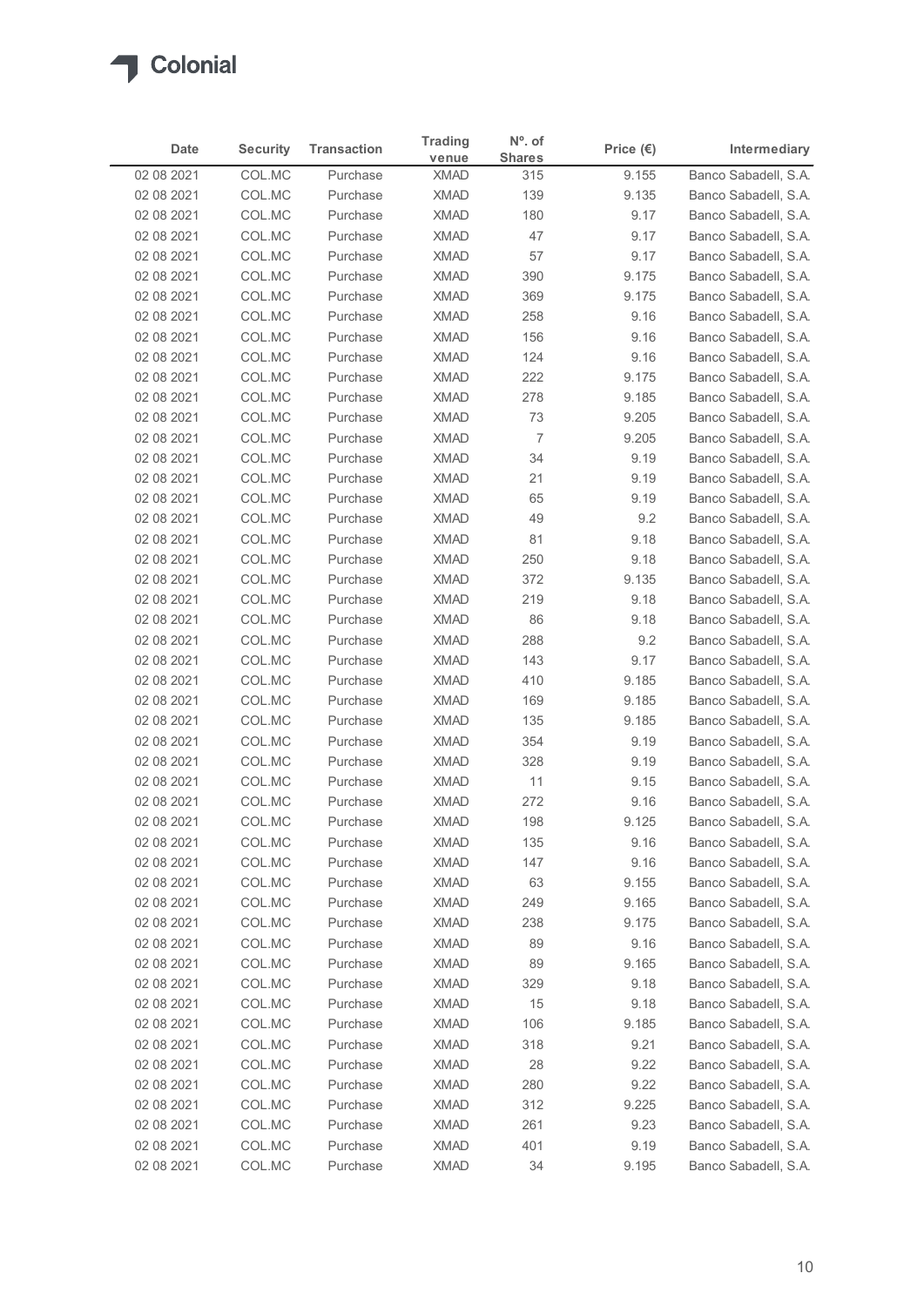

|                          |                  |                      | <b>Trading</b>             | $No$ . of      |                    |                                              |
|--------------------------|------------------|----------------------|----------------------------|----------------|--------------------|----------------------------------------------|
| Date                     | <b>Security</b>  | <b>Transaction</b>   | venue                      | <b>Shares</b>  | Price $(\epsilon)$ | Intermediary                                 |
| 02 08 2021<br>02 08 2021 | COL.MC<br>COL.MC | Purchase<br>Purchase | <b>XMAD</b><br><b>XMAD</b> | 315<br>139     | 9.155<br>9.135     | Banco Sabadell, S.A.<br>Banco Sabadell, S.A. |
| 02 08 2021               | COL.MC           | Purchase             | <b>XMAD</b>                | 180            | 9.17               | Banco Sabadell, S.A.                         |
| 02 08 2021               | COL.MC           | Purchase             | <b>XMAD</b>                | 47             | 9.17               | Banco Sabadell, S.A.                         |
| 02 08 2021               | COL.MC           | Purchase             | <b>XMAD</b>                | 57             | 9.17               | Banco Sabadell, S.A.                         |
| 02 08 2021               | COL.MC           | Purchase             | <b>XMAD</b>                | 390            | 9.175              | Banco Sabadell, S.A.                         |
| 02 08 2021<br>02 08 2021 | COL.MC<br>COL.MC | Purchase<br>Purchase | <b>XMAD</b><br><b>XMAD</b> | 369<br>258     | 9.175<br>9.16      | Banco Sabadell, S.A.<br>Banco Sabadell, S.A. |
| 02 08 2021               | COL.MC           | Purchase             | <b>XMAD</b>                | 156            | 9.16               | Banco Sabadell, S.A.                         |
| 02 08 2021               | COL.MC           | Purchase             | <b>XMAD</b>                | 124            | 9.16               | Banco Sabadell, S.A.                         |
| 02 08 2021               | COL.MC           | Purchase             | <b>XMAD</b>                | 222            | 9.175              | Banco Sabadell, S.A.                         |
| 02 08 2021               | COL.MC           | Purchase             | <b>XMAD</b>                | 278            | 9.185              | Banco Sabadell, S.A.                         |
| 02 08 2021               | COL.MC           | Purchase             | <b>XMAD</b>                | 73             | 9.205              | Banco Sabadell, S.A.                         |
| 02 08 2021<br>02 08 2021 | COL.MC           | Purchase             | XMAD<br><b>XMAD</b>        | $\overline{7}$ | 9.205              | Banco Sabadell, S.A.<br>Banco Sabadell, S.A. |
| 02 08 2021               | COL.MC<br>COL.MC | Purchase<br>Purchase | XMAD                       | 34<br>21       | 9.19<br>9.19       | Banco Sabadell, S.A.                         |
| 02 08 2021               | COL.MC           | Purchase             | <b>XMAD</b>                | 65             | 9.19               | Banco Sabadell, S.A.                         |
| 02 08 2021               | COL.MC           | Purchase             | <b>XMAD</b>                | 49             | 9.2                | Banco Sabadell, S.A.                         |
| 02 08 2021               | COL.MC           | Purchase             | <b>XMAD</b>                | 81             | 9.18               | Banco Sabadell, S.A.                         |
| 02 08 2021               | COL.MC           | Purchase             | <b>XMAD</b>                | 250            | 9.18               | Banco Sabadell, S.A.                         |
| 02 08 2021               | COL.MC           | Purchase             | <b>XMAD</b>                | 372            | 9.135              | Banco Sabadell, S.A.                         |
| 02 08 2021<br>02 08 2021 | COL.MC<br>COL.MC | Purchase<br>Purchase | <b>XMAD</b><br>XMAD        | 219<br>86      | 9.18<br>9.18       | Banco Sabadell, S.A.<br>Banco Sabadell, S.A. |
| 02 08 2021               | COL.MC           | Purchase             | <b>XMAD</b>                | 288            | 9.2                | Banco Sabadell, S.A.                         |
| 02 08 2021               | COL.MC           | Purchase             | <b>XMAD</b>                | 143            | 9.17               | Banco Sabadell, S.A.                         |
| 02 08 2021               | COL.MC           | Purchase             | <b>XMAD</b>                | 410            | 9.185              | Banco Sabadell, S.A.                         |
| 02 08 2021               | COL.MC           | Purchase             | XMAD                       | 169            | 9.185              | Banco Sabadell, S.A.                         |
| 02 08 2021               | COL.MC           | Purchase             | <b>XMAD</b>                | 135            | 9.185              | Banco Sabadell, S.A.                         |
| 02 08 2021               | COL.MC           | Purchase             | XMAD                       | 354            | 9.19               | Banco Sabadell, S.A.                         |
| 02 08 2021               | COL.MC           | Purchase             | <b>XMAD</b>                | 328            | 9.19               | Banco Sabadell, S.A.                         |
| 02 08 2021<br>02 08 2021 | COL.MC<br>COL.MC | Purchase<br>Purchase | <b>XMAD</b><br><b>XMAD</b> | 11<br>272      | 9.15<br>9.16       | Banco Sabadell, S.A.<br>Banco Sabadell, S.A. |
| 02 08 2021               | COL.MC           | Purchase             | <b>XMAD</b>                | 198            | 9.125              | Banco Sabadell, S.A.                         |
| 02 08 2021               | COL.MC           | Purchase             | <b>XMAD</b>                | 135            | 9.16               | Banco Sabadell, S.A.                         |
| 02 08 2021               | COL.MC           | Purchase             | XMAD                       | 147            | 9.16               | Banco Sabadell, S.A.                         |
| 02 08 2021               | COL.MC           | Purchase             | XMAD                       | 63             | 9.155              | Banco Sabadell, S.A.                         |
| 02 08 2021               | COL.MC           | Purchase             | <b>XMAD</b>                | 249            | 9.165              | Banco Sabadell, S.A.                         |
| 02 08 2021               | COL.MC           | Purchase             | <b>XMAD</b>                | 238            | 9.175              | Banco Sabadell, S.A.                         |
| 02 08 2021               | COL.MC           | Purchase             | XMAD                       | 89             | 9.16               | Banco Sabadell, S.A.                         |
| 02 08 2021<br>02 08 2021 | COL.MC<br>COL.MC | Purchase<br>Purchase | <b>XMAD</b><br><b>XMAD</b> | 89<br>329      | 9.165<br>9.18      | Banco Sabadell, S.A.<br>Banco Sabadell, S.A. |
| 02 08 2021               | COL.MC           | Purchase             | <b>XMAD</b>                | 15             | 9.18               | Banco Sabadell, S.A.                         |
| 02 08 2021               | COL.MC           | Purchase             | <b>XMAD</b>                | 106            | 9.185              | Banco Sabadell, S.A.                         |
| 02 08 2021               | COL.MC           | Purchase             | <b>XMAD</b>                | 318            | 9.21               | Banco Sabadell, S.A.                         |
| 02 08 2021               | COL.MC           | Purchase             | XMAD                       | 28             | 9.22               | Banco Sabadell, S.A.                         |
| 02 08 2021               | COL.MC           | Purchase             | XMAD                       | 280            | 9.22               | Banco Sabadell, S.A.                         |
| 02 08 2021               | COL.MC           | Purchase             | <b>XMAD</b>                | 312            | 9.225              | Banco Sabadell, S.A.                         |
| 02 08 2021               | COL.MC<br>COL.MC | Purchase             | <b>XMAD</b>                | 261            | 9.23               | Banco Sabadell, S.A.                         |
| 02 08 2021               |                  | Purchase             | <b>XMAD</b>                | 401            | 9.19               | Banco Sabadell, S.A.                         |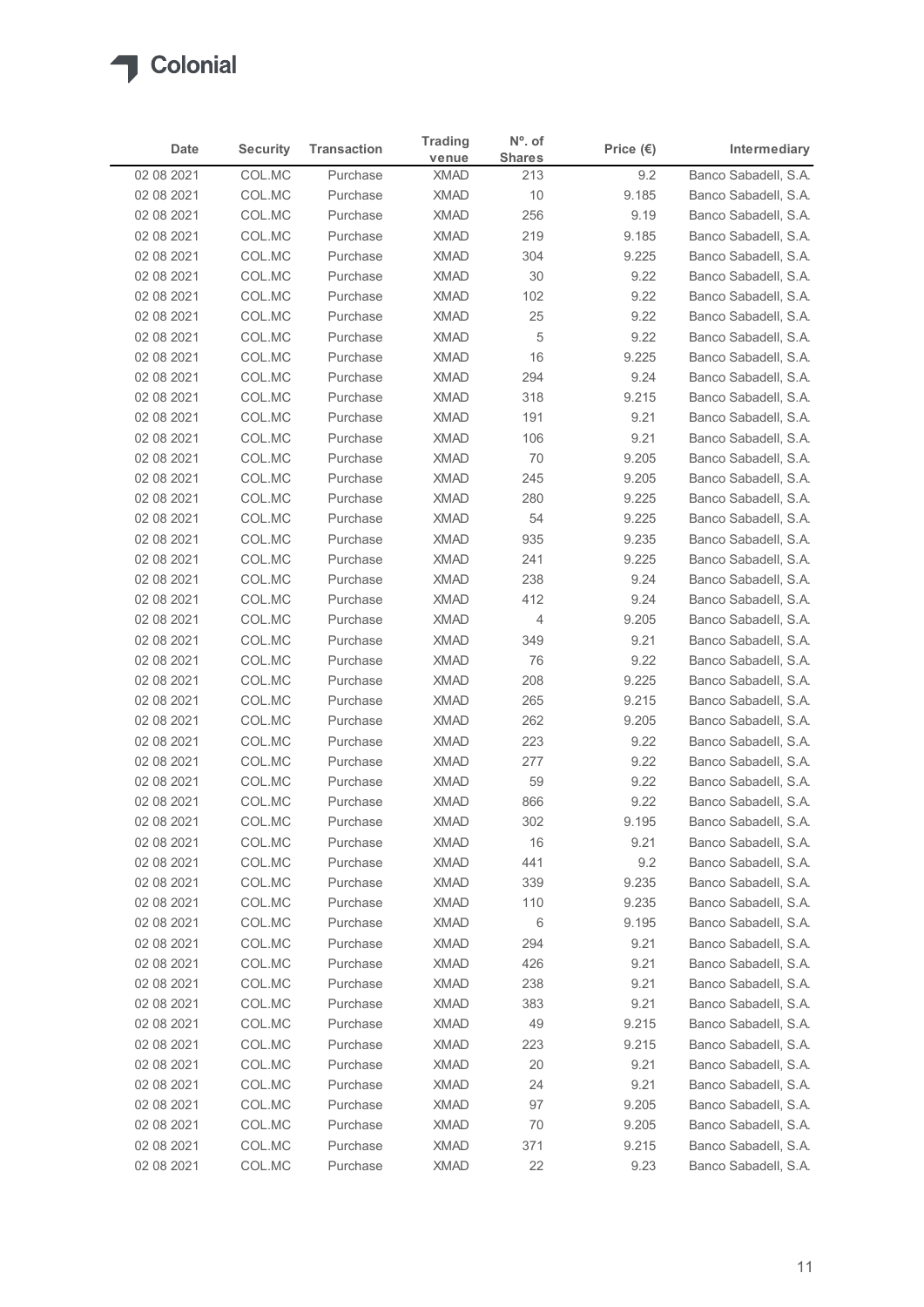

|                          | <b>Security</b>  | <b>Transaction</b>   | <b>Trading</b>             | $No$ . of            | Price $(\epsilon)$ | Intermediary                                 |
|--------------------------|------------------|----------------------|----------------------------|----------------------|--------------------|----------------------------------------------|
| Date<br>02 08 2021       | COL.MC           | Purchase             | venue<br><b>XMAD</b>       | <b>Shares</b><br>213 | 9.2                | Banco Sabadell, S.A.                         |
| 02 08 2021               | COL.MC           | Purchase             | <b>XMAD</b>                | 10                   | 9.185              | Banco Sabadell, S.A.                         |
| 02 08 2021               | COL.MC           | Purchase             | <b>XMAD</b>                | 256                  | 9.19               | Banco Sabadell, S.A.                         |
| 02 08 2021               | COL.MC           | Purchase             | <b>XMAD</b>                | 219                  | 9.185              | Banco Sabadell, S.A.                         |
| 02 08 2021               | COL.MC           | Purchase             | <b>XMAD</b>                | 304                  | 9.225              | Banco Sabadell, S.A.                         |
| 02 08 2021               | COL.MC           | Purchase             | <b>XMAD</b>                | 30                   | 9.22               | Banco Sabadell, S.A.                         |
| 02 08 2021               | COL.MC           | Purchase             | <b>XMAD</b>                | 102                  | 9.22               | Banco Sabadell, S.A.                         |
| 02 08 2021<br>02 08 2021 | COL.MC<br>COL.MC | Purchase<br>Purchase | <b>XMAD</b><br><b>XMAD</b> | 25<br>5              | 9.22<br>9.22       | Banco Sabadell, S.A.<br>Banco Sabadell, S.A. |
| 02 08 2021               | COL.MC           | Purchase             | <b>XMAD</b>                | 16                   | 9.225              | Banco Sabadell, S.A.                         |
| 02 08 2021               | COL.MC           | Purchase             | <b>XMAD</b>                | 294                  | 9.24               | Banco Sabadell, S.A.                         |
| 02 08 2021               | COL.MC           | Purchase             | <b>XMAD</b>                | 318                  | 9.215              | Banco Sabadell, S.A.                         |
| 02 08 2021               | COL.MC           | Purchase             | <b>XMAD</b>                | 191                  | 9.21               | Banco Sabadell, S.A.                         |
| 02 08 2021               | COL.MC           | Purchase             | XMAD                       | 106                  | 9.21               | Banco Sabadell, S.A.                         |
| 02 08 2021               | COL.MC           | Purchase             | XMAD                       | 70                   | 9.205              | Banco Sabadell, S.A.                         |
| 02 08 2021               | COL.MC           | Purchase             | XMAD                       | 245                  | 9.205              | Banco Sabadell, S.A.                         |
| 02 08 2021<br>02 08 2021 | COL.MC<br>COL.MC | Purchase<br>Purchase | <b>XMAD</b><br><b>XMAD</b> | 280<br>54            | 9.225<br>9.225     | Banco Sabadell, S.A.<br>Banco Sabadell, S.A. |
| 02 08 2021               | COL.MC           | Purchase             | <b>XMAD</b>                | 935                  | 9.235              | Banco Sabadell, S.A.                         |
| 02 08 2021               | COL.MC           | Purchase             | <b>XMAD</b>                | 241                  | 9.225              | Banco Sabadell, S.A.                         |
| 02 08 2021               | COL.MC           | Purchase             | <b>XMAD</b>                | 238                  | 9.24               | Banco Sabadell, S.A.                         |
| 02 08 2021               | COL.MC           | Purchase             | XMAD                       | 412                  | 9.24               | Banco Sabadell, S.A.                         |
| 02 08 2021               | COL.MC           | Purchase             | XMAD                       | 4                    | 9.205              | Banco Sabadell, S.A.                         |
| 02 08 2021               | COL.MC           | Purchase             | <b>XMAD</b>                | 349                  | 9.21               | Banco Sabadell, S.A.                         |
| 02 08 2021               | COL.MC           | Purchase             | <b>XMAD</b>                | 76                   | 9.22               | Banco Sabadell, S.A.                         |
| 02 08 2021               | COL.MC           | Purchase             | <b>XMAD</b>                | 208                  | 9.225<br>9.215     | Banco Sabadell, S.A.                         |
| 02 08 2021<br>02 08 2021 | COL.MC<br>COL.MC | Purchase<br>Purchase | XMAD<br>XMAD               | 265<br>262           | 9.205              | Banco Sabadell, S.A.<br>Banco Sabadell, S.A. |
| 02 08 2021               | COL.MC           | Purchase             | XMAD                       | 223                  | 9.22               | Banco Sabadell, S.A.                         |
| 02 08 2021               | COL.MC           | Purchase             | <b>XMAD</b>                | 277                  | 9.22               | Banco Sabadell, S.A.                         |
| 02 08 2021               | COL.MC           | Purchase             | <b>XMAD</b>                | 59                   | 9.22               | Banco Sabadell, S.A.                         |
| 02 08 2021               | COL.MC           | Purchase             | <b>XMAD</b>                | 866                  | 9.22               | Banco Sabadell, S.A.                         |
| 02 08 2021               | COL.MC           | Purchase             | <b>XMAD</b>                | 302                  | 9.195              | Banco Sabadell, S.A.                         |
| 02 08 2021               | COL.MC           | Purchase             | <b>XMAD</b>                | 16                   | 9.21               | Banco Sabadell, S.A.                         |
| 02 08 2021               | COL.MC           | Purchase             | XMAD                       | 441                  | 9.2                | Banco Sabadell, S.A.                         |
| 02 08 2021               | COL.MC           | Purchase             | <b>XMAD</b>                | 339                  | 9.235              | Banco Sabadell, S.A.                         |
| 02 08 2021<br>02 08 2021 | COL.MC<br>COL.MC | Purchase<br>Purchase | <b>XMAD</b><br><b>XMAD</b> | 110<br>6             | 9.235<br>9.195     | Banco Sabadell, S.A.<br>Banco Sabadell, S.A. |
| 02 08 2021               | COL.MC           | Purchase             | XMAD                       | 294                  | 9.21               | Banco Sabadell, S.A.                         |
| 02 08 2021               | COL.MC           | Purchase             | <b>XMAD</b>                | 426                  | 9.21               | Banco Sabadell, S.A.                         |
| 02 08 2021               | COL.MC           | Purchase             | <b>XMAD</b>                | 238                  | 9.21               | Banco Sabadell, S.A.                         |
| 02 08 2021               | COL.MC           | Purchase             | <b>XMAD</b>                | 383                  | 9.21               | Banco Sabadell, S.A.                         |
| 02 08 2021               | COL.MC           | Purchase             | <b>XMAD</b>                | 49                   | 9.215              | Banco Sabadell, S.A.                         |
| 02 08 2021               | COL.MC           | Purchase             | <b>XMAD</b>                | 223                  | 9.215              | Banco Sabadell, S.A.                         |
| 02 08 2021               | COL.MC           | Purchase             | XMAD                       | 20                   | 9.21               | Banco Sabadell, S.A.                         |
| 02 08 2021               | COL.MC           | Purchase             | XMAD                       | 24                   | 9.21               | Banco Sabadell, S.A.                         |
| 02 08 2021<br>02 08 2021 | COL.MC<br>COL.MC | Purchase<br>Purchase | <b>XMAD</b><br><b>XMAD</b> | 97<br>70             | 9.205<br>9.205     | Banco Sabadell, S.A.<br>Banco Sabadell, S.A. |
|                          | COL.MC           | Purchase             | <b>XMAD</b>                | 371                  | 9.215              | Banco Sabadell, S.A.                         |
| 02 08 2021               |                  |                      |                            |                      |                    | Banco Sabadell, S.A.                         |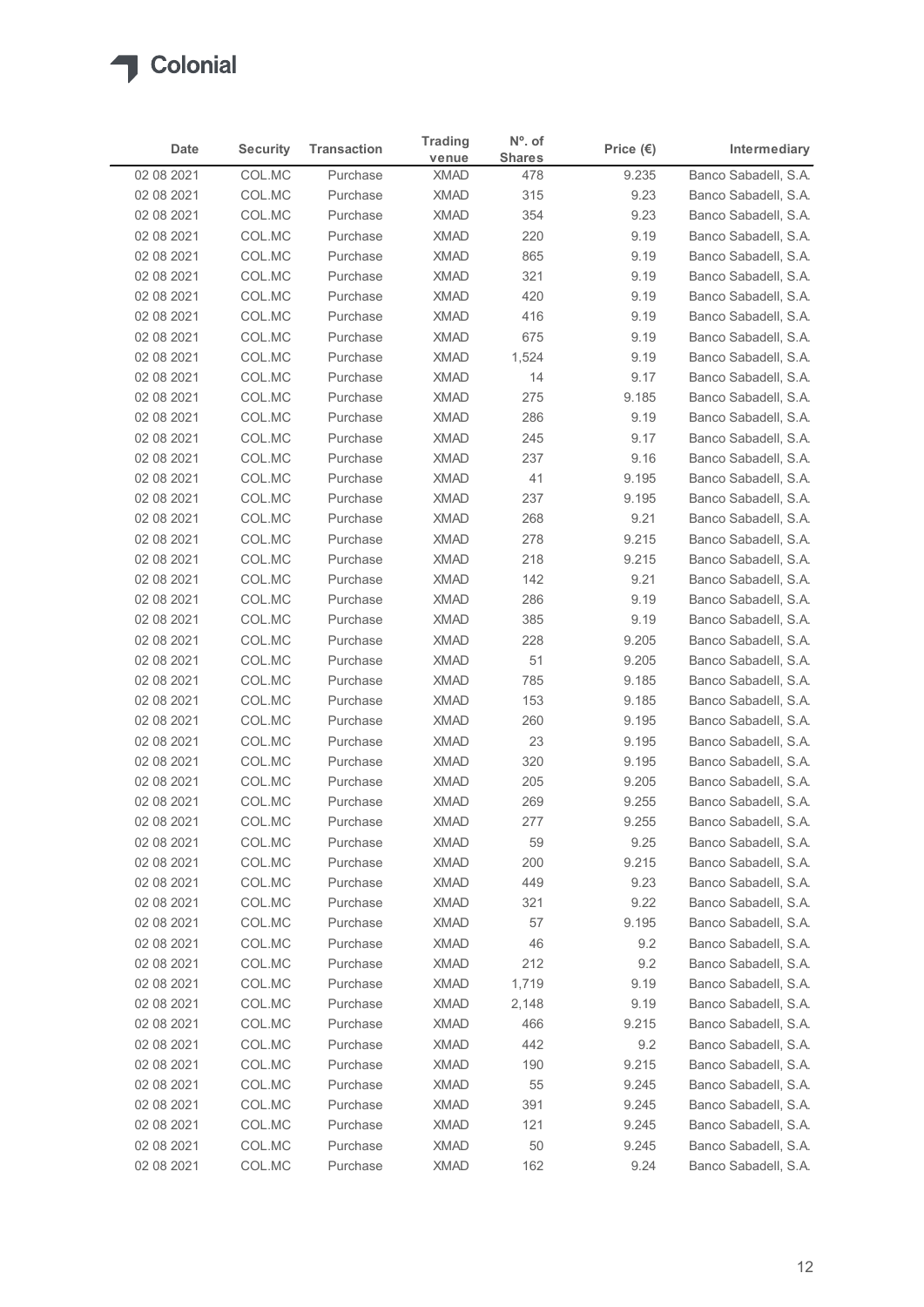

| Date                     | <b>Security</b>  | <b>Transaction</b>   | <b>Trading</b>             | $No$ . of            | Price $(\epsilon)$ | Intermediary                                 |
|--------------------------|------------------|----------------------|----------------------------|----------------------|--------------------|----------------------------------------------|
| 02 08 2021               | COL.MC           | Purchase             | venue<br><b>XMAD</b>       | <b>Shares</b><br>478 | 9.235              | Banco Sabadell, S.A.                         |
| 02 08 2021               | COL.MC           | Purchase             | <b>XMAD</b>                | 315                  | 9.23               | Banco Sabadell, S.A.                         |
| 02 08 2021               | COL.MC           | Purchase             | <b>XMAD</b>                | 354                  | 9.23               | Banco Sabadell, S.A.                         |
| 02 08 2021               | COL.MC           | Purchase             | <b>XMAD</b>                | 220                  | 9.19               | Banco Sabadell, S.A.                         |
| 02 08 2021               | COL.MC           | Purchase             | <b>XMAD</b>                | 865                  | 9.19               | Banco Sabadell, S.A.                         |
| 02 08 2021               | COL.MC           | Purchase             | <b>XMAD</b>                | 321                  | 9.19               | Banco Sabadell, S.A.                         |
| 02 08 2021               | COL.MC           | Purchase             | <b>XMAD</b>                | 420                  | 9.19               | Banco Sabadell, S.A.                         |
| 02 08 2021               | COL.MC           | Purchase             | <b>XMAD</b>                | 416                  | 9.19               | Banco Sabadell, S.A.                         |
| 02 08 2021<br>02 08 2021 | COL.MC<br>COL.MC | Purchase<br>Purchase | <b>XMAD</b><br><b>XMAD</b> | 675<br>1,524         | 9.19<br>9.19       | Banco Sabadell, S.A.<br>Banco Sabadell, S.A. |
| 02 08 2021               | COL.MC           | Purchase             | <b>XMAD</b>                | 14                   | 9.17               | Banco Sabadell, S.A.                         |
| 02 08 2021               | COL.MC           | Purchase             | <b>XMAD</b>                | 275                  | 9.185              | Banco Sabadell, S.A.                         |
| 02 08 2021               | COL.MC           | Purchase             | <b>XMAD</b>                | 286                  | 9.19               | Banco Sabadell, S.A.                         |
| 02 08 2021               | COL.MC           | Purchase             | XMAD                       | 245                  | 9.17               | Banco Sabadell, S.A.                         |
| 02 08 2021               | COL.MC           | Purchase             | <b>XMAD</b>                | 237                  | 9.16               | Banco Sabadell, S.A.                         |
| 02 08 2021               | COL.MC           | Purchase             | <b>XMAD</b>                | 41                   | 9.195              | Banco Sabadell, S.A.                         |
| 02 08 2021               | COL.MC           | Purchase             | XMAD                       | 237                  | 9.195              | Banco Sabadell, S.A.                         |
| 02 08 2021               | COL.MC<br>COL.MC | Purchase<br>Purchase | <b>XMAD</b><br><b>XMAD</b> | 268<br>278           | 9.21<br>9.215      | Banco Sabadell, S.A.<br>Banco Sabadell, S.A. |
| 02 08 2021<br>02 08 2021 | COL.MC           | Purchase             | <b>XMAD</b>                | 218                  | 9.215              | Banco Sabadell, S.A.                         |
| 02 08 2021               | COL.MC           | Purchase             | <b>XMAD</b>                | 142                  | 9.21               | Banco Sabadell, S.A.                         |
| 02 08 2021               | COL.MC           | Purchase             | <b>XMAD</b>                | 286                  | 9.19               | Banco Sabadell, S.A.                         |
| 02 08 2021               | COL.MC           | Purchase             | <b>XMAD</b>                | 385                  | 9.19               | Banco Sabadell, S.A.                         |
| 02 08 2021               | COL.MC           | Purchase             | <b>XMAD</b>                | 228                  | 9.205              | Banco Sabadell, S.A.                         |
| 02 08 2021               | COL.MC           | Purchase             | XMAD                       | 51                   | 9.205              | Banco Sabadell, S.A.                         |
| 02 08 2021               | COL.MC           | Purchase             | <b>XMAD</b>                | 785                  | 9.185              | Banco Sabadell, S.A.                         |
| 02 08 2021               | COL.MC           | Purchase             | <b>XMAD</b>                | 153                  | 9.185              | Banco Sabadell, S.A.                         |
| 02 08 2021               | COL.MC           | Purchase             | <b>XMAD</b>                | 260                  | 9.195              | Banco Sabadell, S.A.                         |
| 02 08 2021<br>02 08 2021 | COL.MC<br>COL.MC | Purchase<br>Purchase | <b>XMAD</b><br><b>XMAD</b> | 23<br>320            | 9.195<br>9.195     | Banco Sabadell, S.A.<br>Banco Sabadell, S.A. |
| 02 08 2021               | COL.MC           | Purchase             | <b>XMAD</b>                | 205                  | 9.205              | Banco Sabadell, S.A.                         |
| 02 08 2021               | COL.MC           | Purchase             | <b>XMAD</b>                | 269                  | 9.255              | Banco Sabadell, S.A.                         |
| 02 08 2021               | COL.MC           | Purchase             | <b>XMAD</b>                | 277                  | 9.255              | Banco Sabadell, S.A.                         |
| 02 08 2021               | COL.MC           | Purchase             | <b>XMAD</b>                | 59                   | 9.25               | Banco Sabadell, S.A.                         |
| 02 08 2021               | COL.MC           | Purchase             | XMAD                       | 200                  | 9.215              | Banco Sabadell, S.A.                         |
| 02 08 2021               | COL.MC           | Purchase             | <b>XMAD</b>                | 449                  | 9.23               | Banco Sabadell, S.A.                         |
| 02 08 2021               | COL.MC           | Purchase             | <b>XMAD</b>                | 321                  | 9.22               | Banco Sabadell, S.A.                         |
| 02 08 2021               | COL.MC           | Purchase             | <b>XMAD</b>                | 57                   | 9.195              | Banco Sabadell, S.A.                         |
| 02 08 2021               | COL.MC<br>COL.MC | Purchase<br>Purchase | <b>XMAD</b><br><b>XMAD</b> | 46<br>212            | 9.2<br>9.2         | Banco Sabadell, S.A.<br>Banco Sabadell, S.A. |
| 02 08 2021<br>02 08 2021 | COL.MC           | Purchase             | <b>XMAD</b>                | 1,719                | 9.19               | Banco Sabadell, S.A.                         |
| 02 08 2021               | COL.MC           | Purchase             | <b>XMAD</b>                | 2,148                | 9.19               | Banco Sabadell, S.A.                         |
| 02 08 2021               | COL.MC           | Purchase             | <b>XMAD</b>                | 466                  | 9.215              | Banco Sabadell, S.A.                         |
| 02 08 2021               | COL.MC           | Purchase             | <b>XMAD</b>                | 442                  | 9.2                | Banco Sabadell, S.A.                         |
| 02 08 2021               | COL.MC           | Purchase             | <b>XMAD</b>                | 190                  | 9.215              | Banco Sabadell, S.A.                         |
| 02 08 2021               | COL.MC           | Purchase             | XMAD                       | 55                   | 9.245              | Banco Sabadell, S.A.                         |
| 02 08 2021               | COL.MC           | Purchase             | <b>XMAD</b>                | 391                  | 9.245              | Banco Sabadell, S.A.                         |
| 02 08 2021               | COL.MC           | Purchase             | <b>XMAD</b>                | 121                  | 9.245              | Banco Sabadell, S.A.                         |
| 02 08 2021               | COL.MC<br>COL.MC | Purchase             | <b>XMAD</b>                | 50                   | 9.245              | Banco Sabadell, S.A.                         |
| 02 08 2021               |                  | Purchase             | <b>XMAD</b>                | 162                  | 9.24               | Banco Sabadell, S.A.                         |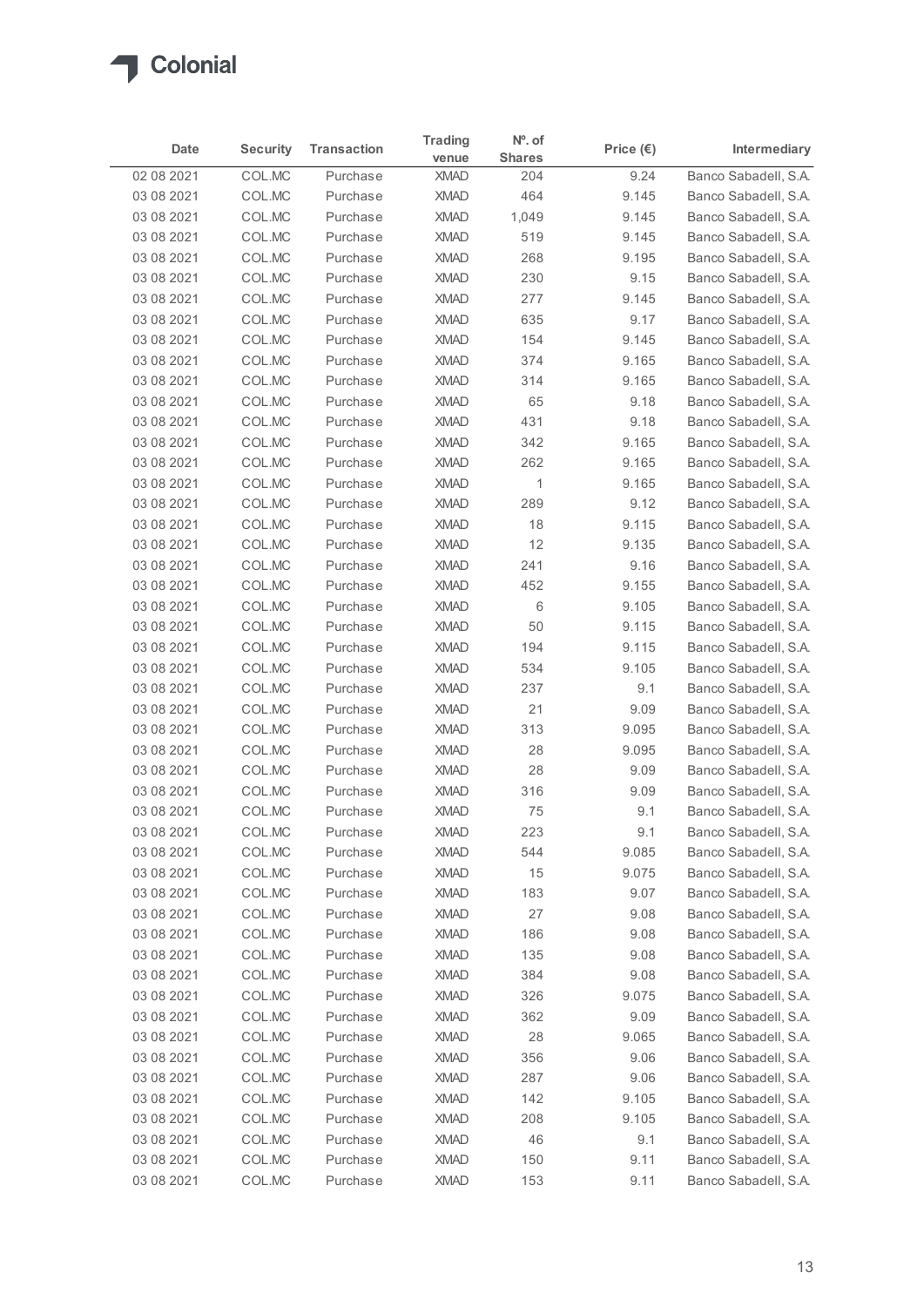

|                          |                  |                      | <b>Trading</b>             | $No$ . of             |                    |                                              |
|--------------------------|------------------|----------------------|----------------------------|-----------------------|--------------------|----------------------------------------------|
| Date                     | <b>Security</b>  | <b>Transaction</b>   | venue                      | <b>Shares</b>         | Price $(\epsilon)$ | Intermediary                                 |
| 02 08 2021               | COL.MC           | Purchase             | <b>XMAD</b>                | 204                   | 9.24               | Banco Sabadell, S.A.                         |
| 03 08 2021               | COL.MC           | Purchase             | <b>XMAD</b>                | 464                   | 9.145              | Banco Sabadell, S.A.                         |
| 03 08 2021               | COL.MC<br>COL.MC | Purchase             | <b>XMAD</b><br><b>XMAD</b> | 1,049<br>519          | 9.145              | Banco Sabadell, S.A.                         |
| 03 08 2021<br>03 08 2021 | COL.MC           | Purchase<br>Purchase | <b>XMAD</b>                | 268                   | 9.145<br>9.195     | Banco Sabadell, S.A.<br>Banco Sabadell, S.A. |
| 03 08 2021               | COL.MC           | Purchase             | <b>XMAD</b>                | 230                   | 9.15               | Banco Sabadell, S.A.                         |
| 03 08 2021               | COL.MC           | Purchase             | <b>XMAD</b>                | 277                   | 9.145              | Banco Sabadell, S.A.                         |
| 03 08 2021               | COL.MC           | Purchase             | <b>XMAD</b>                | 635                   | 9.17               | Banco Sabadell, S.A.                         |
| 03 08 2021               | COL.MC           | Purchase             | <b>XMAD</b>                | 154                   | 9.145              | Banco Sabadell, S.A.                         |
| 03 08 2021               | COL.MC           | Purchase             | <b>XMAD</b>                | 374                   | 9.165              | Banco Sabadell, S.A.                         |
| 03 08 2021               | COL.MC           | Purchase             | <b>XMAD</b>                | 314                   | 9.165              | Banco Sabadell, S.A.                         |
| 03 08 2021               | COL.MC           | Purchase             | <b>XMAD</b>                | 65                    | 9.18               | Banco Sabadell, S.A.                         |
| 03 08 2021               | COL.MC           | Purchase             | <b>XMAD</b>                | 431                   | 9.18               | Banco Sabadell, S.A.                         |
| 03 08 2021               | COL.MC           | Purchase             | XMAD                       | 342                   | 9.165              | Banco Sabadell, S.A.                         |
| 03 08 2021<br>03 08 2021 | COL.MC<br>COL.MC | Purchase<br>Purchase | <b>XMAD</b><br><b>XMAD</b> | 262<br>$\overline{1}$ | 9.165<br>9.165     | Banco Sabadell, S.A.<br>Banco Sabadell, S.A. |
| 03 08 2021               | COL.MC           | Purchase             | <b>XMAD</b>                | 289                   | 9.12               | Banco Sabadell, S.A.                         |
| 03 08 2021               | COL.MC           | Purchase             | <b>XMAD</b>                | 18                    | 9.115              | Banco Sabadell, S.A.                         |
| 03 08 2021               | COL.MC           | Purchase             | XMAD                       | 12                    | 9.135              | Banco Sabadell, S.A.                         |
| 03 08 2021               | COL.MC           | Purchase             | <b>XMAD</b>                | 241                   | 9.16               | Banco Sabadell, S.A.                         |
| 03 08 2021               | COL.MC           | Purchase             | <b>XMAD</b>                | 452                   | 9.155              | Banco Sabadell, S.A.                         |
| 03 08 2021               | COL.MC           | Purchase             | <b>XMAD</b>                | 6                     | 9.105              | Banco Sabadell, S.A.                         |
| 03 08 2021               | COL.MC           | Purchase             | <b>XMAD</b>                | 50                    | 9.115              | Banco Sabadell, S.A.                         |
| 03 08 2021               | COL.MC           | Purchase             | <b>XMAD</b>                | 194                   | 9.115              | Banco Sabadell, S.A.                         |
| 03 08 2021               | COL.MC           | Purchase             | <b>XMAD</b>                | 534                   | 9.105              | Banco Sabadell, S.A.                         |
| 03 08 2021<br>03 08 2021 | COL.MC<br>COL.MC | Purchase<br>Purchase | <b>XMAD</b><br><b>XMAD</b> | 237<br>21             | 9.1<br>9.09        | Banco Sabadell, S.A.<br>Banco Sabadell, S.A. |
| 03 08 2021               | COL.MC           | Purchase             | <b>XMAD</b>                | 313                   | 9.095              | Banco Sabadell, S.A.                         |
| 03 08 2021               | COL.MC           | Purchase             | <b>XMAD</b>                | 28                    | 9.095              | Banco Sabadell, S.A.                         |
| 03 08 2021               | COL.MC           | Purchase             | XMAD                       | 28                    | 9.09               | Banco Sabadell, S.A.                         |
| 03 08 2021               | COL.MC           | Purchase             | <b>XMAD</b>                | 316                   | 9.09               | Banco Sabadell, S.A.                         |
| 03 08 2021               | COL.MC           | Purchase             | <b>XMAD</b>                | 75                    | 9.1                | Banco Sabadell, S.A.                         |
| 03 08 2021               | COL.MC           | Purchase             | <b>XMAD</b>                | 223                   | 9.1                | Banco Sabadell, S.A.                         |
| 03 08 2021               | COL.MC           | Purchase             | <b>XMAD</b>                | 544                   | 9.085              | Banco Sabadell, S.A.                         |
| 03 08 2021               | COL.MC           | Purchase             | <b>XMAD</b>                | 15                    | 9.075              | Banco Sabadell, S.A.                         |
| 03 08 2021               | COL.MC           | Purchase             | <b>XMAD</b>                | 183                   | 9.07               | Banco Sabadell, S.A.                         |
| 03 08 2021               | COL.MC           | Purchase             | <b>XMAD</b>                | 27                    | 9.08               | Banco Sabadell, S.A.                         |
| 03 08 2021               | COL.MC           | Purchase             | <b>XMAD</b>                | 186                   | 9.08               | Banco Sabadell, S.A.                         |
| 03 08 2021               | COL.MC           | Purchase             | XMAD                       | 135                   | 9.08               | Banco Sabadell, S.A.                         |
| 03 08 2021               | COL.MC<br>COL.MC | Purchase<br>Purchase | <b>XMAD</b><br><b>XMAD</b> | 384                   | 9.08<br>9.075      | Banco Sabadell, S.A.<br>Banco Sabadell, S.A. |
| 03 08 2021<br>03 08 2021 | COL.MC           | Purchase             | <b>XMAD</b>                | 326<br>362            | 9.09               | Banco Sabadell, S.A.                         |
| 03 08 2021               | COL.MC           | Purchase             | <b>XMAD</b>                | 28                    | 9.065              | Banco Sabadell, S.A.                         |
| 03 08 2021               | COL.MC           | Purchase             | <b>XMAD</b>                | 356                   | 9.06               | Banco Sabadell, S.A.                         |
| 03 08 2021               | COL.MC           | Purchase             | <b>XMAD</b>                | 287                   | 9.06               | Banco Sabadell, S.A.                         |
| 03 08 2021               | COL.MC           | Purchase             | <b>XMAD</b>                | 142                   | 9.105              | Banco Sabadell, S.A.                         |
| 03 08 2021               | COL.MC           | Purchase             | <b>XMAD</b>                | 208                   | 9.105              | Banco Sabadell, S.A.                         |
| 03 08 2021               | COL.MC           | Purchase             | XMAD                       | 46                    | 9.1                | Banco Sabadell, S.A.                         |
|                          | COL.MC           | Purchase             | XMAD                       | 150                   | 9.11               | Banco Sabadell, S.A.                         |
| 03 08 2021               |                  |                      |                            |                       |                    |                                              |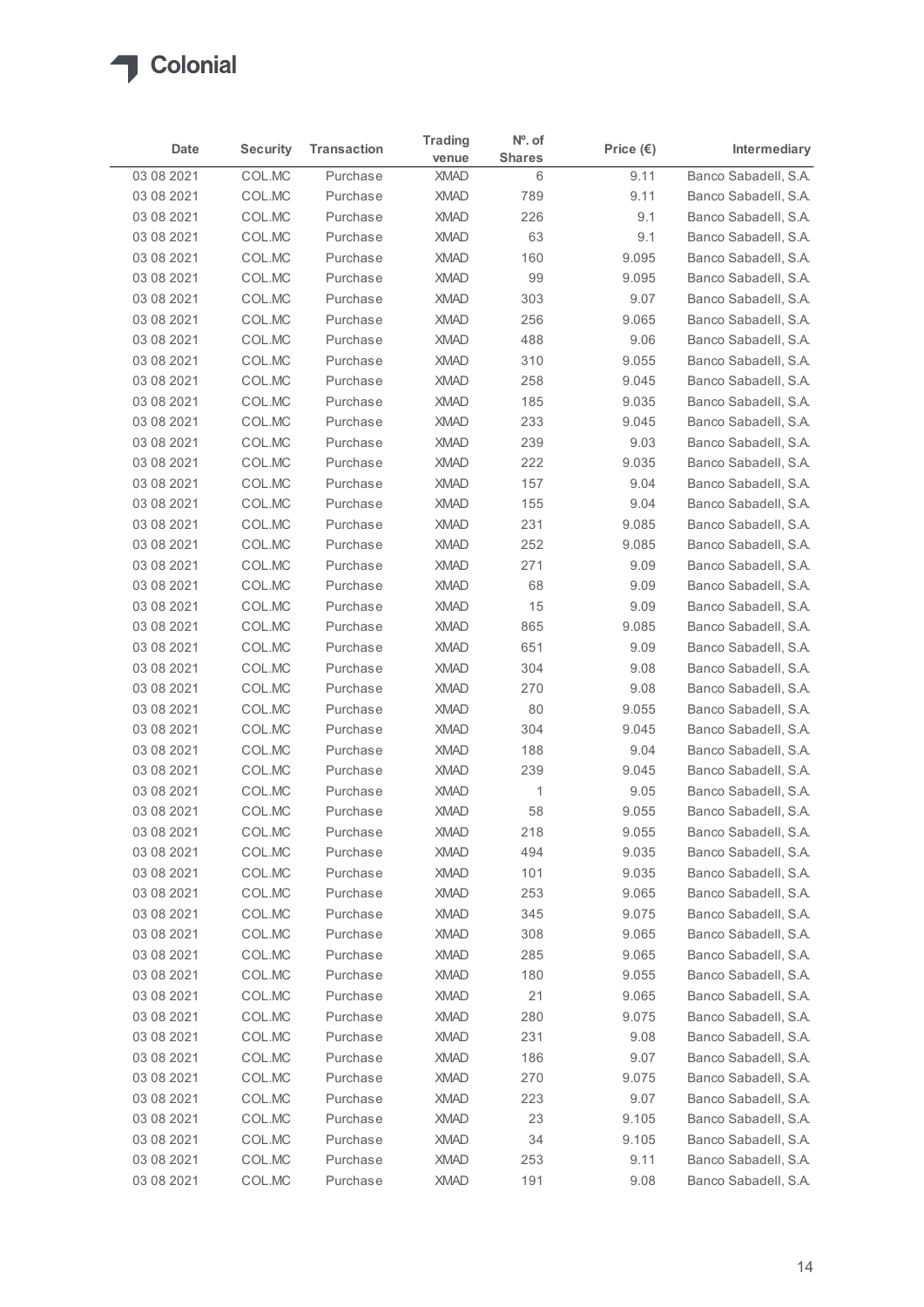

| Date<br>03 08 2021       |                  |                      | <b>Trading</b>             | Nº. of         |                    |                                              |
|--------------------------|------------------|----------------------|----------------------------|----------------|--------------------|----------------------------------------------|
|                          | <b>Security</b>  | <b>Transaction</b>   | venue                      | <b>Shares</b>  | Price $(\epsilon)$ | Intermediary                                 |
|                          | COL.MC           | Purchase             | <b>XMAD</b>                | 6              | 9.11               | Banco Sabadell, S.A.                         |
| 03 08 2021<br>03 08 2021 | COL.MC<br>COL.MC | Purchase<br>Purchase | <b>XMAD</b><br><b>XMAD</b> | 789<br>226     | 9.11<br>9.1        | Banco Sabadell, S.A.<br>Banco Sabadell, S.A. |
| 03 08 2021               | COL.MC           | Purchase             | <b>XMAD</b>                | 63             | 9.1                | Banco Sabadell, S.A.                         |
| 03 08 2021               | COL.MC           | Purchase             | <b>XMAD</b>                | 160            | 9.095              | Banco Sabadell, S.A.                         |
| 03 08 2021               | COL.MC           | Purchase             | <b>XMAD</b>                | 99             | 9.095              | Banco Sabadell, S.A.                         |
| 03 08 2021               | COL.MC           | Purchase             | <b>XMAD</b>                | 303            | 9.07               | Banco Sabadell, S.A.                         |
| 03 08 2021               | COL.MC           | Purchase             | <b>XMAD</b>                | 256            | 9.065              | Banco Sabadell, S.A.                         |
| 03 08 2021               | COL.MC           | Purchase             | <b>XMAD</b>                | 488            | 9.06               | Banco Sabadell, S.A.                         |
| 03 08 2021               | COL.MC           | Purchase             | <b>XMAD</b>                | 310            | 9.055              | Banco Sabadell, S.A.                         |
| 03 08 2021<br>03 08 2021 | COL.MC<br>COL.MC | Purchase<br>Purchase | <b>XMAD</b><br><b>XMAD</b> | 258<br>185     | 9.045<br>9.035     | Banco Sabadell, S.A.<br>Banco Sabadell, S.A. |
| 03 08 2021               | COL.MC           | Purchase             | <b>XMAD</b>                | 233            | 9.045              | Banco Sabadell, S.A.                         |
| 03 08 2021               | COL.MC           | Purchase             | XMAD                       | 239            | 9.03               | Banco Sabadell, S.A.                         |
| 03 08 2021               | COL.MC           | Purchase             | <b>XMAD</b>                | 222            | 9.035              | Banco Sabadell, S.A.                         |
| 03 08 2021               | COL.MC           | Purchase             | <b>XMAD</b>                | 157            | 9.04               | Banco Sabadell, S.A.                         |
| 03 08 2021               | COL.MC           | Purchase             | <b>XMAD</b>                | 155            | 9.04               | Banco Sabadell, S.A.                         |
| 03 08 2021               | COL.MC           | Purchase             | XMAD                       | 231            | 9.085              | Banco Sabadell, S.A.                         |
| 03 08 2021               | COL.MC           | Purchase             | XMAD                       | 252            | 9.085              | Banco Sabadell, S.A.                         |
| 03 08 2021               | COL.MC           | Purchase             | <b>XMAD</b>                | 271            | 9.09               | Banco Sabadell, S.A.                         |
| 03 08 2021               | COL.MC           | Purchase             | <b>XMAD</b>                | 68             | 9.09               | Banco Sabadell, S.A.                         |
| 03 08 2021               | COL.MC           | Purchase<br>Purchase | <b>XMAD</b><br><b>XMAD</b> | 15             | 9.09               | Banco Sabadell, S.A.<br>Banco Sabadell, S.A. |
| 03 08 2021<br>03 08 2021 | COL.MC<br>COL.MC | Purchase             | <b>XMAD</b>                | 865<br>651     | 9.085<br>9.09      | Banco Sabadell, S.A.                         |
| 03 08 2021               | COL.MC           | Purchase             | <b>XMAD</b>                | 304            | 9.08               | Banco Sabadell, S.A.                         |
| 03 08 2021               | COL.MC           | Purchase             | <b>XMAD</b>                | 270            | 9.08               | Banco Sabadell, S.A.                         |
| 03 08 2021               | COL.MC           | Purchase             | <b>XMAD</b>                | 80             | 9.055              | Banco Sabadell, S.A.                         |
| 03 08 2021               | COL.MC           | Purchase             | <b>XMAD</b>                | 304            | 9.045              | Banco Sabadell, S.A.                         |
| 03 08 2021               | COL.MC           | Purchase             | <b>XMAD</b>                | 188            | 9.04               | Banco Sabadell, S.A.                         |
| 03 08 2021               | COL.MC           | Purchase             | XMAD                       | 239            | 9.045              | Banco Sabadell, S.A.                         |
| 03 08 2021               | COL.MC           | Purchase             | <b>XMAD</b>                | $\overline{1}$ | 9.05               | Banco Sabadell, S.A.                         |
| 03 08 2021               | COL.MC           | Purchase             | <b>XMAD</b>                | 58             | 9.055              | Banco Sabadell, S.A.                         |
| 03 08 2021               | COL.MC           | Purchase             | <b>XMAD</b>                | 218            | 9.055              | Banco Sabadell, S.A.<br>Banco Sabadell, S.A. |
| 03 08 2021<br>03 08 2021 | COL.MC<br>COL.MC | Purchase<br>Purchase | <b>XMAD</b><br><b>XMAD</b> | 494<br>101     | 9.035<br>9.035     | Banco Sabadell, S.A.                         |
| 03 08 2021               | COL.MC           | Purchase             | <b>XMAD</b>                | 253            | 9.065              | Banco Sabadell, S.A.                         |
| 03 08 2021               | COL.MC           | Purchase             | <b>XMAD</b>                | 345            | 9.075              | Banco Sabadell, S.A.                         |
| 03 08 2021               | COL.MC           | Purchase             | <b>XMAD</b>                | 308            | 9.065              | Banco Sabadell, S.A.                         |
| 03 08 2021               | COL.MC           | Purchase             | XMAD                       | 285            | 9.065              | Banco Sabadell, S.A.                         |
| 03 08 2021               | COL.MC           | Purchase             | XMAD                       | 180            | 9.055              | Banco Sabadell, S.A.                         |
| 03 08 2021               | COL.MC           | Purchase             | <b>XMAD</b>                | 21             | 9.065              | Banco Sabadell, S.A.                         |
| 03 08 2021               | COL.MC           | Purchase             | <b>XMAD</b>                | 280            | 9.075              | Banco Sabadell, S.A.                         |
| 03 08 2021               | COL.MC           | Purchase             | <b>XMAD</b>                | 231            | 9.08               | Banco Sabadell, S.A.                         |
| 03 08 2021               | COL.MC           | Purchase             | <b>XMAD</b>                | 186            | 9.07               | Banco Sabadell, S.A.                         |
| 03 08 2021               | COL.MC           | Purchase             | <b>XMAD</b>                | 270            | 9.075              | Banco Sabadell, S.A.                         |
| 03 08 2021<br>03 08 2021 | COL.MC<br>COL.MC | Purchase             | <b>XMAD</b><br><b>XMAD</b> | 223<br>23      | 9.07<br>9.105      | Banco Sabadell, S.A.<br>Banco Sabadell, S.A. |
| 03 08 2021               | COL.MC           | Purchase<br>Purchase | XMAD                       | 34             | 9.105              | Banco Sabadell, S.A.                         |
| 03 08 2021               | COL.MC           | Purchase             | XMAD                       | 253            | 9.11               | Banco Sabadell, S.A.                         |
| 03 08 2021               | COL.MC           | Purchase             | <b>XMAD</b>                | 191            | 9.08               | Banco Sabadell, S.A.                         |